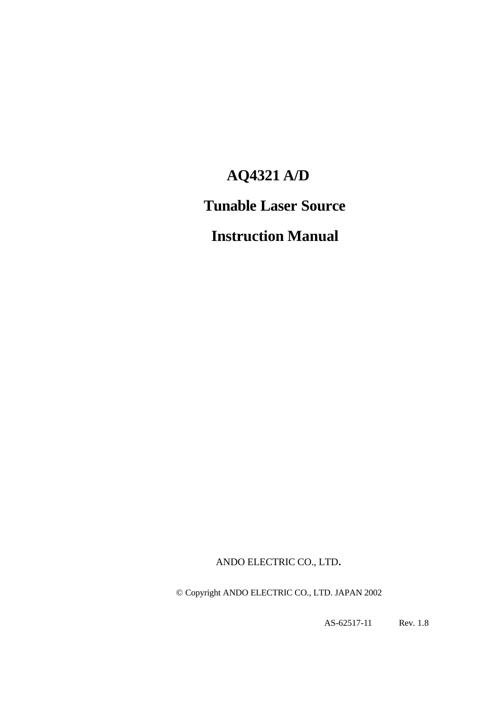# **AQ4321 A/D**

# **Tunable Laser Source**

 **Instruction Manual**

ANDO ELECTRIC CO., LTD**.**

© Copyright ANDO ELECTRIC CO., LTD. JAPAN 2002

AS-62517-11 Rev. 1.8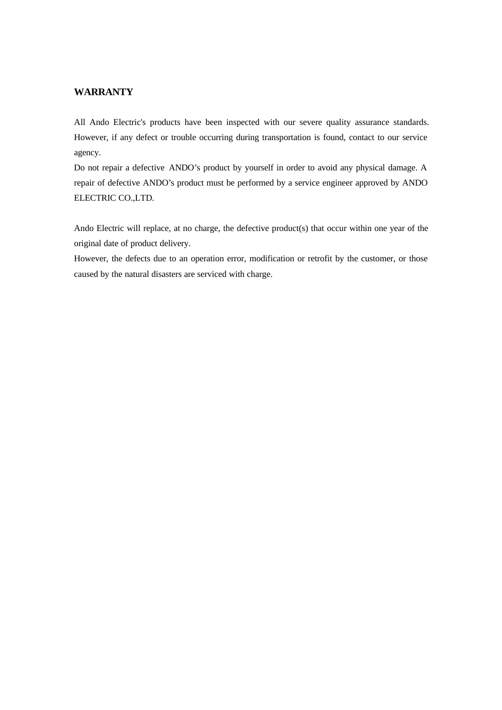#### **WARRANTY**

All Ando Electric's products have been inspected with our severe quality assurance standards. However, if any defect or trouble occurring during transportation is found, contact to our service agency.

Do not repair a defective ANDO's product by yourself in order to avoid any physical damage. A repair of defective ANDO's product must be performed by a service engineer approved by ANDO ELECTRIC CO.,LTD.

Ando Electric will replace, at no charge, the defective product(s) that occur within one year of the original date of product delivery.

However, the defects due to an operation error, modification or retrofit by the customer, or those caused by the natural disasters are serviced with charge.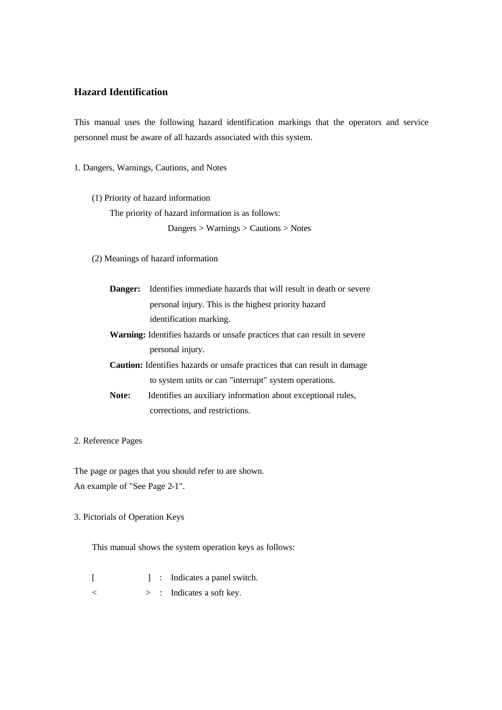#### **Hazard Identification**

This manual uses the following hazard identification markings that the operators and service personnel must be aware of all hazards associated with this system.

1. Dangers, Warnings, Cautions, and Notes

(1) Priority of hazard information

 The priority of hazard information is as follows: Dangers > Warnings > Cautions > Notes

(2) Meanings of hazard information

- **Danger:** Identifies immediate hazards that will result in death or severe personal injury. This is the highest priority hazard identification marking.
- **Warning:** Identifies hazards or unsafe practices that can result in severe personal injury.
- **Caution:** Identifies hazards or unsafe practices that can result in damage to system units or can "interrupt" system operations.
- Note: Identifies an auxiliary information about exceptional rules, corrections, and restrictions.

2. Reference Pages

The page or pages that you should refer to are shown. An example of "See Page 2-1".

3. Pictorials of Operation Keys

This manual shows the system operation keys as follows:

- [ ] : Indicates a panel switch.
- < > : Indicates a soft key.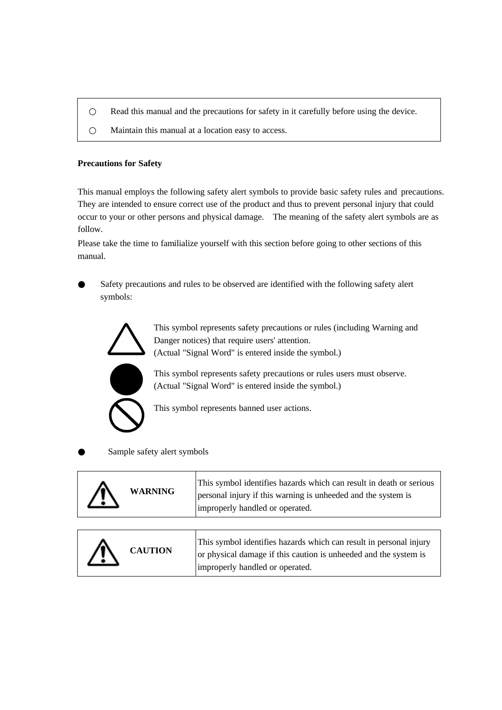Read this manual and the precautions for safety in it carefully before using the device.

Maintain this manual at a location easy to access.

#### **Precautions for Safety**

This manual employs the following safety alert symbols to provide basic safety rules and precautions. They are intended to ensure correct use of the product and thus to prevent personal injury that could occur to your or other persons and physical damage. The meaning of the safety alert symbols are as follow.

Please take the time to familialize yourself with this section before going to other sections of this manual.

Safety precautions and rules to be observed are identified with the following safety alert symbols:



This symbol represents safety precautions or rules (including Warning and Danger notices) that require users' attention.

(Actual "Signal Word" is entered inside the symbol.)



/ : \

This symbol represents safety precautions or rules users must observe. (Actual "Signal Word" is entered inside the symbol.)

This symbol represents banned user actions.

Sample safety alert symbols

| <b>WARNING</b> | This symbol identifies hazards which can result in death or serious<br>personal injury if this warning is unheeded and the system is<br>improperly handled or operated. |  |
|----------------|-------------------------------------------------------------------------------------------------------------------------------------------------------------------------|--|
|                |                                                                                                                                                                         |  |
| <b>CAUTION</b> | This symbol identifies hazards which can result in personal injury<br>or physical damage if this caution is unheeded and the system is                                  |  |

improperly handled or operated.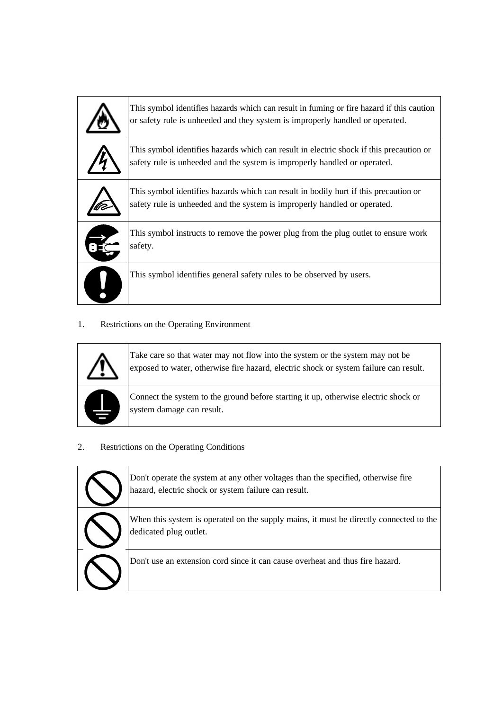| This symbol identifies hazards which can result in fuming or fire hazard if this caution<br>or safety rule is unheeded and they system is improperly handled or operated. |
|---------------------------------------------------------------------------------------------------------------------------------------------------------------------------|
| This symbol identifies hazards which can result in electric shock if this precaution or<br>safety rule is unheeded and the system is improperly handled or operated.      |
| This symbol identifies hazards which can result in bodily hurt if this precaution or<br>safety rule is unheeded and the system is improperly handled or operated.         |
| This symbol instructs to remove the power plug from the plug outlet to ensure work<br>safety.                                                                             |
| This symbol identifies general safety rules to be observed by users.                                                                                                      |

### 1. Restrictions on the Operating Environment



Take care so that water may not flow into the system or the system may not be exposed to water, otherwise fire hazard, electric shock or system failure can result.

Connect the system to the ground before starting it up, otherwise electric shock or system damage can result.

### 2. Restrictions on the Operating Conditions



Don't operate the system at any other voltages than the specified, otherwise fire hazard, electric shock or system failure can result.

When this system is operated on the supply mains, it must be directly connected to the dedicated plug outlet.

Don't use an extension cord since it can cause overheat and thus fire hazard.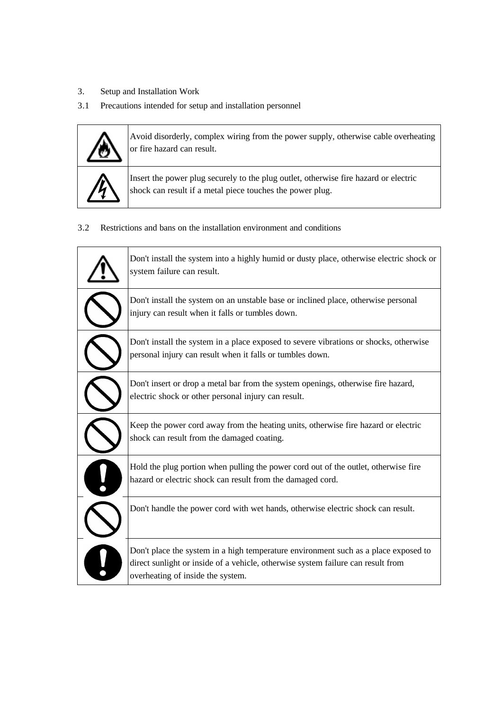- 3. Setup and Installation Work
- 3.1 Precautions intended for setup and installation personnel

|        | Avoid disorderly, complex wiring from the power supply, otherwise cable overheating<br>or fire hazard can result.                                 |
|--------|---------------------------------------------------------------------------------------------------------------------------------------------------|
| $\eta$ | Insert the power plug securely to the plug outlet, otherwise fire hazard or electric<br>shock can result if a metal piece touches the power plug. |

3.2 Restrictions and bans on the installation environment and conditions

| Don't install the system into a highly humid or dusty place, otherwise electric shock or<br>system failure can result.                                                                                       |
|--------------------------------------------------------------------------------------------------------------------------------------------------------------------------------------------------------------|
| Don't install the system on an unstable base or inclined place, otherwise personal<br>injury can result when it falls or tumbles down.                                                                       |
| Don't install the system in a place exposed to severe vibrations or shocks, otherwise<br>personal injury can result when it falls or tumbles down.                                                           |
| Don't insert or drop a metal bar from the system openings, otherwise fire hazard,<br>electric shock or other personal injury can result.                                                                     |
| Keep the power cord away from the heating units, otherwise fire hazard or electric<br>shock can result from the damaged coating.                                                                             |
| Hold the plug portion when pulling the power cord out of the outlet, otherwise fire<br>hazard or electric shock can result from the damaged cord.                                                            |
| Don't handle the power cord with wet hands, otherwise electric shock can result.                                                                                                                             |
| Don't place the system in a high temperature environment such as a place exposed to<br>direct sunlight or inside of a vehicle, otherwise system failure can result from<br>overheating of inside the system. |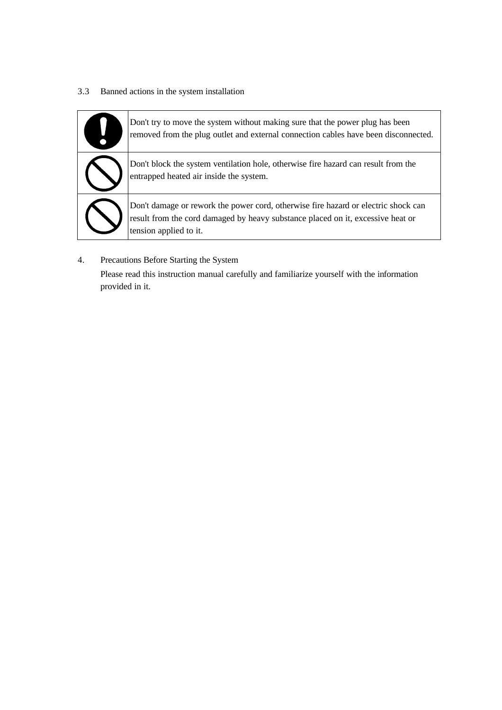#### 3.3 Banned actions in the system installation

| Don't try to move the system without making sure that the power plug has been<br>removed from the plug outlet and external connection cables have been disconnected.                            |
|-------------------------------------------------------------------------------------------------------------------------------------------------------------------------------------------------|
| Don't block the system ventilation hole, otherwise fire hazard can result from the<br>entrapped heated air inside the system.                                                                   |
| Don't damage or rework the power cord, otherwise fire hazard or electric shock can<br>result from the cord damaged by heavy substance placed on it, excessive heat or<br>tension applied to it. |

4. Precautions Before Starting the System Please read this instruction manual carefully and familiarize yourself with the information provided in it.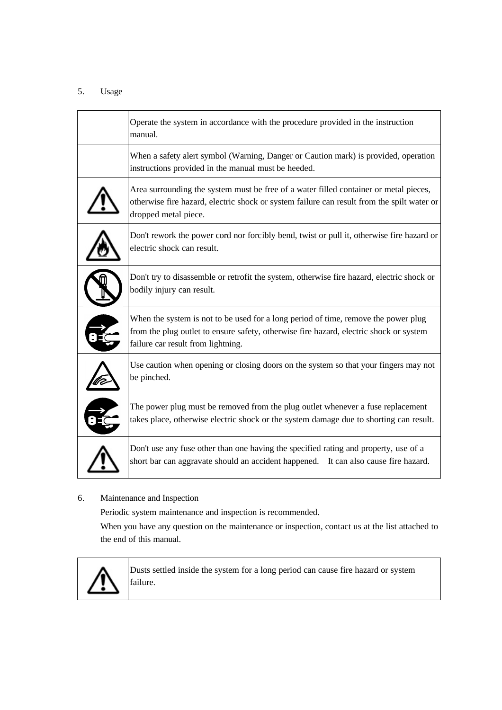### 5. Usage

| Operate the system in accordance with the procedure provided in the instruction<br>manual.                                                                                                                         |
|--------------------------------------------------------------------------------------------------------------------------------------------------------------------------------------------------------------------|
| When a safety alert symbol (Warning, Danger or Caution mark) is provided, operation<br>instructions provided in the manual must be heeded.                                                                         |
| Area surrounding the system must be free of a water filled container or metal pieces,<br>otherwise fire hazard, electric shock or system failure can result from the spilt water or<br>dropped metal piece.        |
| Don't rework the power cord nor forcibly bend, twist or pull it, otherwise fire hazard or<br>electric shock can result.                                                                                            |
| Don't try to disassemble or retrofit the system, otherwise fire hazard, electric shock or<br>bodily injury can result.                                                                                             |
| When the system is not to be used for a long period of time, remove the power plug<br>from the plug outlet to ensure safety, otherwise fire hazard, electric shock or system<br>failure car result from lightning. |
| Use caution when opening or closing doors on the system so that your fingers may not<br>be pinched.                                                                                                                |
| The power plug must be removed from the plug outlet whenever a fuse replacement<br>takes place, otherwise electric shock or the system damage due to shorting can result.                                          |
| Don't use any fuse other than one having the specified rating and property, use of a<br>short bar can aggravate should an accident happened. It can also cause fire hazard.                                        |

6. Maintenance and Inspection

Periodic system maintenance and inspection is recommended.

When you have any question on the maintenance or inspection, contact us at the list attached to the end of this manual.



Dusts settled inside the system for a long period can cause fire hazard or system failure.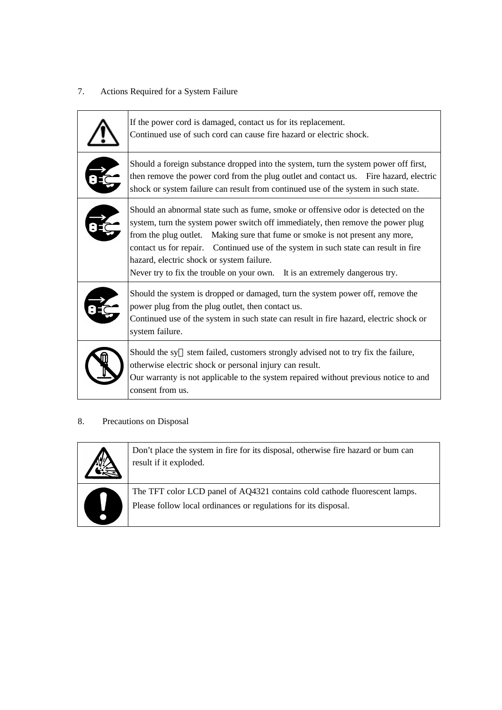### 7. Actions Required for a System Failure

| If the power cord is damaged, contact us for its replacement.<br>Continued use of such cord can cause fire hazard or electric shock.                                                                                                                                                                                                                                                                                                                                      |
|---------------------------------------------------------------------------------------------------------------------------------------------------------------------------------------------------------------------------------------------------------------------------------------------------------------------------------------------------------------------------------------------------------------------------------------------------------------------------|
| Should a foreign substance dropped into the system, turn the system power off first,<br>then remove the power cord from the plug outlet and contact us. Fire hazard, electric<br>shock or system failure can result from continued use of the system in such state.                                                                                                                                                                                                       |
| Should an abnormal state such as fume, smoke or offensive odor is detected on the<br>system, turn the system power switch off immediately, then remove the power plug<br>from the plug outlet. Making sure that fume or smoke is not present any more,<br>contact us for repair. Continued use of the system in such state can result in fire<br>hazard, electric shock or system failure.<br>Never try to fix the trouble on your own. It is an extremely dangerous try. |
| Should the system is dropped or damaged, turn the system power off, remove the<br>power plug from the plug outlet, then contact us.<br>Continued use of the system in such state can result in fire hazard, electric shock or<br>system failure.                                                                                                                                                                                                                          |
| Should the sy stem failed, customers strongly advised not to try fix the failure,<br>otherwise electric shock or personal injury can result.<br>Our warranty is not applicable to the system repaired without previous notice to and<br>consent from us.                                                                                                                                                                                                                  |

### 8. Precautions on Disposal

Don't place the system in fire for its disposal, otherwise fire hazard or bum can result if it exploded.

The TFT color LCD panel of AQ4321 contains cold cathode fluorescent lamps. Please follow local ordinances or regulations for its disposal.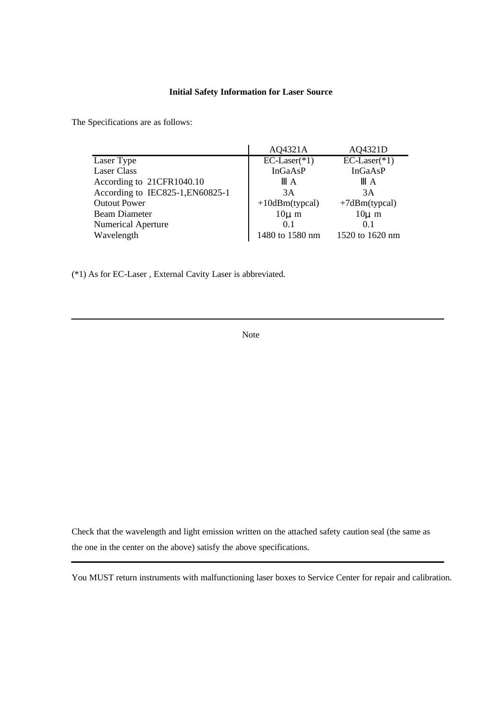#### **Initial Safety Information for Laser Source**

The Specifications are as follows:

| AQ4321A               | AQ4321D               |
|-----------------------|-----------------------|
| $EC\text{-Laser}(*1)$ | $EC\text{-Laser}(*1)$ |
| InGaAsP               | InGaAsP               |
| A                     | A                     |
| 3A                    | 3A                    |
| $+10$ dBm(typcal)     | $+7dBm(typcal)$       |
| $10u$ m               | $10\mu$ m             |
| 0.1                   | 0 <sub>1</sub>        |
| 1480 to 1580 nm       | 1520 to 1620 nm       |
|                       |                       |

(\*1) As for EC-Laser , External Cavity Laser is abbreviated.

Note

Check that the wavelength and light emission written on the attached safety caution seal (the same as the one in the center on the above) satisfy the above specifications.

You MUST return instruments with malfunctioning laser boxes to Service Center for repair and calibration.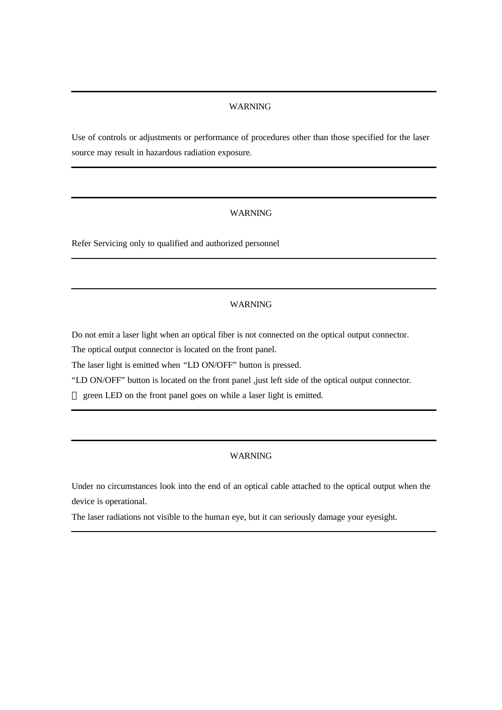#### WARNING

Use of controls or adjustments or performance of procedures other than those specified for the laser source may result in hazardous radiation exposure.

#### WARNING

Refer Servicing only to qualified and authorized personnel

#### WARNING

Do not emit a laser light when an optical fiber is not connected on the optical output connector.

The optical output connector is located on the front panel.

The laser light is emitted when "LD ON/OFF" button is pressed.

"LD ON/OFF" button is located on the front panel ,just left side of the optical output connector.

green LED on the front panel goes on while a laser light is emitted.

#### WARNING

Under no circumstances look into the end of an optical cable attached to the optical output when the device is operational.

The laser radiations not visible to the human eye, but it can seriously damage your eyesight.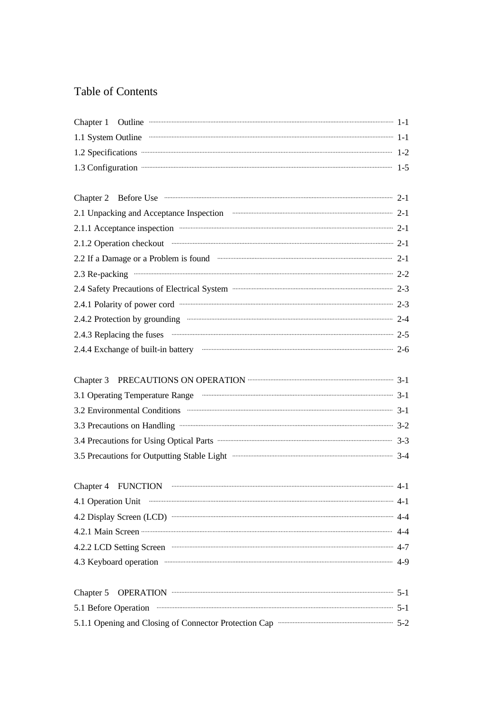## Table of Contents

| Chapter 1 Outline <b>Chapter 1</b> Outline <b>Chapter</b> 1 -1                                                                                                                                                                       |         |
|--------------------------------------------------------------------------------------------------------------------------------------------------------------------------------------------------------------------------------------|---------|
| 1.1 System Outline manuscrime and an according to the 1-1                                                                                                                                                                            |         |
| 1.2 Specifications <b>Constant Construction</b> and the set of the set of the set of the set of the set of the set of the set of the set of the set of the set of the set of the set of the set of the set of the set of the set of  |         |
| 1.3 Configuration manuscrime and the contract of the 1-5                                                                                                                                                                             |         |
|                                                                                                                                                                                                                                      |         |
| Chapter 2 Before Use manufactured and the contract of the 2-1                                                                                                                                                                        |         |
| 2.1 Unpacking and Acceptance Inspection manufactured and 2-1                                                                                                                                                                         |         |
| 2.1.1 Acceptance inspection manufactured and acceptance in 2-1                                                                                                                                                                       |         |
| 2.1.2 Operation checkout manufactured and the contract of the 2-1                                                                                                                                                                    |         |
| 2.2 If a Damage or a Problem is found <b>Constanting Constanting Constanting Constanting Constanting Constanting Constanting Constanting Constanting Constanting Constanting Constanting Constanting Constanting Constanting Con</b> |         |
|                                                                                                                                                                                                                                      |         |
| 2.4 Safety Precautions of Electrical System manufactured and the contract of 2-3                                                                                                                                                     |         |
| 2.4.1 Polarity of power cord manufactured contact the 2-3                                                                                                                                                                            |         |
| 2.4.2 Protection by grounding manufactured and anti-                                                                                                                                                                                 |         |
| 2.4.3 Replacing the fuses www.communically.communications.communications.communications.com                                                                                                                                          |         |
| 2.4.4 Exchange of built-in battery manufactured and all the contract of the 2-6                                                                                                                                                      |         |
|                                                                                                                                                                                                                                      |         |
| Chapter 3 PRECAUTIONS ON OPERATION <b>CONSUMING THE CONSUMING THE CONSUMING TERM</b> 3-1                                                                                                                                             |         |
| 3.1 Operating Temperature Range manufacture manufacture of 3-1                                                                                                                                                                       |         |
| 3.2 Environmental Conditions <b>Conditions Conditions Conditions Conditions Conditions Conditions Conditions Conditions Conditions Conditions Conditions Conditions Conditions Conditions Conditions</b>                             |         |
| 3.3 Precautions on Handling <b>Construction</b> and the construction of the construction of the construction of the construction of the construction of the construction of the construction of the construction of the constructio  |         |
| 3.4 Precautions for Using Optical Parts <b>Constant Constructed Strategies</b> 3-3                                                                                                                                                   |         |
| 3.5 Precautions for Outputting Stable Light manufactured and the Stable 1 3-4                                                                                                                                                        |         |
|                                                                                                                                                                                                                                      |         |
| $-$<br>4.1 Operation Unit                                                                                                                                                                                                            |         |
| 4.2 Display Screen (LCD) manufactured and contract the contract of the contract of the contract of the contract of the contract of the contract of the contract of the contract of the contract of the contract of the contrac       | $4 - 4$ |
|                                                                                                                                                                                                                                      |         |
| 4.2.2 LCD Setting Screen manufacturers and the setting 4-7                                                                                                                                                                           |         |
| 4.3 Keyboard operation manufactured and the contract of the 4-9                                                                                                                                                                      |         |
| Chapter 5                                                                                                                                                                                                                            |         |
| 5.1 Before Operation manufactured and the state of the S-1                                                                                                                                                                           |         |
|                                                                                                                                                                                                                                      |         |
|                                                                                                                                                                                                                                      |         |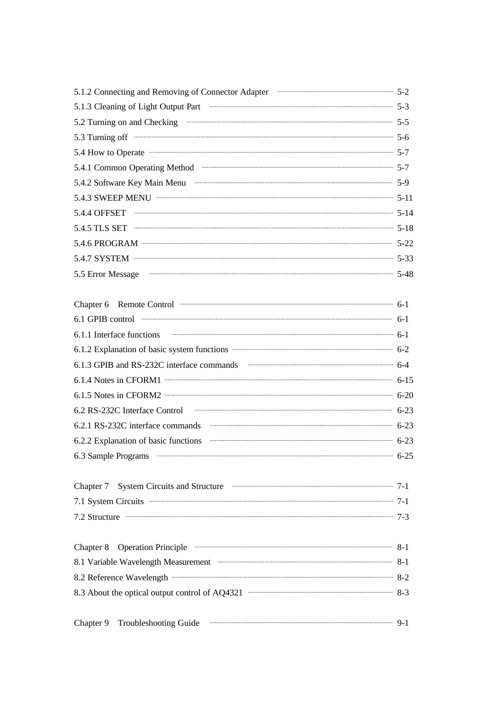| 5-2 Connecting and Removing of Connector Adapter Financial Entry Section 4.5 and Section 4.5 and Section 4.5 and Section 4.5 and Section 4.5 and Section 4.5 and Section 4.5 and Section 4.5 and Section 4.5 and Section 4.5 a                         |  |
|--------------------------------------------------------------------------------------------------------------------------------------------------------------------------------------------------------------------------------------------------------|--|
| 5-3 Cleaning of Light Output Part Theorem and Table 1 and Table 1 and Table 1 and Table 1 and Table 1 and Table                                                                                                                                        |  |
|                                                                                                                                                                                                                                                        |  |
|                                                                                                                                                                                                                                                        |  |
| 5-7 How to Operate manufactured and the state of the state of the state of the state of the state of the state of the state of the state of the state of the state of the state of the state of the state of the state of the                          |  |
| 5-1 Common Operating Method manuscritics and the community of the SA.1 Common Operating Method                                                                                                                                                         |  |
| 5.4.2 Software Key Main Menu manufacture and the contract of the S-9                                                                                                                                                                                   |  |
| 5.4.3 SWEEP MENU minimum minimum minimum minimum minimum minimum minimum minimum 5-11                                                                                                                                                                  |  |
|                                                                                                                                                                                                                                                        |  |
| 5.18 SET 3.1. SET 5.18 SET 5.18 SET 5.18 SET 5.18 SET 5.18 SET 5.18 SET 5.18 SET 5.18 SET 5.18 SET 5.18 SET 5.18                                                                                                                                       |  |
|                                                                                                                                                                                                                                                        |  |
| 5.3 metabolismus seita 1975. STSTEM merinteerinen metabolismus metabolismus seita 1975. STSTEM metabolismus s                                                                                                                                          |  |
|                                                                                                                                                                                                                                                        |  |
|                                                                                                                                                                                                                                                        |  |
| Chapter 6 Remote Control <b>The Control Chapter 6</b> -1                                                                                                                                                                                               |  |
| 6.1 GPIB control measurements are control of 5.1                                                                                                                                                                                                       |  |
| 6.1.1 Interface functions manufactured and the contract of the first of the first of the first of the first of the first of the first of the first of the first of the first of the first of the first of the first of the fir                         |  |
| 6-2 6.1.2 Explanation of basic system functions manufactured and state of the file of the file of the file of the file of the file of the file of the file of the file of the file of the file of the file of the file of the                          |  |
| 6.1.3 GPIB and RS-232C interface commands manufactured and RS-232C interface commands                                                                                                                                                                  |  |
|                                                                                                                                                                                                                                                        |  |
| 6-20 contract to CFORM2 continuum contract to the contract of the contract of the contract of the contract of the contract of the contract of the contract of the contract of the contract of the contract of the contract of                          |  |
| 6.2 RS-232C Interface Control manufactured control (6-23                                                                                                                                                                                               |  |
| 6.2.1 RS-232C interface commands manufactured and continuum contract of the community of the community of the community of the community of the community of the community of the community of the community of the community                          |  |
| 6.2.2 Explanation of basic functions manufactured and the contract of 6-23                                                                                                                                                                             |  |
| 6.3 Sample Programs manufactured and the contract of the Sample Programs manufactured and the Sample Programs                                                                                                                                          |  |
|                                                                                                                                                                                                                                                        |  |
| System Circuits and Structure <b>Constant Construction</b> and Structure <b>Constant Constant Constant Constant Constant Constant Constant Constant Constant Constant Constant Constant Constant Constant Constant Constant Constant </b><br>Chapter 7 |  |
| 7.1 System Circuits <b>Executes Text 7.1</b>                                                                                                                                                                                                           |  |
|                                                                                                                                                                                                                                                        |  |
|                                                                                                                                                                                                                                                        |  |
| Operation Principle <b>Construction</b> 8-1<br>Chapter 8                                                                                                                                                                                               |  |
| 8.1 Variable Wavelength Measurement <b>Construction Construction</b> 8-1                                                                                                                                                                               |  |
|                                                                                                                                                                                                                                                        |  |
| 8.3 About the optical output control of AQ4321 manufactured with the state of 8-3                                                                                                                                                                      |  |
|                                                                                                                                                                                                                                                        |  |
| Chapter 9<br><b>Troubleshooting Guide</b>                                                                                                                                                                                                              |  |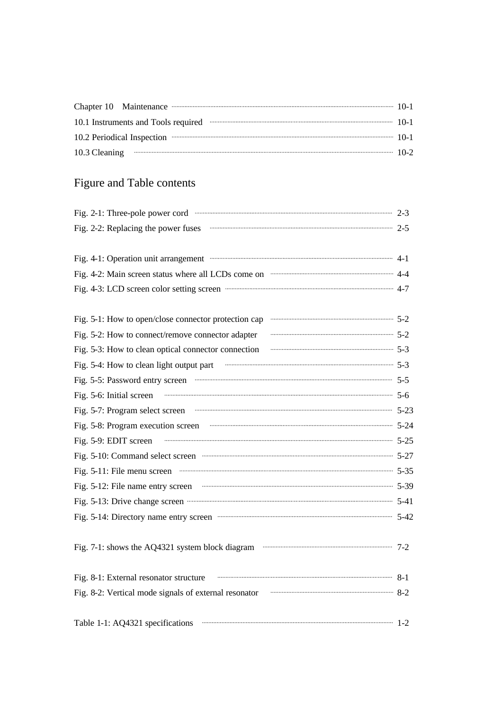| Chapter 10 Maintenance manufactured and all the 10-1                                                                                                                                                                           |  |
|--------------------------------------------------------------------------------------------------------------------------------------------------------------------------------------------------------------------------------|--|
| 10.1 Instruments and Tools required with the contract of the contract of the 10-1                                                                                                                                              |  |
| 10.2 Periodical Inspection manufacturers and the set of the set of the set of the set of the set of the set of the set of the set of the set of the set of the set of the set of the set of the set of the set of the set of t |  |
|                                                                                                                                                                                                                                |  |

# Figure and Table contents

| Fig. 2-1: Three-pole power cord manufactured and the 2-3                                                                                                                                                                       |  |
|--------------------------------------------------------------------------------------------------------------------------------------------------------------------------------------------------------------------------------|--|
| Fig. 2-2: Replacing the power fuses with the contract of the power fuses and the power fuses with the contract of the contract of the contract of the contract of the contract of the contract of the contract of the contract |  |
|                                                                                                                                                                                                                                |  |
| Fig. 4-1: Operation unit arrangement manuscrime contract and the distribution of 4-1                                                                                                                                           |  |
| Fig. 4-2: Main screen status where all LCDs come on manufactured with the 4-4                                                                                                                                                  |  |
| Fig. 4-3: LCD screen color setting screen manufactured and the state of 4-7                                                                                                                                                    |  |
|                                                                                                                                                                                                                                |  |
| Fig. 5-1: How to open/close connector protection cap manufactured and context of 5-2                                                                                                                                           |  |
| $\cdots$<br>Fig. 5-2: How to connect/remove connector adapter                                                                                                                                                                  |  |
| Fig. 5-3: How to clean optical connector connection manufactured and 5-3                                                                                                                                                       |  |
| Fig. 5-4: How to clean light output part www.www.www.www.www.www.www.www.com 5-3                                                                                                                                               |  |
| Fig. 5-5: Password entry screen manufactured and the state of 5-5                                                                                                                                                              |  |
| Fig. 5-6: Initial screen manufactured contains a strategy of 5-6                                                                                                                                                               |  |
| Fig. 5-7: Program select screen manufactured and the state of the state of 5-23                                                                                                                                                |  |
| Fig. 5-8: Program execution screen manufactured and stream 5-24                                                                                                                                                                |  |
| Fig. 5-9: EDIT screen                                                                                                                                                                                                          |  |
| Fig. 5-10: Command select screen manufactured and select screen 5-27                                                                                                                                                           |  |
|                                                                                                                                                                                                                                |  |
| Fig. 5-12: File name entry screen manufactured and the state of the state of 5-39                                                                                                                                              |  |
| Fig. 5-13: Drive change screen manufactured and contact the state of the state of the state of the state of the                                                                                                                |  |
| Fig. 5-14: Directory name entry screen manufactured and supplying the state of 5-42                                                                                                                                            |  |
|                                                                                                                                                                                                                                |  |
| Fig. 7-1: shows the AQ4321 system block diagram manufactured and the AQ4321 system block diagram                                                                                                                               |  |
|                                                                                                                                                                                                                                |  |
| Fig. 8-1: External resonator structure                                                                                                                                                                                         |  |
| Fig. 8-2: Vertical mode signals of external resonator manufactured and service 8-2                                                                                                                                             |  |
|                                                                                                                                                                                                                                |  |
| Table 1-1: AQ4321 specifications                                                                                                                                                                                               |  |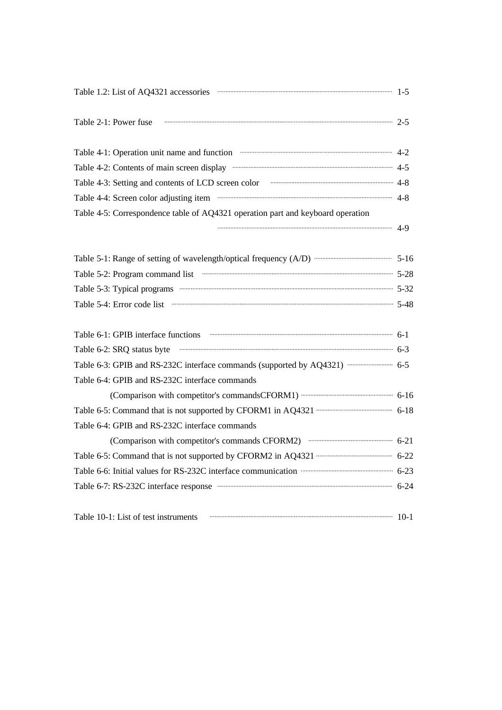| Table 1.2: List of AQ4321 accessories                                           |  |
|---------------------------------------------------------------------------------|--|
| Table 2-1: Power fuse                                                           |  |
| Table 4-1: Operation unit name and function                                     |  |
| Table 4-2: Contents of main screen display manufactured and the state and 4-5   |  |
| $\cdots$ $4-8$<br>Table 4-3: Setting and contents of LCD screen color           |  |
| Table 4-4: Screen color adjusting item                                          |  |
| Table 4-5: Correspondence table of AQ4321 operation part and keyboard operation |  |
|                                                                                 |  |

| Table 5-3: Typical programs manufactured and the state of 5-32                                                                                                                                                                 |  |
|--------------------------------------------------------------------------------------------------------------------------------------------------------------------------------------------------------------------------------|--|
| Table 5-4: Error code list municipality and the contract of the state of the state of the state of the state of the state of the state of the state of the state of the state of the state of the state of the state of the st |  |

| Table 6-1: GPIB interface functions manufactured and the contract of the film of the film of the film of the film of the film of the film of the film of the film of the film of the film of the film of the film of the film |  |
|-------------------------------------------------------------------------------------------------------------------------------------------------------------------------------------------------------------------------------|--|
| Table 6-2: SRQ status byte manufactured and all the status of 6-3                                                                                                                                                             |  |
|                                                                                                                                                                                                                               |  |
| Table 6-4: GPIB and RS-232C interface commands                                                                                                                                                                                |  |
|                                                                                                                                                                                                                               |  |
| Table 6-5: Command that is not supported by CFORM1 in AQ4321 manufacture manufacture 6-18                                                                                                                                     |  |
| Table 6-4: GPIB and RS-232C interface commands                                                                                                                                                                                |  |
| (Comparison with competitor's commands CFORM2) manufacturers and the 6-21                                                                                                                                                     |  |
| Table 6-5: Command that is not supported by CFORM2 in AQ4321 manufacture manufacture 6-22                                                                                                                                     |  |
| Table 6-6: Initial values for RS-232C interface communication manufacture manufacture 6-23                                                                                                                                    |  |
| Table 6-7: RS-232C interface response manufactured and all the contract of -24                                                                                                                                                |  |
|                                                                                                                                                                                                                               |  |

| Table 10-1: List of test instruments |  | 10. |
|--------------------------------------|--|-----|
|--------------------------------------|--|-----|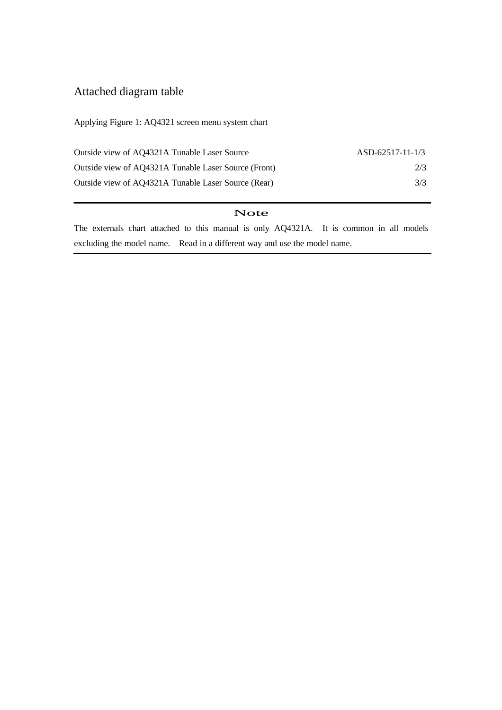## Attached diagram table

Applying Figure 1: AQ4321 screen menu system chart

| Outside view of AQ4321A Tunable Laser Source         | $ASD-62517-11-1/3$ |
|------------------------------------------------------|--------------------|
| Outside view of AQ4321A Tunable Laser Source (Front) | 2/3                |
| Outside view of AQ4321A Tunable Laser Source (Rear)  | 3/3                |

#### Note

The externals chart attached to this manual is only AQ4321A. It is common in all models excluding the model name. Read in a different way and use the model name.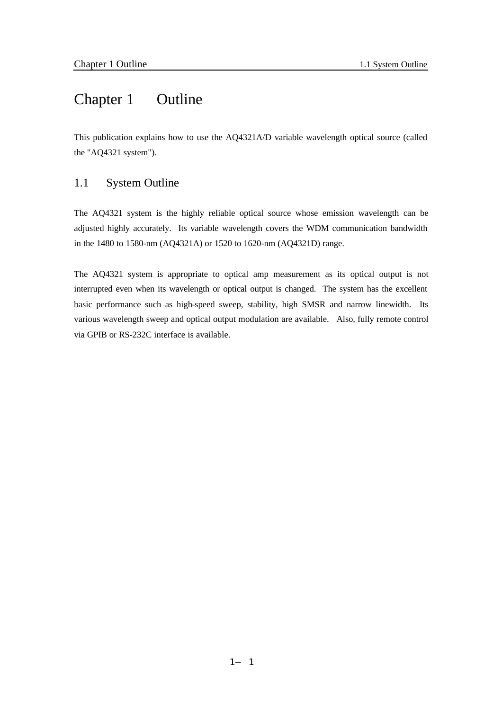## Chapter 1 Outline

This publication explains how to use the AQ4321A/D variable wavelength optical source (called the "AQ4321 system").

## 1.1 System Outline

The AQ4321 system is the highly reliable optical source whose emission wavelength can be adjusted highly accurately. Its variable wavelength covers the WDM communication bandwidth in the 1480 to 1580-nm (AQ4321A) or 1520 to 1620-nm (AQ4321D) range.

The AQ4321 system is appropriate to optical amp measurement as its optical output is not interrupted even when its wavelength or optical output is changed. The system has the excellent basic performance such as high-speed sweep, stability, high SMSR and narrow linewidth. Its various wavelength sweep and optical output modulation are available. Also, fully remote control via GPIB or RS-232C interface is available.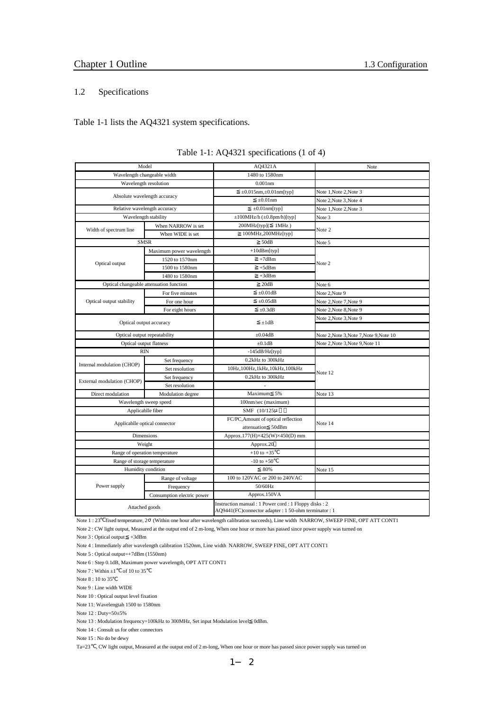#### 1.2 Specifications

Table 1-1 lists the AQ4321 system specifications.

| Model                        |                                         | AQ4321A                                                                                                      | Note                                    |
|------------------------------|-----------------------------------------|--------------------------------------------------------------------------------------------------------------|-----------------------------------------|
| Wavelength changeable width  |                                         | 1480 to 1580nm                                                                                               |                                         |
|                              | Wavelength resolution                   | $0.001$ nm                                                                                                   |                                         |
|                              |                                         | $\pm 0.015$ nm, $\pm 0.01$ nm[typ]                                                                           | Note 1, Note 2, Note 3                  |
| Absolute wavelength accuracy |                                         | $\pm 0.01$ nm                                                                                                | Note 2, Note 3, Note 4                  |
| Relative wavelength accuracy |                                         | $\pm 0.01$ nm[typ]                                                                                           | Note 1, Note 2, Note 3                  |
|                              | Wavelength stability                    | $\pm 100$ MHz/h ( $\pm 0.8$ pm/h)[typ]                                                                       | Note 3                                  |
| Width of spectrum line       | When NARROW is set                      | 200MHz[typ]( 1MHz)                                                                                           | Note 2                                  |
|                              | When WIDE is set                        | 100MHz,200MHz[typ]                                                                                           |                                         |
|                              | <b>SMSR</b>                             | 50dB                                                                                                         | Note 5                                  |
|                              | Maximum power wavelength                | $+10$ dBm[typ]                                                                                               |                                         |
| Optical output               | 1520 to 1570nm                          | $+7dBm$                                                                                                      | Note 2                                  |
|                              | 1500 to 1580nm                          | $+5dBm$                                                                                                      |                                         |
|                              | 1480 to 1580nm                          | $+3dBm$                                                                                                      |                                         |
|                              | Optical changeable attenuation function | 20dB                                                                                                         | Note 6                                  |
|                              | For five minutes                        | $\pm 0.01$ dB                                                                                                | Note 2, Note 9                          |
| Optical output stability     | For one hour                            | $\pm 0.05$ dB                                                                                                | Note 2, Note 7, Note 9                  |
|                              | For eight hours                         | $\pm 0.3$ dB                                                                                                 | Note 2, Note 8, Note 9                  |
|                              |                                         |                                                                                                              | Note 2, Note 3, Note 9                  |
|                              | Optical output accuracy                 | ±1dB                                                                                                         |                                         |
|                              | Optical output repeatability            | $\pm 0.04$ dB                                                                                                | Note 2, Note 3, Note 7, Note 9, Note 10 |
|                              | Optical output flatness                 | $\pm 0.1$ dB                                                                                                 | Note 2, Note 3, Note 9, Note 11         |
|                              | <b>RIN</b>                              | $-145dB/Hz[typ]$                                                                                             |                                         |
| Internal modulation (CHOP)   | Set frequency                           | 0.2kHz to 300kHz                                                                                             |                                         |
|                              | Set resolution                          | 10Hz, 100Hz, 1kHz, 10kHz, 100kHz                                                                             | Note 12                                 |
| External modulation (CHOP)   | Set frequency                           | 0.2kHz to 300kHz                                                                                             |                                         |
|                              | Set resolution                          |                                                                                                              |                                         |
| Direct modulation            | Modulation degree                       | Maximum 5%                                                                                                   | Note 13                                 |
|                              | Wavelength sweep speed                  | 100nm/sec (maximum)                                                                                          |                                         |
|                              | Applicablle fiber                       | SMF $(10/125\mu$                                                                                             |                                         |
|                              | Applicablle optical connector           | FC/PC, Amount of optical reflection                                                                          | Note 14                                 |
|                              |                                         | attenuation 50dBm                                                                                            |                                         |
|                              | Dimensions                              | Approx.177(H)×425(W)×450(D) mm                                                                               |                                         |
|                              | Weight                                  | Approx.20                                                                                                    |                                         |
|                              | Range of operation temperature          | $+10$ to $+35$                                                                                               |                                         |
| Range of storage temperature |                                         | $-10$ to $+50$                                                                                               |                                         |
|                              | Humidity condition                      | 80%                                                                                                          | Note 15                                 |
|                              | Range of voltage                        | 100 to 120VAC or 200 to 240VAC                                                                               |                                         |
| Power supply                 | Frequency                               | 50/60Hz                                                                                                      |                                         |
|                              | Consumption electric power              | Approx.150VA                                                                                                 |                                         |
| Attached goods               |                                         | Instruction manual: 1 Power cord: 1 Floppy disks: 2<br>AQ9441(FC)connector adapter : 1 50-ohm terminator : 1 |                                         |

|  | Table 1-1: AQ4321 specifications (1 of 4) |
|--|-------------------------------------------|
|--|-------------------------------------------|

Note 1 : 23 fixed temperature, 2 (Within one hour after wavelength calibration succeeds), Line width NARROW, SWEEP FINE, OPT ATT CONT1

Note 2 : CW light output, Measured at the output end of 2 m-long, When one hour or more has passed since power supply was turned on

Note 3 : Optical output +3dBm

Note 4 : Immediately after wavelength calibration 1520nm, Line width NARROW, SWEEP FINE, OPT ATT CONT1

Note 5 : Optical output=+7dBm (1550nm)

Note 6 : Step 0.1dB, Maximum power wavelength, OPT ATT CONT1

Note 7 : Within  $\pm 1$  of 10 to 35

Note 8 : 10 to 35

Note 9 : Line width WIDE

Note 10 : Optical output level fixation

Note 11: Wavelengtah 1500 to 1580nm

Note 12 : Duty=50±5%

Note 13 : Modulation frequency=100kHz to 300MHz, Set input Modulation level 0dBm.

Note 14 : Consult us for other connectors

Note 15 : No do be dewy

Ta=23 , CW light output, Measured at the output end of 2 m-long, When one hour or more has passed since power supply was turned on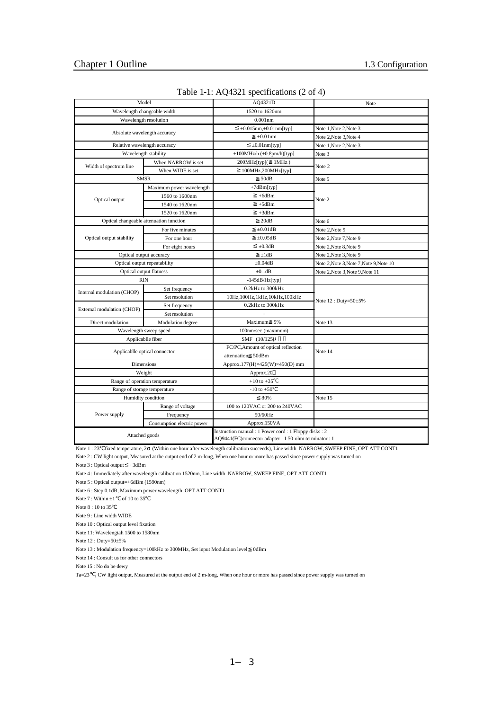| Model                       |                                         | AQ4321D                                                                                                         | Note                                    |
|-----------------------------|-----------------------------------------|-----------------------------------------------------------------------------------------------------------------|-----------------------------------------|
| Wavelength changeable width |                                         | 1520 to 1620nm                                                                                                  |                                         |
|                             | Wavelength resolution                   | $0.001$ nm                                                                                                      |                                         |
|                             |                                         | $\pm 0.015$ nm, $\pm 0.01$ nm[typ]                                                                              | Note 1, Note 2, Note 3                  |
|                             | Absolute wavelength accuracy            | $\pm 0.01$ nm                                                                                                   | Note 2, Note 3, Note 4                  |
|                             | Relative wavelength accuracy            | $\pm 0.01$ nm[typ]                                                                                              | Note 1, Note 2, Note 3                  |
|                             | Wavelength stability                    | $\pm 100$ MHz/h $(\pm 0.8$ pm/h)[typ]                                                                           | Note 3                                  |
| Width of spectrum line      | When NARROW is set                      | 200MHz[typ]( 1MHz)                                                                                              | Note 2                                  |
|                             | When WIDE is set                        | 100MHz,200MHz[typ]                                                                                              |                                         |
|                             | <b>SMSR</b>                             | 50dB                                                                                                            | Note 5                                  |
|                             | Maximum power wavelength                | +7dBm[typ]                                                                                                      |                                         |
|                             | 1560 to 1600nm                          | $+6dBm$                                                                                                         | Note 2                                  |
| Optical output              | 1540 to 1620nm                          | $+5dBm$                                                                                                         |                                         |
|                             | 1520 to 1620nm                          | $+3dBm$                                                                                                         |                                         |
|                             | Optical changeable attenuation function | 20dB                                                                                                            | Note 6                                  |
|                             | For five minutes                        | $\pm 0.01$ dB                                                                                                   | Note 2.Note 9                           |
| Optical output stability    | For one hour                            | $\pm 0.05$ dB                                                                                                   | Note 2, Note 7, Note 9                  |
|                             | For eight hours                         | $\pm 0.3$ dB                                                                                                    | Note 2, Note 8, Note 9                  |
| Optical output accuracy     |                                         | ±1dB                                                                                                            | Note 2, Note 3, Note 9                  |
|                             | Optical output repeatability            | $\pm 0.04$ dB                                                                                                   | Note 2, Note 3, Note 7, Note 9, Note 10 |
| Optical output flatness     |                                         | $\pm 0.1$ dB                                                                                                    | Note 2, Note 3, Note 9, Note 11         |
|                             | <b>RIN</b>                              | $-145dB/Hz[typ]$                                                                                                |                                         |
|                             | Set frequency                           | 0.2kHz to 300kHz                                                                                                |                                         |
| Internal modulation (CHOP)  | Set resolution                          | 10Hz, 100Hz, 1kHz, 10kHz, 100kHz                                                                                |                                         |
|                             | Set frequency                           | 0.2kHz to 300kHz                                                                                                | Note $12:$ Duty= $50\pm5\%$             |
| External modulation (CHOP)  | Set resolution                          |                                                                                                                 |                                         |
| Direct modulation           | Modulation degree                       | Maximum 5%                                                                                                      | Note 13                                 |
|                             | Wavelength sweep speed                  | 100nm/sec (maximum)                                                                                             |                                         |
|                             | Applicablle fiber                       | SMF (10/125µ                                                                                                    |                                         |
|                             |                                         | FC/PC, Amount of optical reflection                                                                             |                                         |
|                             | Applicablle optical connector           | attenuation 50dBm                                                                                               | Note 14                                 |
|                             | <b>Dimensions</b>                       | Approx.177(H)×425(W)×450(D) mm                                                                                  |                                         |
|                             | Weight                                  | Approx.20                                                                                                       |                                         |
|                             | Range of operation temperature          | $+10$ to $+35$                                                                                                  |                                         |
|                             | Range of storage temperature            | $-10$ to $+50$                                                                                                  |                                         |
| Humidity condition          |                                         | 80%                                                                                                             | Note 15                                 |
|                             | Range of voltage                        | 100 to 120VAC or 200 to 240VAC                                                                                  |                                         |
| Power supply                | Frequency                               | 50/60Hz                                                                                                         |                                         |
|                             | Consumption electric power              | Approx.150VA                                                                                                    |                                         |
|                             | Attached goods                          | Instruction manual : 1 Power cord : 1 Floppy disks : 2<br>AQ9441(FC)connector adapter : 1 50-ohm terminator : 1 |                                         |

|  | Table 1-1: AQ4321 specifications (2 of 4) |
|--|-------------------------------------------|
|--|-------------------------------------------|

Note 1 : 23 fixed temperature, 2 (Within one hour after wavelength calibration succeeds), Line width NARROW, SWEEP FINE, OPT ATT CONT1 Note 2 : CW light output, Measured at the output end of 2 m-long, When one hour or more has passed since power supply was turned on

Note 3 : Optical output +3dBm

Note 4 : Immediately after wavelength calibration 1520nm, Line width NARROW, SWEEP FINE, OPT ATT CONT1

Note 5 : Optical output=+6dBm (1590nm)

Note 6 : Step 0.1dB, Maximum power wavelength, OPT ATT CONT1

Note 7 : Within  $\pm 1$  of 10 to 35

Note 8 : 10 to 35

Note 9 : Line width WIDE

Note 10 : Optical output level fixation

Note 11: Wavelengtah 1500 to 1580nm

Note 12 : Duty=50±5%

Note 13 : Modulation frequency=100kHz to 300MHz, Set input Modulation level 0dBm

Note 14 : Consult us for other connectors

Note 15 : No do be dewy

Ta=23 , CW light output, Measured at the output end of 2 m-long, When one hour or more has passed since power supply was turned on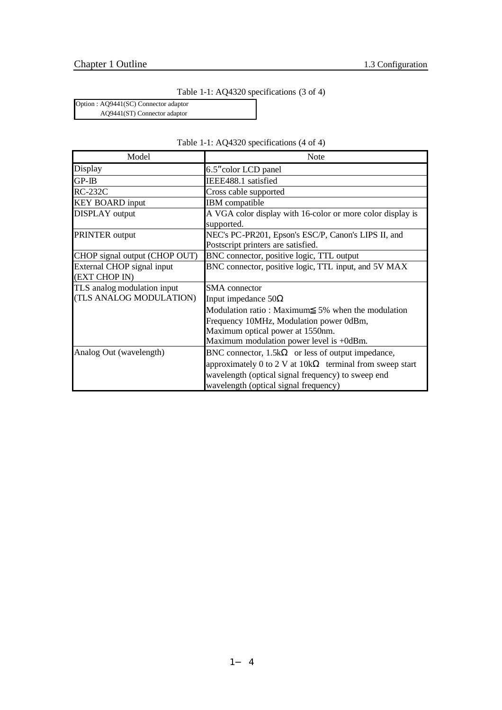## Table 1-1: AQ4320 specifications (3 of 4)

Option : AQ9441(SC) Connector adaptor

AQ9441(ST) Connector adaptor

| Model                                       | <b>Note</b>                                                                               |
|---------------------------------------------|-------------------------------------------------------------------------------------------|
| <b>Display</b>                              | 6.5" color LCD panel                                                                      |
| $GP$ - $IB$                                 | IEEE488.1 satisfied                                                                       |
| <b>RC-232C</b>                              | Cross cable supported                                                                     |
| <b>KEY BOARD input</b>                      | IBM compatible                                                                            |
| <b>DISPLAY</b> output                       | A VGA color display with 16-color or more color display is<br>supported.                  |
| <b>PRINTER</b> output                       | NEC's PC-PR201, Epson's ESC/P, Canon's LIPS II, and<br>Postscript printers are satisfied. |
| CHOP signal output (CHOP OUT)               | BNC connector, positive logic, TTL output                                                 |
| External CHOP signal input<br>(EXT CHOP IN) | BNC connector, positive logic, TTL input, and 5V MAX                                      |
| TLS analog modulation input                 | <b>SMA</b> connector                                                                      |
| (TLS ANALOG MODULATION)                     | Input impedance 50                                                                        |
|                                             | Modulation ratio: Maximum 5% when the modulation                                          |
|                                             | Frequency 10MHz, Modulation power 0dBm,                                                   |
|                                             | Maximum optical power at 1550nm.                                                          |
|                                             | Maximum modulation power level is +0dBm.                                                  |
| Analog Out (wavelength)                     | BNC connector, 1.5k or less of output impedance,                                          |
|                                             | approximately $0$ to $2$ V at $10k$ terminal from sweep start                             |
|                                             | wavelength (optical signal frequency) to sweep end                                        |
|                                             | wavelength (optical signal frequency)                                                     |

|  |  |  | Table 1-1: AQ4320 specifications (4 of 4) |  |  |  |
|--|--|--|-------------------------------------------|--|--|--|
|--|--|--|-------------------------------------------|--|--|--|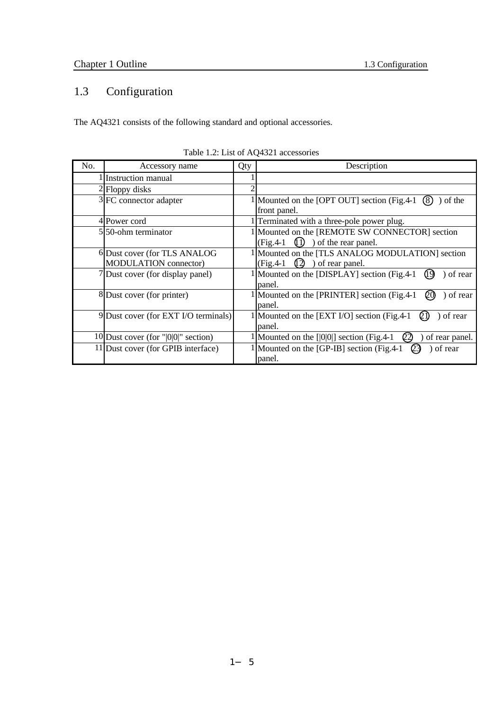## 1.3 Configuration

The AQ4321 consists of the following standard and optional accessories.

| No. | Accessory name                                               | Qty | Description                                                                                |  |  |  |  |
|-----|--------------------------------------------------------------|-----|--------------------------------------------------------------------------------------------|--|--|--|--|
|     | Instruction manual                                           |     |                                                                                            |  |  |  |  |
|     | 2 Floppy disks                                               |     |                                                                                            |  |  |  |  |
|     | 3 FC connector adapter                                       |     | 1 Mounted on the [OPT OUT] section (Fig. 4-1)<br>of the<br>(8)<br>front panel.             |  |  |  |  |
|     | 4 Power cord                                                 |     | 1 Terminated with a three-pole power plug.                                                 |  |  |  |  |
|     | 5.50-ohm terminator                                          |     | 1 Mounted on the [REMOTE SW CONNECTOR] section<br>$(Fig.4-1)$<br>of the rear panel.<br>(1) |  |  |  |  |
|     | 6 Dust cover (for TLS ANALOG<br><b>MODULATION</b> connector) |     | [Mounted on the [TLS ANALOG MODULATION] section<br>$(12)$ ) of rear panel.<br>$(Fig.4-1)$  |  |  |  |  |
|     | 7 Dust cover (for display panel)                             |     | 1 Mounted on the [DISPLAY] section (Fig.4-1)<br>$\alpha$ of rear<br>49<br>panel.           |  |  |  |  |
|     | 8 Dust cover (for printer)                                   |     | 1 Mounted on the [PRINTER] section (Fig.4-1)<br>Q0<br>) of rear<br>panel.                  |  |  |  |  |
|     | 9 Dust cover (for EXT I/O terminals)                         |     | 1 Mounted on the [EXT I/O] section (Fig.4-1)<br>of rear<br>panel.                          |  |  |  |  |
|     | 10 Dust cover (for " $ 0 0 $ " section)                      |     | 2<br>Mounted on the $[000]$ section (Fig.4-1)<br>of rear panel.                            |  |  |  |  |
|     | 11 Dust cover (for GPIB interface)                           |     | 1 Mounted on the [GP-IB] section (Fig.4-1)<br>) of rear<br>panel.                          |  |  |  |  |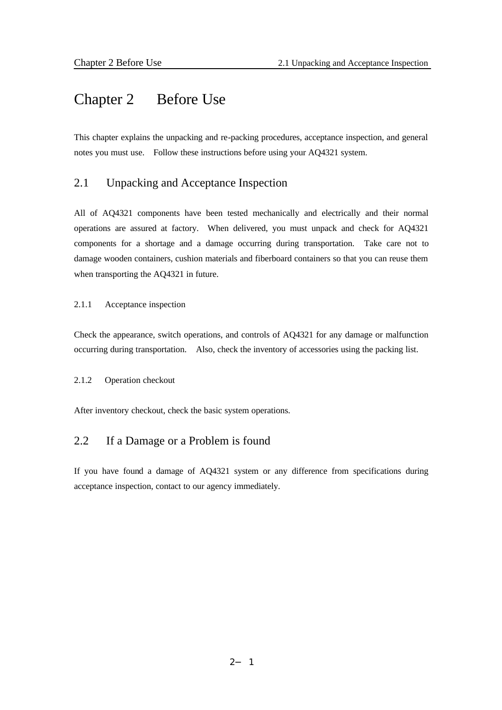## Chapter 2 Before Use

This chapter explains the unpacking and re-packing procedures, acceptance inspection, and general notes you must use. Follow these instructions before using your AQ4321 system.

### 2.1 Unpacking and Acceptance Inspection

All of AQ4321 components have been tested mechanically and electrically and their normal operations are assured at factory. When delivered, you must unpack and check for AQ4321 components for a shortage and a damage occurring during transportation. Take care not to damage wooden containers, cushion materials and fiberboard containers so that you can reuse them when transporting the AQ4321 in future.

#### 2.1.1 Acceptance inspection

Check the appearance, switch operations, and controls of AQ4321 for any damage or malfunction occurring during transportation. Also, check the inventory of accessories using the packing list.

#### 2.1.2 Operation checkout

After inventory checkout, check the basic system operations.

## 2.2 If a Damage or a Problem is found

If you have found a damage of AQ4321 system or any difference from specifications during acceptance inspection, contact to our agency immediately.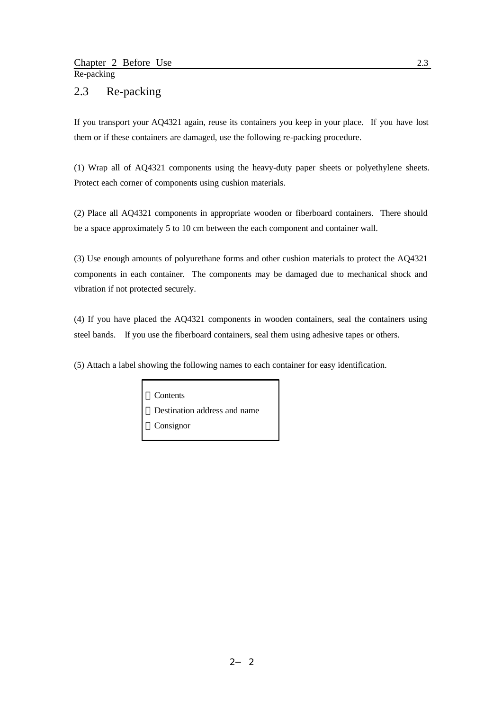## 2.3 Re-packing

If you transport your AQ4321 again, reuse its containers you keep in your place. If you have lost them or if these containers are damaged, use the following re-packing procedure.

(1) Wrap all of AQ4321 components using the heavy-duty paper sheets or polyethylene sheets. Protect each corner of components using cushion materials.

(2) Place all AQ4321 components in appropriate wooden or fiberboard containers. There should be a space approximately 5 to 10 cm between the each component and container wall.

(3) Use enough amounts of polyurethane forms and other cushion materials to protect the AQ4321 components in each container. The components may be damaged due to mechanical shock and vibration if not protected securely.

(4) If you have placed the AQ4321 components in wooden containers, seal the containers using steel bands. If you use the fiberboard containers, seal them using adhesive tapes or others.

(5) Attach a label showing the following names to each container for easy identification.

| Contents                     |
|------------------------------|
| Destination address and name |
| Consignor                    |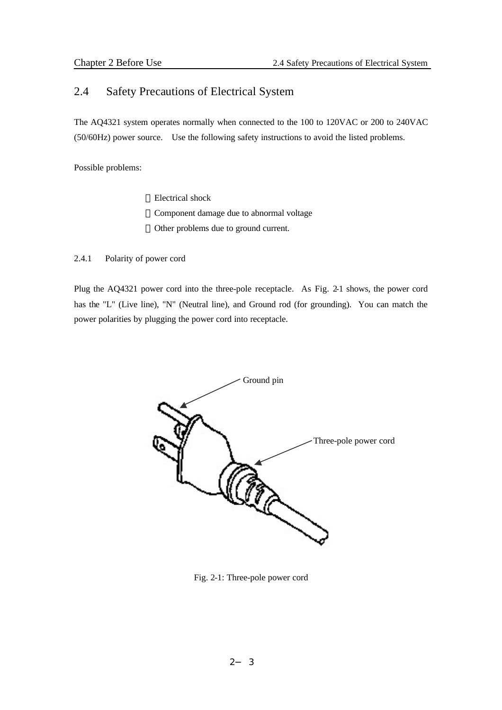## 2.4 Safety Precautions of Electrical System

The AQ4321 system operates normally when connected to the 100 to 120VAC or 200 to 240VAC (50/60Hz) power source. Use the following safety instructions to avoid the listed problems.

Possible problems:

 Electrical shock Component damage due to abnormal voltage Other problems due to ground current.

2.4.1 Polarity of power cord

Plug the AQ4321 power cord into the three-pole receptacle. As Fig. 2-1 shows, the power cord has the "L" (Live line), "N" (Neutral line), and Ground rod (for grounding). You can match the power polarities by plugging the power cord into receptacle.



Fig. 2-1: Three-pole power cord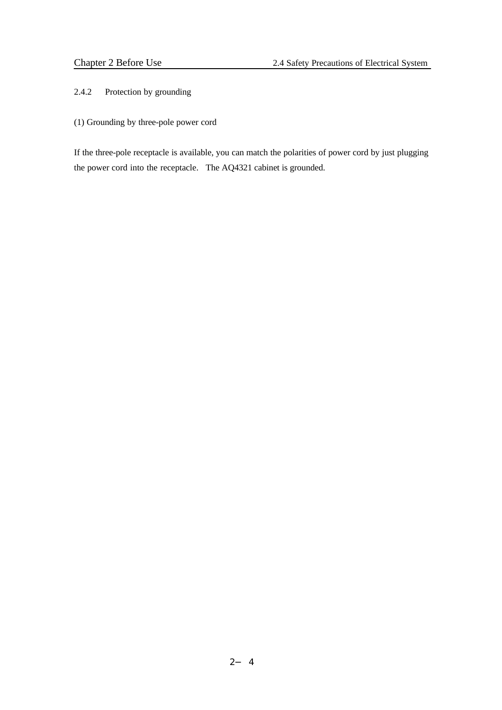2.4.2 Protection by grounding

(1) Grounding by three-pole power cord

If the three-pole receptacle is available, you can match the polarities of power cord by just plugging the power cord into the receptacle. The AQ4321 cabinet is grounded.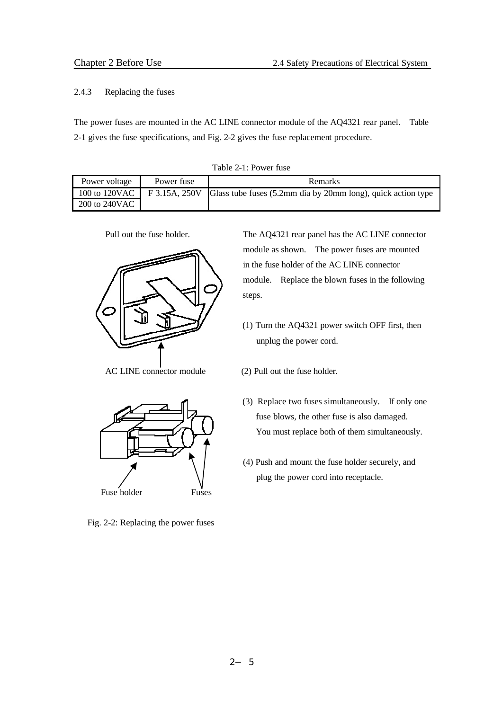#### 2.4.3 Replacing the fuses

The power fuses are mounted in the AC LINE connector module of the AQ4321 rear panel. Table 2-1 gives the fuse specifications, and Fig. 2-2 gives the fuse replacement procedure.

| $14010 \, \text{2}^{-1}$ . I OWCI 1990 |            |                                                              |  |  |  |
|----------------------------------------|------------|--------------------------------------------------------------|--|--|--|
| Power voltage                          | Power fuse | <b>Remarks</b>                                               |  |  |  |
| 100 to 120VAC F 3.15A, 250V            |            | Glass tube fuses (5.2mm dia by 20mm long), quick action type |  |  |  |
| 200 to 240VAC                          |            |                                                              |  |  |  |

Table  $2-1$ : Power fuse





Fig. 2-2: Replacing the power fuses

 Pull out the fuse holder. The AQ4321 rear panel has the AC LINE connector module as shown. The power fuses are mounted in the fuse holder of the AC LINE connector module. Replace the blown fuses in the following steps.

- (1) Turn the AQ4321 power switch OFF first, then unplug the power cord.
- AC LINE connector module (2) Pull out the fuse holder.
	- (3) Replace two fuses simultaneously. If only one fuse blows, the other fuse is also damaged. You must replace both of them simultaneously.
	- (4) Push and mount the fuse holder securely, and plug the power cord into receptacle.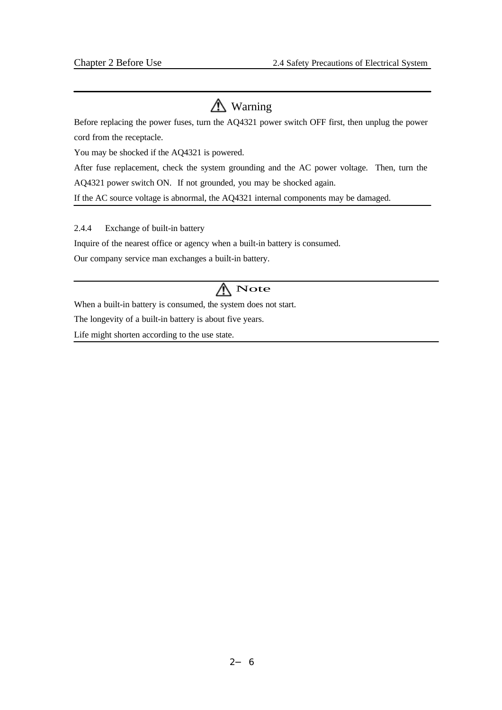## A Warning

Before replacing the power fuses, turn the AQ4321 power switch OFF first, then unplug the power cord from the receptacle.

You may be shocked if the AQ4321 is powered.

After fuse replacement, check the system grounding and the AC power voltage. Then, turn the AQ4321 power switch ON. If not grounded, you may be shocked again.

If the AC source voltage is abnormal, the AQ4321 internal components may be damaged.

2.4.4 Exchange of built-in battery

Inquire of the nearest office or agency when a built-in battery is consumed.

Our company service man exchanges a built-in battery.

## $\bigwedge$  Note

When a built-in battery is consumed, the system does not start. The longevity of a built-in battery is about five years.

Life might shorten according to the use state.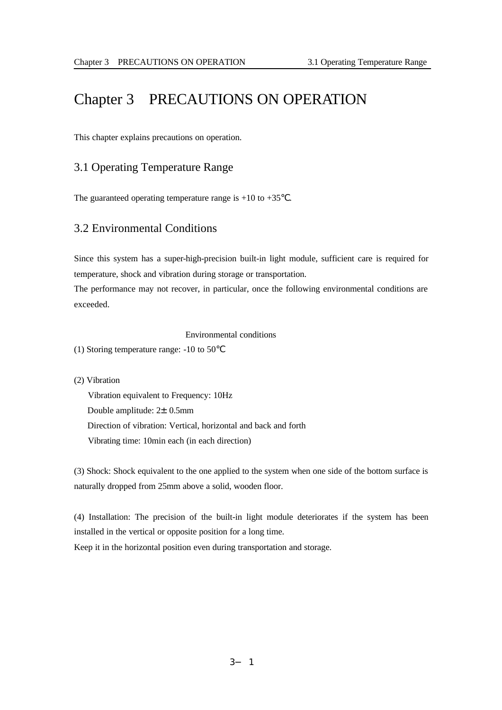## Chapter 3 PRECAUTIONS ON OPERATION

This chapter explains precautions on operation.

### 3.1 Operating Temperature Range

The guaranteed operating temperature range is  $+10$  to  $+35$ .

### 3.2 Environmental Conditions

Since this system has a super-high-precision built-in light module, sufficient care is required for temperature, shock and vibration during storage or transportation.

The performance may not recover, in particular, once the following environmental conditions are exceeded.

Environmental conditions

(1) Storing temperature range: -10 to 50

(2) Vibration

 Vibration equivalent to Frequency: 10Hz Double amplitude:  $2\pm 0.5$ mm Direction of vibration: Vertical, horizontal and back and forth Vibrating time: 10min each (in each direction)

(3) Shock: Shock equivalent to the one applied to the system when one side of the bottom surface is naturally dropped from 25mm above a solid, wooden floor.

(4) Installation: The precision of the built-in light module deteriorates if the system has been installed in the vertical or opposite position for a long time. Keep it in the horizontal position even during transportation and storage.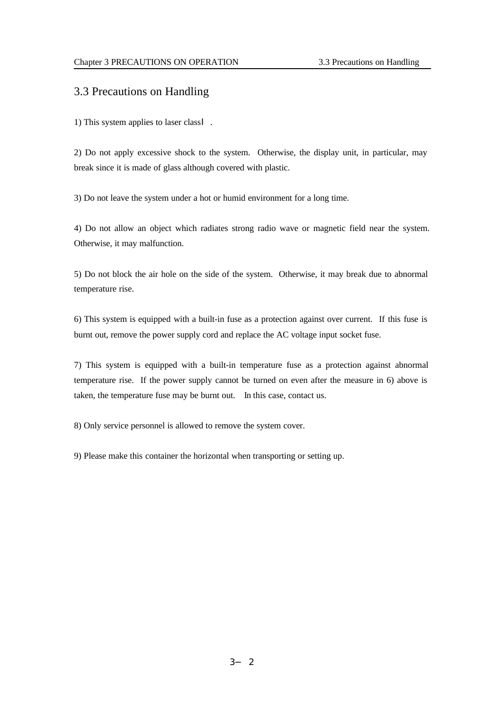### 3.3 Precautions on Handling

1) This system applies to laser class .

2) Do not apply excessive shock to the system. Otherwise, the display unit, in particular, may break since it is made of glass although covered with plastic.

3) Do not leave the system under a hot or humid environment for a long time.

4) Do not allow an object which radiates strong radio wave or magnetic field near the system. Otherwise, it may malfunction.

5) Do not block the air hole on the side of the system. Otherwise, it may break due to abnormal temperature rise.

6) This system is equipped with a built-in fuse as a protection against over current. If this fuse is burnt out, remove the power supply cord and replace the AC voltage input socket fuse.

7) This system is equipped with a built-in temperature fuse as a protection against abnormal temperature rise. If the power supply cannot be turned on even after the measure in 6) above is taken, the temperature fuse may be burnt out. In this case, contact us.

8) Only service personnel is allowed to remove the system cover.

9) Please make this container the horizontal when transporting or setting up.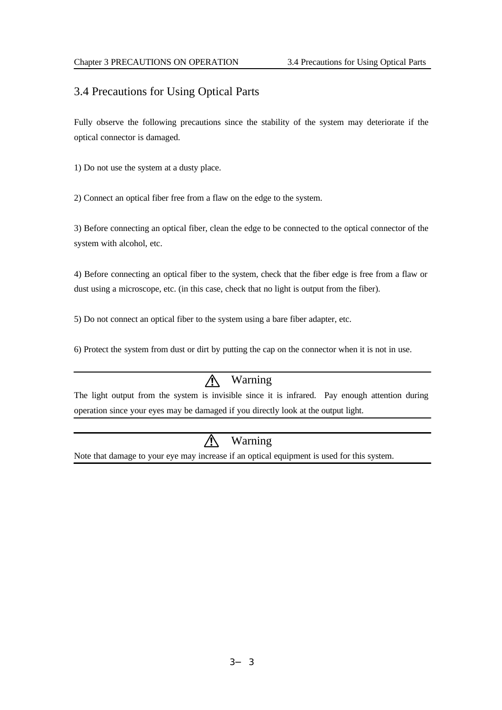### 3.4 Precautions for Using Optical Parts

Fully observe the following precautions since the stability of the system may deteriorate if the optical connector is damaged.

1) Do not use the system at a dusty place.

2) Connect an optical fiber free from a flaw on the edge to the system.

3) Before connecting an optical fiber, clean the edge to be connected to the optical connector of the system with alcohol, etc.

4) Before connecting an optical fiber to the system, check that the fiber edge is free from a flaw or dust using a microscope, etc. (in this case, check that no light is output from the fiber).

5) Do not connect an optical fiber to the system using a bare fiber adapter, etc.

6) Protect the system from dust or dirt by putting the cap on the connector when it is not in use.

#### Warning Л

The light output from the system is invisible since it is infrared. Pay enough attention during operation since your eyes may be damaged if you directly look at the output light.

#### Warning **N**

Note that damage to your eye may increase if an optical equipment is used for this system.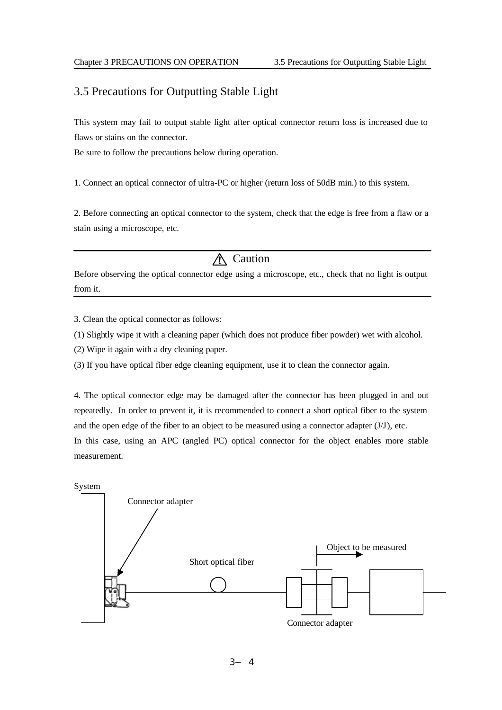### 3.5 Precautions for Outputting Stable Light

This system may fail to output stable light after optical connector return loss is increased due to flaws or stains on the connector.

Be sure to follow the precautions below during operation.

1. Connect an optical connector of ultra-PC or higher (return loss of 50dB min.) to this system.

2. Before connecting an optical connector to the system, check that the edge is free from a flaw or a stain using a microscope, etc.

## Caution

Before observing the optical connector edge using a microscope, etc., check that no light is output from it.

3. Clean the optical connector as follows:

(1) Slightly wipe it with a cleaning paper (which does not produce fiber powder) wet with alcohol.

(2) Wipe it again with a dry cleaning paper.

(3) If you have optical fiber edge cleaning equipment, use it to clean the connector again.

4. The optical connector edge may be damaged after the connector has been plugged in and out repeatedly. In order to prevent it, it is recommended to connect a short optical fiber to the system and the open edge of the fiber to an object to be measured using a connector adapter  $(J/J)$ , etc. In this case, using an APC (angled PC) optical connector for the object enables more stable measurement.

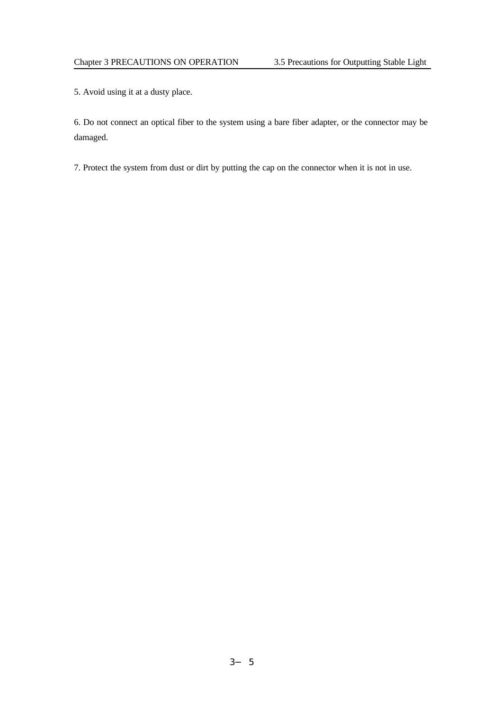5. Avoid using it at a dusty place.

6. Do not connect an optical fiber to the system using a bare fiber adapter, or the connector may be damaged.

7. Protect the system from dust or dirt by putting the cap on the connector when it is not in use.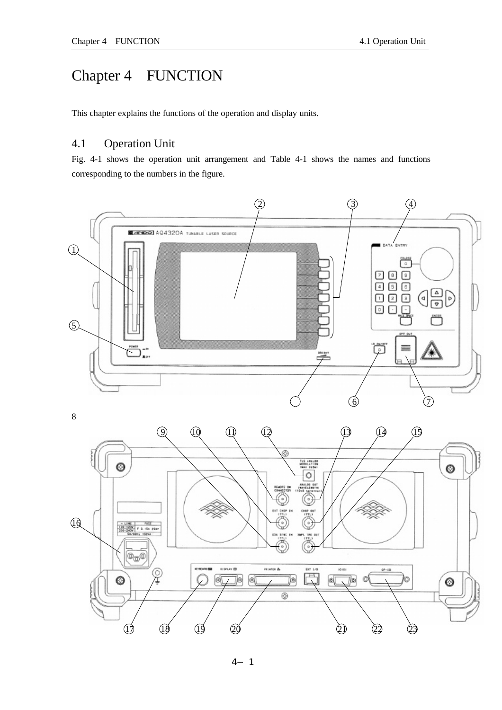## Chapter 4 FUNCTION

This chapter explains the functions of the operation and display units.

## 4.1 Operation Unit

Fig. 4-1 shows the operation unit arrangement and Table 4-1 shows the names and functions corresponding to the numbers in the figure.







4 1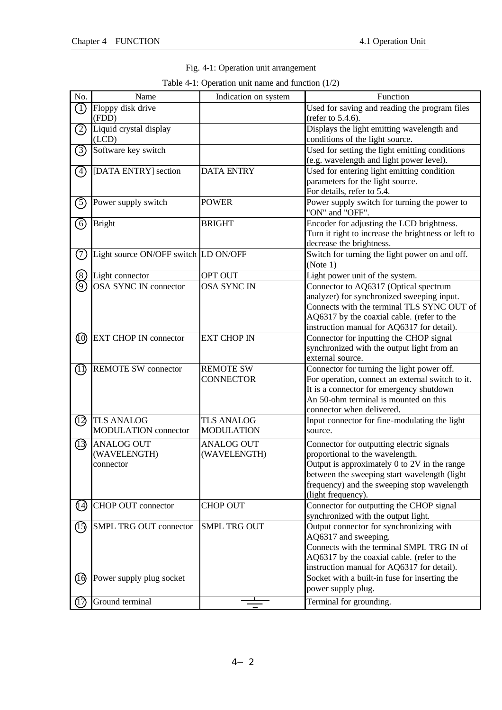|  | Fig. 4-1: Operation unit arrangement |
|--|--------------------------------------|
|  |                                      |

| Table 4-1: Operation unit name and function $(1/2)$ |  |  |  |  |  |  |
|-----------------------------------------------------|--|--|--|--|--|--|
|-----------------------------------------------------|--|--|--|--|--|--|

| No.                | Name                                 | Indication on system | Function                                            |
|--------------------|--------------------------------------|----------------------|-----------------------------------------------------|
| $\left( 1\right)$  | Floppy disk drive                    |                      | Used for saving and reading the program files       |
|                    | (FDD)                                |                      | (refer to $5.4.6$ ).                                |
| ②                  | Liquid crystal display               |                      | Displays the light emitting wavelength and          |
|                    | (LCD)                                |                      | conditions of the light source.                     |
| ③                  | Software key switch                  |                      | Used for setting the light emitting conditions      |
|                    |                                      |                      | (e.g. wavelength and light power level).            |
| 4                  | [DATA ENTRY] section                 | <b>DATA ENTRY</b>    | Used for entering light emitting condition          |
|                    |                                      |                      | parameters for the light source.                    |
|                    |                                      |                      | For details, refer to 5.4.                          |
| O)                 | Power supply switch                  | <b>POWER</b>         | Power supply switch for turning the power to        |
|                    |                                      |                      | "ON" and "OFF".                                     |
| 6                  | <b>Bright</b>                        | <b>BRIGHT</b>        | Encoder for adjusting the LCD brightness.           |
|                    |                                      |                      | Turn it right to increase the brightness or left to |
|                    |                                      |                      | decrease the brightness.                            |
| (7)                | Light source ON/OFF switch LD ON/OFF |                      | Switch for turning the light power on and off.      |
|                    |                                      |                      | (Note 1)                                            |
| (8)                | Light connector                      | OPT OUT              | Light power unit of the system.                     |
| 9)                 | <b>OSA SYNC IN connector</b>         | OSA SYNC IN          | Connector to AQ6317 (Optical spectrum               |
|                    |                                      |                      | analyzer) for synchronized sweeping input.          |
|                    |                                      |                      | Connects with the terminal TLS SYNC OUT of          |
|                    |                                      |                      | AQ6317 by the coaxial cable. (refer to the          |
|                    |                                      |                      | instruction manual for AQ6317 for detail).          |
| $\left( 0 \right)$ | <b>EXT CHOP IN connector</b>         | <b>EXT CHOP IN</b>   | Connector for inputting the CHOP signal             |
|                    |                                      |                      | synchronized with the output light from an          |
|                    |                                      |                      | external source.                                    |
| ⊕                  | <b>REMOTE SW connector</b>           | <b>REMOTE SW</b>     | Connector for turning the light power off.          |
|                    |                                      | <b>CONNECTOR</b>     | For operation, connect an external switch to it.    |
|                    |                                      |                      | It is a connector for emergency shutdown            |
|                    |                                      |                      | An 50-ohm terminal is mounted on this               |
|                    |                                      |                      | connector when delivered.                           |
| $\Omega$           | <b>TLS ANALOG</b>                    | <b>TLS ANALOG</b>    | Input connector for fine-modulating the light       |
|                    | <b>MODULATION</b> connector          | <b>MODULATION</b>    | source.                                             |
| ①                  | <b>ANALOG OUT</b>                    | <b>ANALOG OUT</b>    | Connector for outputting electric signals           |
|                    | (WAVELENGTH)                         | (WAVELENGTH)         | proportional to the wavelength.                     |
|                    | connector                            |                      | Output is approximately 0 to 2V in the range        |
|                    |                                      |                      | between the sweeping start wavelength (light        |
|                    |                                      |                      | frequency) and the sweeping stop wavelength         |
|                    |                                      |                      | (light frequency).                                  |
| (14)               | CHOP OUT connector                   | <b>CHOP OUT</b>      | Connector for outputting the CHOP signal            |
|                    |                                      |                      | synchronized with the output light.                 |
| ଊ                  | <b>SMPL TRG OUT connector</b>        | SMPL TRG OUT         | Output connector for synchronizing with             |
|                    |                                      |                      | AQ6317 and sweeping.                                |
|                    |                                      |                      | Connects with the terminal SMPL TRG IN of           |
|                    |                                      |                      | AQ6317 by the coaxial cable. (refer to the          |
|                    |                                      |                      | instruction manual for AQ6317 for detail).          |
| (16)               | Power supply plug socket             |                      | Socket with a built-in fuse for inserting the       |
|                    |                                      |                      | power supply plug.                                  |
| (17)               | Ground terminal                      |                      | Terminal for grounding.                             |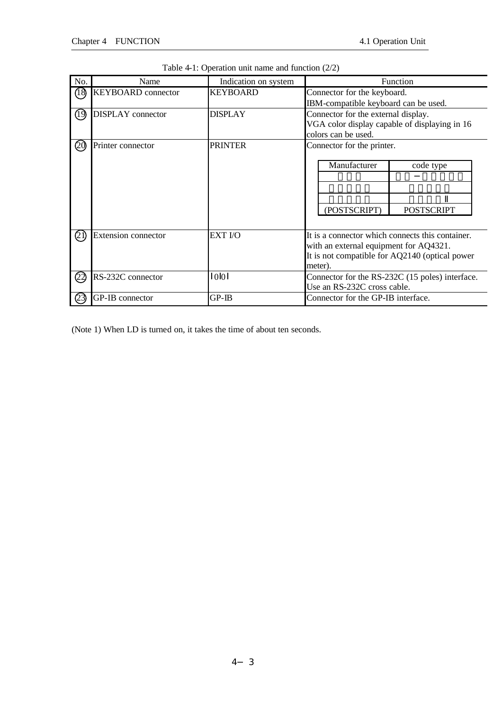| No.  | Name                       | Indication on system | Function                                                                                                                                                |  |  |
|------|----------------------------|----------------------|---------------------------------------------------------------------------------------------------------------------------------------------------------|--|--|
| (18) | <b>KEYBOARD</b> connector  | <b>KEYBOARD</b>      | Connector for the keyboard.                                                                                                                             |  |  |
| (19) | <b>DISPLAY</b> connector   | <b>DISPLAY</b>       | IBM-compatible keyboard can be used.<br>Connector for the external display.<br>VGA color display capable of displaying in 16<br>colors can be used.     |  |  |
| (20) | Printer connector          | <b>PRINTER</b>       | Connector for the printer.<br>Manufacturer<br>code type<br>(POSTSCRIPT)<br><b>POSTSCRIPT</b>                                                            |  |  |
| (21) | <b>Extension connector</b> | EXT I/O              | It is a connector which connects this container.<br>with an external equipment for AQ4321.<br>It is not compatible for AQ2140 (optical power<br>meter). |  |  |
| (22) | RS-232C connector          | 10101                | Connector for the RS-232C (15 poles) interface.<br>Use an RS-232C cross cable.                                                                          |  |  |
| (23) | GP-IB connector            | $GP$ - $IB$          | Connector for the GP-IB interface.                                                                                                                      |  |  |

| Table 4-1: Operation unit name and function $(2/2)$ |  |  |  |  |  |
|-----------------------------------------------------|--|--|--|--|--|
|-----------------------------------------------------|--|--|--|--|--|

(Note 1) When LD is turned on, it takes the time of about ten seconds.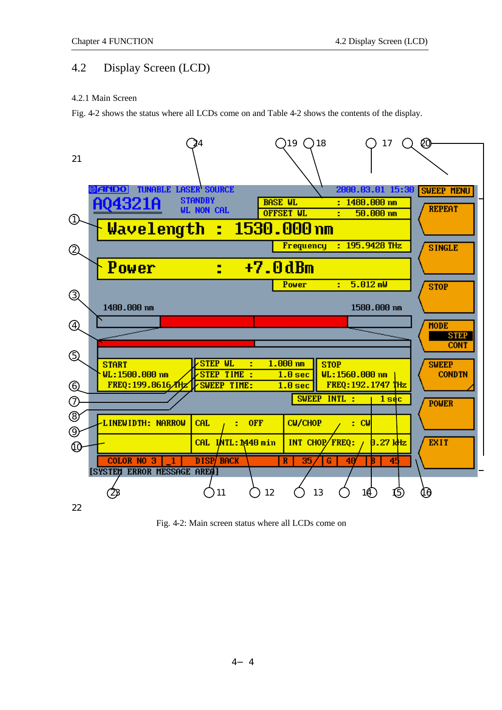## 4.2 Display Screen (LCD)

#### 4.2.1 Main Screen

Fig. 4-2 shows the status where all LCDs come on and Table 4-2 shows the contents of the display.



Fig. 4-2: Main screen status where all LCDs come on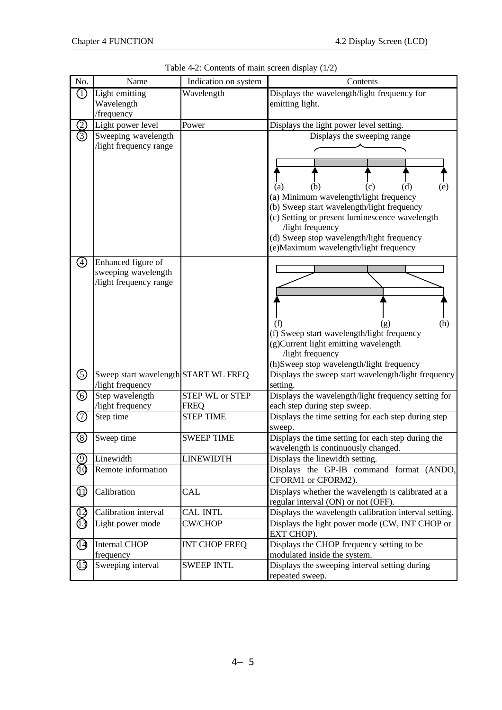| No.                            | Name                                         | Indication on system | Contents                                                                                  |
|--------------------------------|----------------------------------------------|----------------------|-------------------------------------------------------------------------------------------|
| $\textcircled{\scriptsize{1}}$ | Light emitting                               | Wavelength           | Displays the wavelength/light frequency for                                               |
|                                | Wavelength                                   |                      | emitting light.                                                                           |
|                                | /frequency                                   |                      |                                                                                           |
|                                | Light power level                            | Power                | Displays the light power level setting.                                                   |
| $\overline{\mathbb{S}}$        | Sweeping wavelength                          |                      | Displays the sweeping range                                                               |
|                                | /light frequency range                       |                      |                                                                                           |
|                                |                                              |                      |                                                                                           |
|                                |                                              |                      |                                                                                           |
|                                |                                              |                      |                                                                                           |
|                                |                                              |                      | (e)<br>(b)<br>(c)<br>(d)<br>(a)                                                           |
|                                |                                              |                      | (a) Minimum wavelength/light frequency                                                    |
|                                |                                              |                      | (b) Sweep start wavelength/light frequency                                                |
|                                |                                              |                      | (c) Setting or present luminescence wavelength<br>light frequency                         |
|                                |                                              |                      | (d) Sweep stop wavelength/light frequency                                                 |
|                                |                                              |                      | (e) Maximum wavelength/light frequency                                                    |
|                                |                                              |                      |                                                                                           |
| $\bigcirc$                     | Enhanced figure of                           |                      |                                                                                           |
|                                | sweeping wavelength<br>light frequency range |                      |                                                                                           |
|                                |                                              |                      |                                                                                           |
|                                |                                              |                      |                                                                                           |
|                                |                                              |                      |                                                                                           |
|                                |                                              |                      | (h)<br>(f)                                                                                |
|                                |                                              |                      | (f) Sweep start wavelength/light frequency                                                |
|                                |                                              |                      | (g)Current light emitting wavelength                                                      |
|                                |                                              |                      | light frequency                                                                           |
|                                |                                              |                      | (h)Sweep stop wavelength/light frequency                                                  |
| (5)                            | Sweep start wavelength START WL FREQ         |                      | Displays the sweep start wavelength/light frequency                                       |
|                                | light frequency                              |                      | setting.                                                                                  |
| ⑥                              | Step wavelength                              | STEP WL or STEP      | Displays the wavelength/light frequency setting for                                       |
|                                | light frequency                              | <b>FREQ</b>          | each step during step sweep.                                                              |
| $\oslash$                      | Step time                                    | <b>STEP TIME</b>     | Displays the time setting for each step during step                                       |
|                                |                                              |                      | sweep.                                                                                    |
| $^\circledR$                   | Sweep time                                   | <b>SWEEP TIME</b>    | Displays the time setting for each step during the<br>wavelength is continuously changed. |
| 0                              | Linewidth                                    | <b>LINEWIDTH</b>     | Displays the linewidth setting.                                                           |
| 10                             | Remote information                           |                      | Displays the GP-IB command format (ANDO,                                                  |
|                                |                                              |                      | CFORM1 or CFORM2).                                                                        |
| ⅏                              | Calibration                                  | CAL                  | Displays whether the wavelength is calibrated at a                                        |
|                                |                                              |                      | regular interval (ON) or not (OFF).                                                       |
| (12)                           | Calibration interval                         | <b>CAL INTL</b>      | Displays the wavelength calibration interval setting.                                     |
| (13)                           | Light power mode                             | <b>CW/CHOP</b>       | Displays the light power mode (CW, INT CHOP or                                            |
|                                |                                              |                      | EXT CHOP).                                                                                |
| ⑭                              | <b>Internal CHOP</b>                         | <b>INT CHOP FREQ</b> | Displays the CHOP frequency setting to be                                                 |
|                                | frequency                                    |                      | modulated inside the system.                                                              |
|                                | Sweeping interval                            | <b>SWEEP INTL</b>    | Displays the sweeping interval setting during                                             |
|                                |                                              |                      | repeated sweep.                                                                           |

Table 4-2: Contents of main screen display (1/2)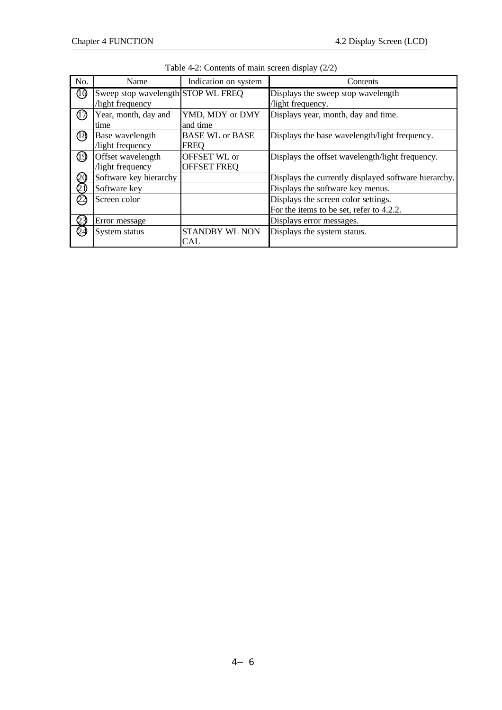| No.                           | Name                               | Indication on system   | Contents                                             |
|-------------------------------|------------------------------------|------------------------|------------------------------------------------------|
| $\theta$                      | Sweep stop wavelength STOP WL FREQ |                        | Displays the sweep stop wavelength                   |
|                               | light frequency                    |                        | light frequency.                                     |
| $\left( \overline{0} \right)$ | Year, month, day and               | YMD, MDY or DMY        | Displays year, month, day and time.                  |
|                               | time                               | and time               |                                                      |
| (18)                          | Base wavelength                    | <b>BASE WL or BASE</b> | Displays the base wavelength/light frequency.        |
|                               | light frequency                    | <b>FREQ</b>            |                                                      |
| (19)                          | Offset wavelength                  | OFFSET WL or           | Displays the offset wavelength/light frequency.      |
|                               | /light frequency                   | <b>OFFSET FREQ</b>     |                                                      |
| $\overline{Q}0$               | Software key hierarchy             |                        | Displays the currently displayed software hierarchy. |
| QD                            | Software key                       |                        | Displays the software key menus.                     |
| Ø)                            | Screen color                       |                        | Displays the screen color settings.                  |
|                               |                                    |                        | For the items to be set, refer to 4.2.2.             |
| 23                            | Error message                      |                        | Displays error messages.                             |
| Q4                            | System status                      | STANDBY WL NON         | Displays the system status.                          |
|                               |                                    | CAL                    |                                                      |

Table 4-2: Contents of main screen display (2/2)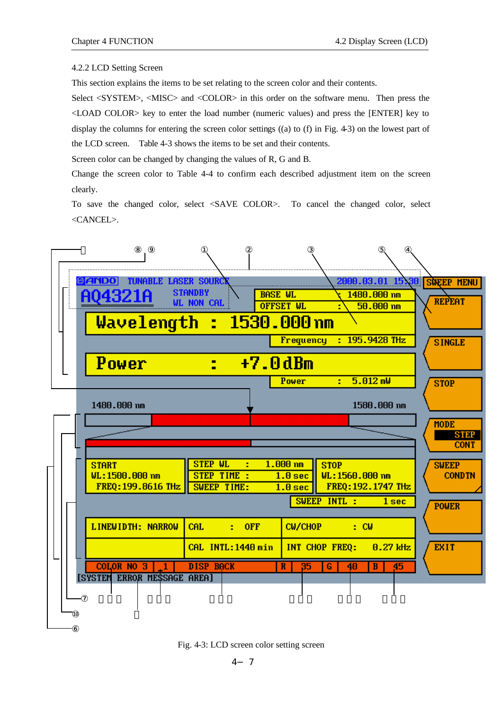#### 4.2.2 LCD Setting Screen

This section explains the items to be set relating to the screen color and their contents.

Select <SYSTEM>, <MISC> and <COLOR> in this order on the software menu. Then press the <LOAD COLOR> key to enter the load number (numeric values) and press the [ENTER] key to display the columns for entering the screen color settings ((a) to (f) in Fig. 4-3) on the lowest part of the LCD screen. Table 4-3 shows the items to be set and their contents.

Screen color can be changed by changing the values of R, G and B.

Change the screen color to Table 4-4 to confirm each described adjustment item on the screen clearly.

To save the changed color, select <SAVE COLOR>. To cancel the changed color, select <CANCEL>.





4 7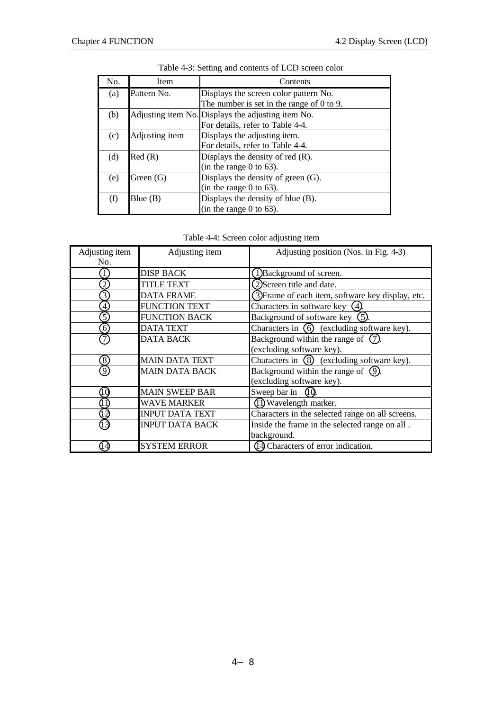| No. | Item           | Contents                                           |
|-----|----------------|----------------------------------------------------|
| (a) | Pattern No.    | Displays the screen color pattern No.              |
|     |                | The number is set in the range of $0$ to $9$ .     |
| (b) |                | Adjusting item No. Displays the adjusting item No. |
|     |                | For details, refer to Table 4-4.                   |
| (c) | Adjusting item | Displays the adjusting item.                       |
|     |                | For details, refer to Table 4-4.                   |
| (d) | Red(R)         | Displays the density of red $(R)$ .                |
|     |                | (in the range 0 to $63$ ).                         |
| (e) | Green (G)      | Displays the density of green (G).                 |
|     |                | (in the range $0$ to 63).                          |
| (f) | Blue (B)       | Displays the density of blue (B).                  |
|     |                | (in the range $0$ to 63).                          |

| Table 4-3: Setting and contents of LCD screen color |
|-----------------------------------------------------|
|-----------------------------------------------------|

Table 4-4: Screen color adjusting item

| Adjusting item   | Adjusting item         | Adjusting position (Nos. in Fig. 4-3)                       |
|------------------|------------------------|-------------------------------------------------------------|
| No.              |                        |                                                             |
|                  | <b>DISP BACK</b>       | (1) Background of screen.                                   |
| 2                | TITLE TEXT             | 2) Screen title and date.                                   |
| 3                | <b>DATA FRAME</b>      | (3) Frame of each item, software key display, etc.          |
| 4                | <b>FUNCTION TEXT</b>   | Characters in software key $(4)$                            |
| 5                | <b>FUNCTION BACK</b>   | Background of software key<br>(5)                           |
| $\overline{6}$   | <b>DATA TEXT</b>       | Characters in $\overline{6}$ (excluding software key).      |
|                  | <b>DATA BACK</b>       | Background within the range of $(7)$ .                      |
|                  |                        | (excluding software key).                                   |
| $\left[8\right]$ | <b>MAIN DATA TEXT</b>  | Characters in $\langle 8 \rangle$ (excluding software key). |
| 9                | <b>MAIN DATA BACK</b>  | Background within the range of $(9)$ .                      |
|                  |                        | (excluding software key).                                   |
|                  | <b>MAIN SWEEP BAR</b>  | Sweep bar in                                                |
|                  | <b>WAVE MARKER</b>     | (1) Wavelength marker.                                      |
|                  | <b>INPUT DATA TEXT</b> | Characters in the selected range on all screens.            |
|                  | <b>INPUT DATA BACK</b> | Inside the frame in the selected range on all.              |
|                  |                        | background.                                                 |
| 14)              | <b>SYSTEM ERROR</b>    | (14) Characters of error indication.                        |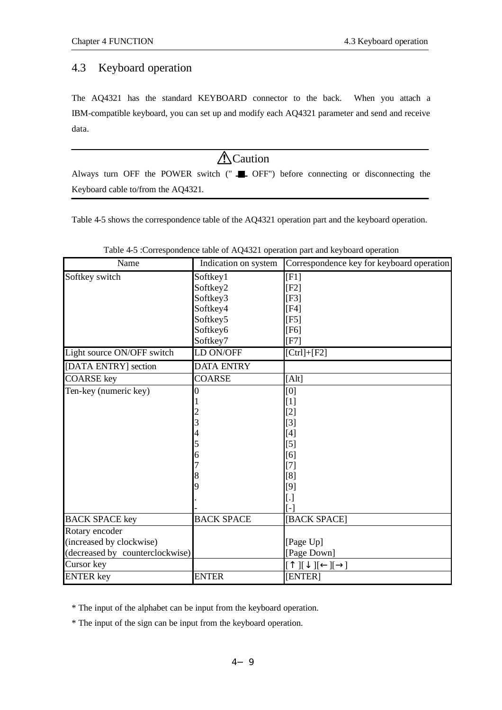## 4.3 Keyboard operation

The AQ4321 has the standard KEYBOARD connector to the back. When you attach a IBM-compatible keyboard, you can set up and modify each AQ4321 parameter and send and receive data.

**A**Caution Always turn OFF the POWER switch (" OFF") before connecting or disconnecting the Keyboard cable to/from the AQ4321.

Table 4-5 shows the correspondence table of the AQ4321 operation part and the keyboard operation.

| Name                            | Indication on system | Correspondence key for keyboard operation      |
|---------------------------------|----------------------|------------------------------------------------|
| Softkey switch                  | Softkey1             | [F1]                                           |
|                                 | Softkey2             | [F2]                                           |
|                                 | Softkey3             | [F3]                                           |
|                                 | Softkey4             | [F4]                                           |
|                                 | Softkey5             | [F5]                                           |
|                                 | Softkey6             | [F6]                                           |
|                                 | Softkey7             | $[$ F7 $]$                                     |
| Light source ON/OFF switch      | LD ON/OFF            | $[Ctrl]+[F2]$                                  |
| [DATA ENTRY] section            | <b>DATA ENTRY</b>    |                                                |
| <b>COARSE</b> key               | <b>COARSE</b>        | [Alt]                                          |
| Ten-key (numeric key)           | 0                    | [0]                                            |
|                                 |                      | $[1]$                                          |
|                                 |                      | $[2]$                                          |
|                                 | $\frac{2}{3}$        | $[3]$                                          |
|                                 | 4                    | $[4]$                                          |
|                                 | 5                    | $[5]$                                          |
|                                 | 6                    | [6]                                            |
|                                 | 7                    | $[7]$                                          |
|                                 | 8                    | [8]                                            |
|                                 | 9                    | $[9]$                                          |
|                                 |                      | [.]                                            |
|                                 |                      | $\lceil - \rceil$                              |
| <b>BACK SPACE key</b>           | <b>BACK SPACE</b>    | [BACK SPACE]                                   |
| Rotary encoder                  |                      |                                                |
| (increased by clockwise)        |                      | [Page Up]                                      |
| (decreased by counterclockwise) |                      | [Page Down]                                    |
| Cursor key                      |                      | $\mathcal{H}$<br>$\mathcal{I}$<br>$\mathbf{I}$ |
| <b>ENTER</b> key                | <b>ENTER</b>         | [ENTER]                                        |

Table 4-5 :Correspondence table of AQ4321 operation part and keyboard operation

\* The input of the alphabet can be input from the keyboard operation.

\* The input of the sign can be input from the keyboard operation.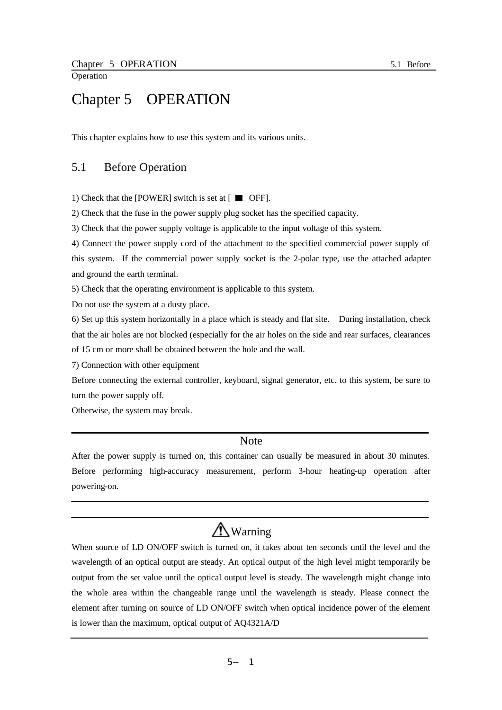## Chapter 5 OPERATION

This chapter explains how to use this system and its various units.

## 5.1 Before Operation

1) Check that the [POWER] switch is set at  $[$   $\blacksquare$  OFF].

2) Check that the fuse in the power supply plug socket has the specified capacity.

3) Check that the power supply voltage is applicable to the input voltage of this system.

4) Connect the power supply cord of the attachment to the specified commercial power supply of this system. If the commercial power supply socket is the 2-polar type, use the attached adapter and ground the earth terminal.

5) Check that the operating environment is applicable to this system.

Do not use the system at a dusty place.

6) Set up this system horizontally in a place which is steady and flat site. During installation, check that the air holes are not blocked (especially for the air holes on the side and rear surfaces, clearances of 15 cm or more shall be obtained between the hole and the wall.

7) Connection with other equipment

Before connecting the external controller, keyboard, signal generator, etc. to this system, be sure to turn the power supply off.

Otherwise, the system may break.

## Note

After the power supply is turned on, this container can usually be measured in about 30 minutes. Before performing high-accuracy measurement, perform 3-hour heating-up operation after powering-on.

# Warning

When source of LD ON/OFF switch is turned on, it takes about ten seconds until the level and the wavelength of an optical output are steady. An optical output of the high level might temporarily be output from the set value until the optical output level is steady. The wavelength might change into the whole area within the changeable range until the wavelength is steady. Please connect the element after turning on source of LD ON/OFF switch when optical incidence power of the element is lower than the maximum, optical output of AQ4321A/D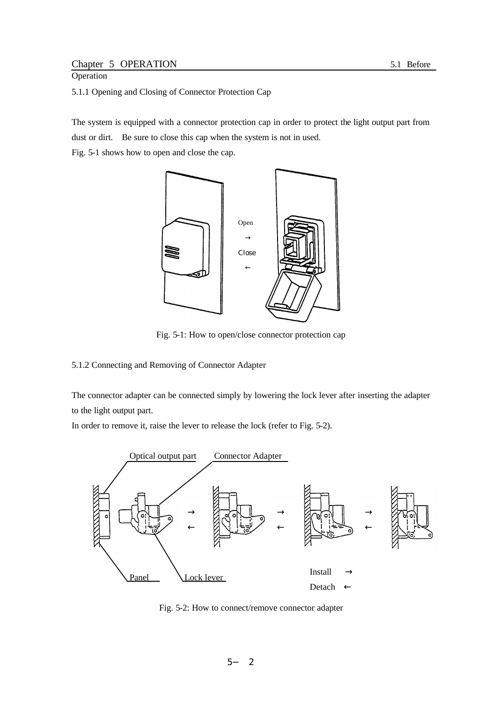## Chapter 5 OPERATION 5.1 Before

## **Operation**

5.1.1 Opening and Closing of Connector Protection Cap

The system is equipped with a connector protection cap in order to protect the light output part from dust or dirt. Be sure to close this cap when the system is not in used.

Fig. 5-1 shows how to open and close the cap.



Fig. 5-1: How to open/close connector protection cap

5.1.2 Connecting and Removing of Connector Adapter

The connector adapter can be connected simply by lowering the lock lever after inserting the adapter to the light output part.

In order to remove it, raise the lever to release the lock (refer to Fig. 5-2).



Fig. 5-2: How to connect/remove connector adapter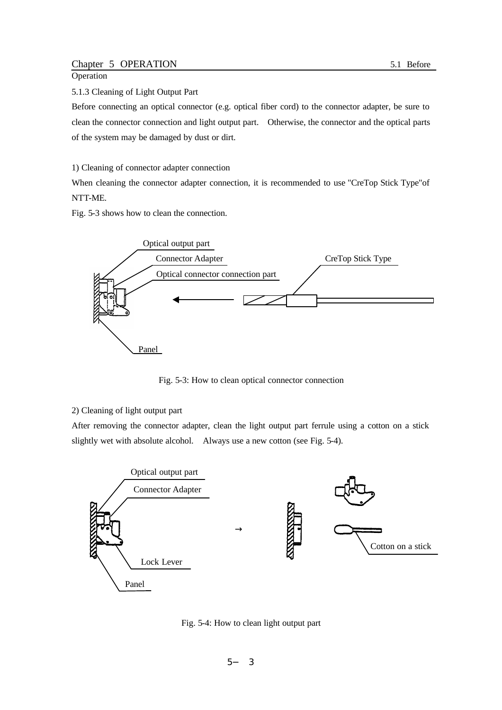Operation

5.1.3 Cleaning of Light Output Part

Before connecting an optical connector (e.g. optical fiber cord) to the connector adapter, be sure to clean the connector connection and light output part. Otherwise, the connector and the optical parts of the system may be damaged by dust or dirt.

1) Cleaning of connector adapter connection

When cleaning the connector adapter connection, it is recommended to use "CreTop Stick Type"of NTT-ME.

Fig. 5-3 shows how to clean the connection.



Fig. 5-3: How to clean optical connector connection

2) Cleaning of light output part

After removing the connector adapter, clean the light output part ferrule using a cotton on a stick slightly wet with absolute alcohol. Always use a new cotton (see Fig. 5-4).



Fig. 5-4: How to clean light output part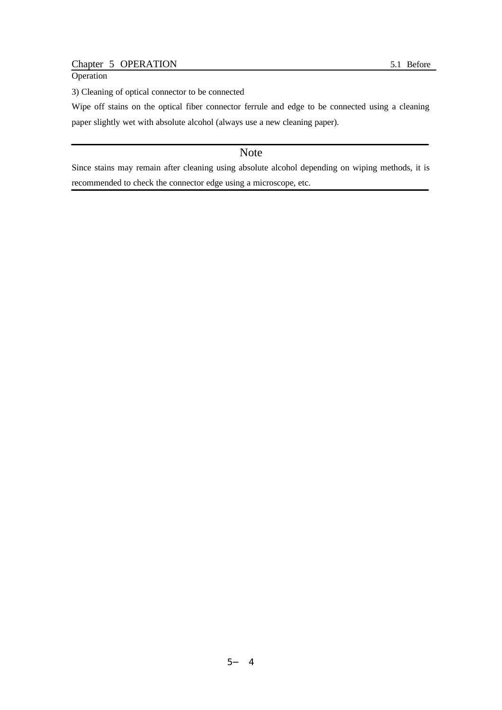## Chapter 5 OPERATION 5.1 Before

**Operation** 

3) Cleaning of optical connector to be connected

Wipe off stains on the optical fiber connector ferrule and edge to be connected using a cleaning paper slightly wet with absolute alcohol (always use a new cleaning paper).

## Note

Since stains may remain after cleaning using absolute alcohol depending on wiping methods, it is recommended to check the connector edge using a microscope, etc.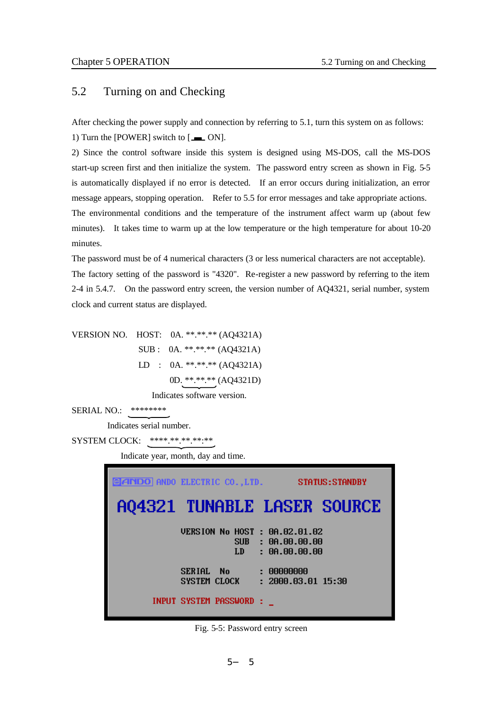## 5.2 Turning on and Checking

After checking the power supply and connection by referring to 5.1, turn this system on as follows: 1) Turn the [POWER] switch to  $[\_\_$  ON].

2) Since the control software inside this system is designed using MS-DOS, call the MS-DOS start-up screen first and then initialize the system. The password entry screen as shown in Fig. 5-5 is automatically displayed if no error is detected. If an error occurs during initialization, an error message appears, stopping operation. Refer to 5.5 for error messages and take appropriate actions. The environmental conditions and the temperature of the instrument affect warm up (about few minutes). It takes time to warm up at the low temperature or the high temperature for about 10-20 minutes.

The password must be of 4 numerical characters (3 or less numerical characters are not acceptable). The factory setting of the password is "4320". Re-register a new password by referring to the item 2-4 in 5.4.7. On the password entry screen, the version number of AQ4321, serial number, system clock and current status are displayed.

VERSION NO. HOST: 0A. \*\*.\*\*.\*\* (AQ4321A) SUB : 0A. \*\*.\*\*.\*\* (AQ4321A)  $LD : 0A. **.**.*(AO4321A)$ 0D. \*\*.\*\*.\*\* (AQ4321D)

Indicates software version.

SERIAL NO.: \*\*\*\*\*\*\*\*

Indicates serial number.

```
SYSTEM CLOCK: ***************
```
Indicate year, month, day and time.



Fig. 5-5: Password entry screen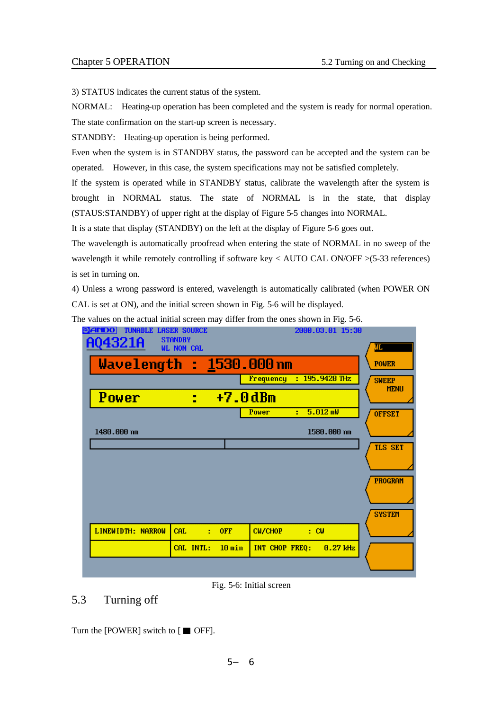3) STATUS indicates the current status of the system.

NORMAL: Heating-up operation has been completed and the system is ready for normal operation. The state confirmation on the start-up screen is necessary.

STANDBY: Heating-up operation is being performed.

Even when the system is in STANDBY status, the password can be accepted and the system can be operated. However, in this case, the system specifications may not be satisfied completely.

If the system is operated while in STANDBY status, calibrate the wavelength after the system is brought in NORMAL status. The state of NORMAL is in the state, that display (STAUS:STANDBY) of upper right at the display of Figure 5-5 changes into NORMAL.

It is a state that display (STANDBY) on the left at the display of Figure 5-6 goes out.

The wavelength is automatically proofread when entering the state of NORMAL in no sweep of the wavelength it while remotely controlling if software key < AUTO CAL ON/OFF >(5-33 references) is set in turning on.

4) Unless a wrong password is entered, wavelength is automatically calibrated (when POWER ON CAL is set at ON), and the initial screen shown in Fig. 5-6 will be displayed.

The values on the actual initial screen may differ from the ones shown in Fig. 5-6.

| gandu<br>- TUNHBLE LHSEK SUUKCE |                                     |                  |                | 2000.03.01 15:30         |            |                |
|---------------------------------|-------------------------------------|------------------|----------------|--------------------------|------------|----------------|
| AQ4321A                         | <b>STANDBY</b><br><b>WL NON CAL</b> |                  |                |                          |            | IJГ.           |
| Wavelength : 1530.000 nm        |                                     |                  |                |                          |            | <b>POWER</b>   |
|                                 |                                     |                  |                | Frequency : 195.9428 THz |            | <b>SWEEP</b>   |
| Power                           | -2                                  |                  | $+7.0dBm$      |                          |            | <b>MENU</b>    |
|                                 |                                     |                  | Power          | 5.012 mW<br>÷            |            | <b>OFFSET</b>  |
| 1480.000 nm                     |                                     |                  |                | 1580.000 nm              |            |                |
|                                 |                                     |                  |                |                          |            | <b>TLS SET</b> |
|                                 |                                     |                  |                |                          |            |                |
|                                 |                                     |                  |                |                          |            | <b>PROGRAM</b> |
|                                 |                                     |                  |                |                          |            |                |
|                                 |                                     |                  |                |                          |            | <b>SYSTEM</b>  |
| LINEWIDTH: NARROW               | <b>CAL</b>                          | <b>OFF</b><br>a. | <b>CW/CHOP</b> | i de c⊎                  |            |                |
|                                 | CAL INTL:                           | 10min            | INT CHOP FREQ: |                          | $0.27$ kHz |                |
|                                 |                                     |                  |                |                          |            |                |
|                                 |                                     |                  |                |                          |            |                |

Fig. 5-6: Initial screen

## 5.3 Turning off

Turn the  $[POWER]$  switch to  $[□$  OFF].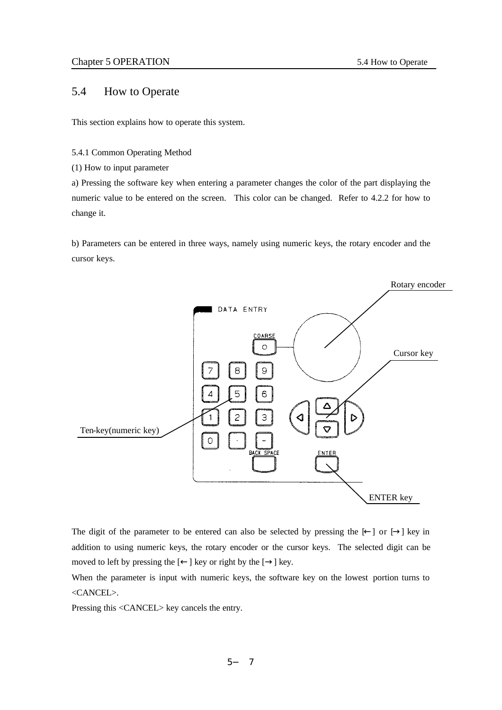## 5.4 How to Operate

This section explains how to operate this system.

#### 5.4.1 Common Operating Method

(1) How to input parameter

a) Pressing the software key when entering a parameter changes the color of the part displaying the numeric value to be entered on the screen. This color can be changed. Refer to 4.2.2 for how to change it.

b) Parameters can be entered in three ways, namely using numeric keys, the rotary encoder and the cursor keys.



The digit of the parameter to be entered can also be selected by pressing the  $\lceil \cdot \rceil$  or  $\lceil \cdot \rceil$  key in addition to using numeric keys, the rotary encoder or the cursor keys. The selected digit can be moved to left by pressing the  $\lceil \quad \rceil$  key or right by the  $\lceil \quad \rceil$  key.

When the parameter is input with numeric keys, the software key on the lowest portion turns to <CANCEL>.

Pressing this <CANCEL> key cancels the entry.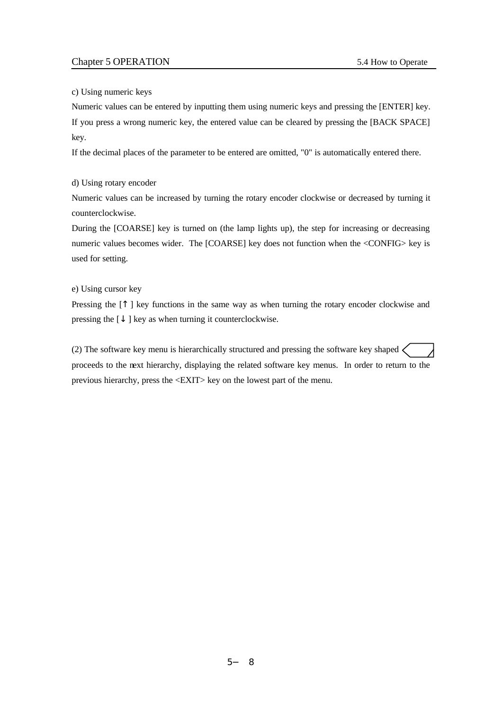#### c) Using numeric keys

Numeric values can be entered by inputting them using numeric keys and pressing the [ENTER] key. If you press a wrong numeric key, the entered value can be cleared by pressing the [BACK SPACE] key.

If the decimal places of the parameter to be entered are omitted, "0" is automatically entered there.

#### d) Using rotary encoder

Numeric values can be increased by turning the rotary encoder clockwise or decreased by turning it counterclockwise.

During the [COARSE] key is turned on (the lamp lights up), the step for increasing or decreasing numeric values becomes wider. The [COARSE] key does not function when the <CONFIG> key is used for setting.

#### e) Using cursor key

Pressing the  $\lceil \ \rceil$  key functions in the same way as when turning the rotary encoder clockwise and pressing the [ ] key as when turning it counterclockwise.

(2) The software key menu is hierarchically structured and pressing the software key shaped proceeds to the next hierarchy, displaying the related software key menus. In order to return to the previous hierarchy, press the <EXIT> key on the lowest part of the menu.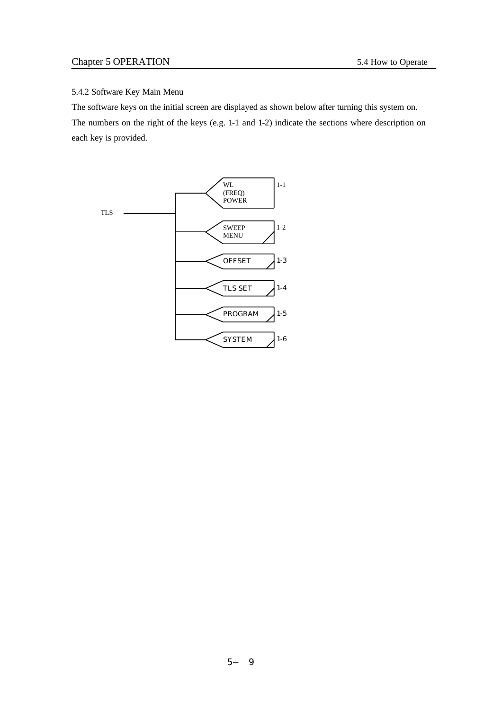## 5.4.2 Software Key Main Menu

The software keys on the initial screen are displayed as shown below after turning this system on. The numbers on the right of the keys (e.g. 1-1 and 1-2) indicate the sections where description on each key is provided.

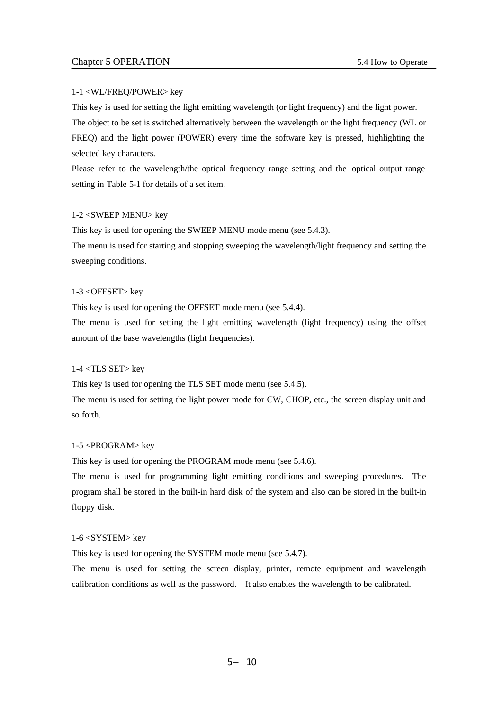#### 1-1 <WL/FREQ/POWER> key

This key is used for setting the light emitting wavelength (or light frequency) and the light power. The object to be set is switched alternatively between the wavelength or the light frequency (WL or FREQ) and the light power (POWER) every time the software key is pressed, highlighting the selected key characters.

Please refer to the wavelength/the optical frequency range setting and the optical output range setting in Table 5-1 for details of a set item.

#### 1-2 <SWEEP MENU> key

This key is used for opening the SWEEP MENU mode menu (see 5.4.3).

The menu is used for starting and stopping sweeping the wavelength/light frequency and setting the sweeping conditions.

#### 1-3 <OFFSET> key

This key is used for opening the OFFSET mode menu (see 5.4.4).

The menu is used for setting the light emitting wavelength (light frequency) using the offset amount of the base wavelengths (light frequencies).

#### 1-4 <TLS SET> key

This key is used for opening the TLS SET mode menu (see 5.4.5).

The menu is used for setting the light power mode for CW, CHOP, etc., the screen display unit and so forth.

#### 1-5 <PROGRAM> key

This key is used for opening the PROGRAM mode menu (see 5.4.6).

The menu is used for programming light emitting conditions and sweeping procedures. The program shall be stored in the built-in hard disk of the system and also can be stored in the built-in floppy disk.

#### 1-6 <SYSTEM> key

This key is used for opening the SYSTEM mode menu (see 5.4.7).

The menu is used for setting the screen display, printer, remote equipment and wavelength calibration conditions as well as the password. It also enables the wavelength to be calibrated.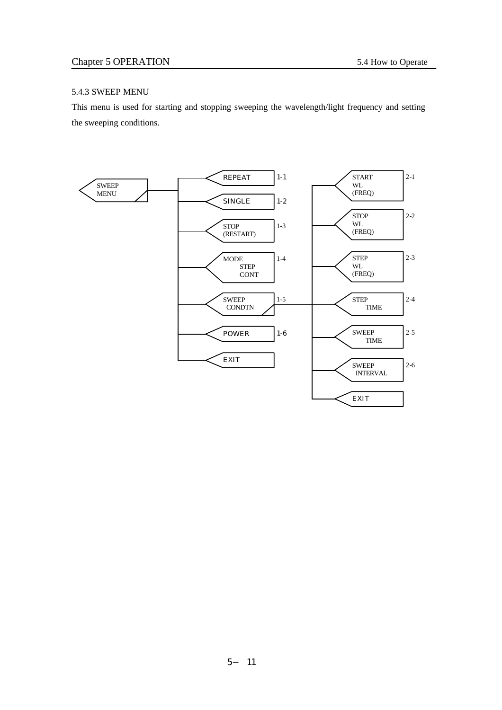## 5.4.3 SWEEP MENU

This menu is used for starting and stopping sweeping the wavelength/light frequency and setting the sweeping conditions.

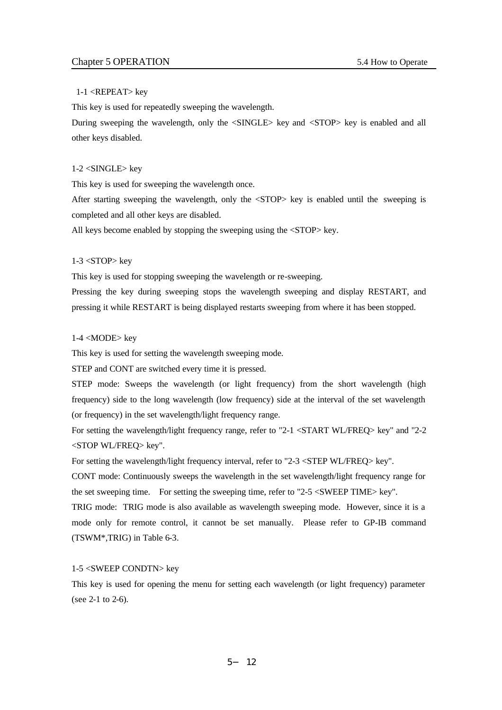#### 1-1 <REPEAT> key

This key is used for repeatedly sweeping the wavelength.

During sweeping the wavelength, only the  $\langle$ SINGLE> key and  $\langle$ STOP> key is enabled and all other keys disabled.

#### 1-2 <SINGLE> key

This key is used for sweeping the wavelength once.

After starting sweeping the wavelength, only the <STOP> key is enabled until the sweeping is completed and all other keys are disabled.

All keys become enabled by stopping the sweeping using the <STOP> key.

#### 1-3 <STOP> key

This key is used for stopping sweeping the wavelength or re-sweeping.

Pressing the key during sweeping stops the wavelength sweeping and display RESTART, and pressing it while RESTART is being displayed restarts sweeping from where it has been stopped.

#### 1-4 <MODE> key

This key is used for setting the wavelength sweeping mode.

STEP and CONT are switched every time it is pressed.

STEP mode: Sweeps the wavelength (or light frequency) from the short wavelength (high frequency) side to the long wavelength (low frequency) side at the interval of the set wavelength (or frequency) in the set wavelength/light frequency range.

For setting the wavelength/light frequency range, refer to "2-1 <START WL/FREQ> key" and "2-2 <STOP WL/FREQ> key".

For setting the wavelength/light frequency interval, refer to "2-3 <STEP WL/FREQ> key".

CONT mode: Continuously sweeps the wavelength in the set wavelength/light frequency range for the set sweeping time. For setting the sweeping time, refer to "2-5 <SWEEP TIME> key".

TRIG mode: TRIG mode is also available as wavelength sweeping mode. However, since it is a mode only for remote control, it cannot be set manually. Please refer to GP-IB command (TSWM\*,TRIG) in Table 6-3.

#### 1-5 <SWEEP CONDTN> key

This key is used for opening the menu for setting each wavelength (or light frequency) parameter (see 2-1 to 2-6).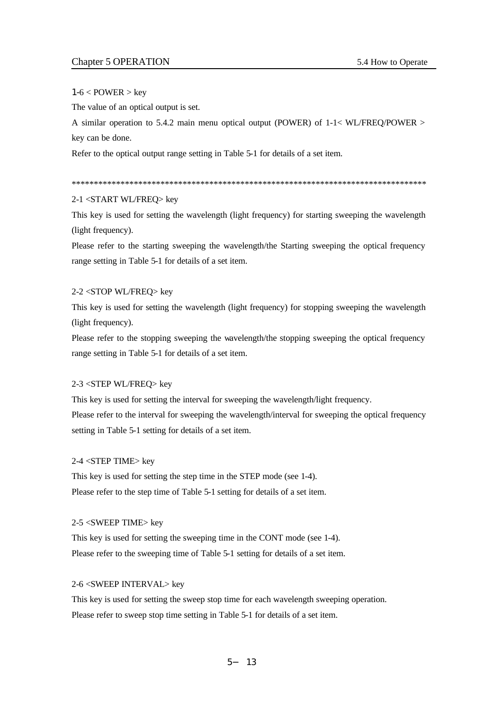#### $1-6 <$  POWER  $>$  key

The value of an optical output is set.

A similar operation to 5.4.2 main menu optical output (POWER) of 1-1< WL/FREQ/POWER > key can be done.

Refer to the optical output range setting in Table 5-1 for details of a set item.

\*\*\*\*\*\*\*\*\*\*\*\*\*\*\*\*\*\*\*\*\*\*\*\*\*\*\*\*\*\*\*\*\*\*\*\*\*\*\*\*\*\*\*\*\*\*\*\*\*\*\*\*\*\*\*\*\*\*\*\*\*\*\*\*\*\*\*\*\*\*\*\*\*\*\*\*\*\*\*\*

#### 2-1 <START WL/FREQ> key

This key is used for setting the wavelength (light frequency) for starting sweeping the wavelength (light frequency).

Please refer to the starting sweeping the wavelength/the Starting sweeping the optical frequency range setting in Table 5-1 for details of a set item.

#### 2-2 <STOP WL/FREQ> key

This key is used for setting the wavelength (light frequency) for stopping sweeping the wavelength (light frequency).

Please refer to the stopping sweeping the wavelength/the stopping sweeping the optical frequency range setting in Table 5-1 for details of a set item.

#### 2-3 <STEP WL/FREQ> key

This key is used for setting the interval for sweeping the wavelength/light frequency. Please refer to the interval for sweeping the wavelength/interval for sweeping the optical frequency setting in Table 5-1 setting for details of a set item.

#### 2-4 <STEP TIME> key

This key is used for setting the step time in the STEP mode (see 1-4). Please refer to the step time of Table 5-1 setting for details of a set item.

#### 2-5 <SWEEP TIME> key

This key is used for setting the sweeping time in the CONT mode (see 1-4). Please refer to the sweeping time of Table 5-1 setting for details of a set item.

#### 2-6 <SWEEP INTERVAL> key

This key is used for setting the sweep stop time for each wavelength sweeping operation. Please refer to sweep stop time setting in Table 5-1 for details of a set item.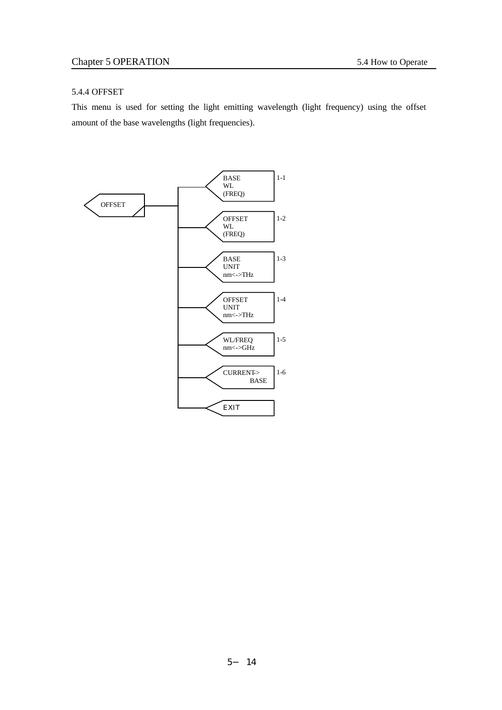## 5.4.4 OFFSET

This menu is used for setting the light emitting wavelength (light frequency) using the offset amount of the base wavelengths (light frequencies).

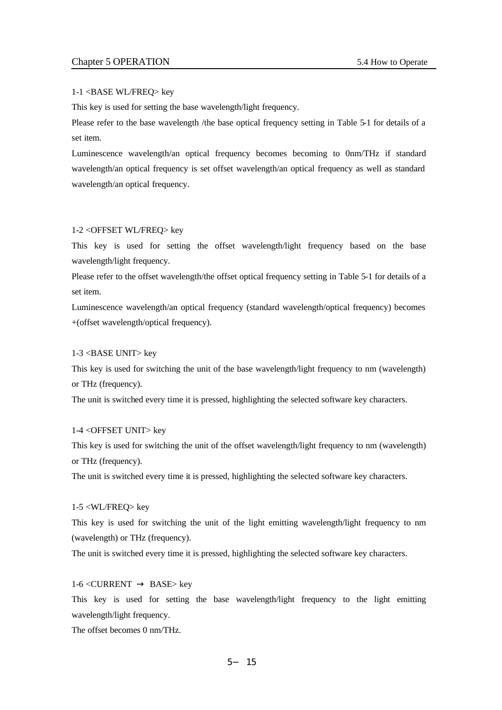#### 1-1 <BASE WL/FREQ> key

This key is used for setting the base wavelength/light frequency.

Please refer to the base wavelength /the base optical frequency setting in Table 5-1 for details of a set item.

Luminescence wavelength/an optical frequency becomes becoming to 0nm/THz if standard wavelength/an optical frequency is set offset wavelength/an optical frequency as well as standard wavelength/an optical frequency.

#### 1-2 <OFFSET WL/FREQ> key

This key is used for setting the offset wavelength/light frequency based on the base wavelength/light frequency.

Please refer to the offset wavelength/the offset optical frequency setting in Table 5-1 for details of a set item.

Luminescence wavelength/an optical frequency (standard wavelength/optical frequency) becomes +(offset wavelength/optical frequency).

#### 1-3 <BASE UNIT> key

This key is used for switching the unit of the base wavelength/light frequency to nm (wavelength) or THz (frequency).

The unit is switched every time it is pressed, highlighting the selected software key characters.

#### 1-4 <OFFSET UNIT> key

This key is used for switching the unit of the offset wavelength/light frequency to nm (wavelength) or THz (frequency).

The unit is switched every time it is pressed, highlighting the selected software key characters.

#### 1-5 <WL/FREQ> key

This key is used for switching the unit of the light emitting wavelength/light frequency to nm (wavelength) or THz (frequency).

The unit is switched every time it is pressed, highlighting the selected software key characters.

#### 1-6 <CURRENT BASE> key

This key is used for setting the base wavelength/light frequency to the light emitting wavelength/light frequency.

The offset becomes 0 nm/THz.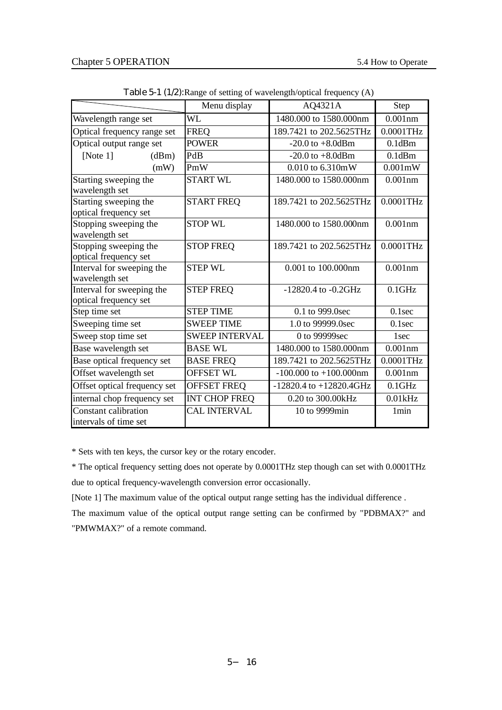|                                                    | Menu display          | AQ4321A                      | Step             |
|----------------------------------------------------|-----------------------|------------------------------|------------------|
| Wavelength range set                               | WL                    | 1480,000 to 1580,000nm       | $0.001$ nm       |
| Optical frequency range set                        | <b>FREQ</b>           | 189.7421 to 202.5625THz      | 0.0001THz        |
| Optical output range set                           | <b>POWER</b>          | $-20.0$ to $+8.0$ dBm        | $0.1$ d $Bm$     |
| [Note $1$ ]<br>(dBm)                               | PdB                   | $-20.0$ to $+8.0$ dBm        | $0.1$ d $Bm$     |
| (mW)                                               | PmW                   | 0.010 to 6.310mW             | 0.001mW          |
| Starting sweeping the<br>wavelength set            | <b>START WL</b>       | 1480,000 to 1580,000nm       | $0.001$ nm       |
| Starting sweeping the<br>optical frequency set     | <b>START FREQ</b>     | 189.7421 to 202.5625THz      | $0.0001$ THz     |
| Stopping sweeping the<br>wavelength set            | <b>STOP WL</b>        | 1480,000 to 1580,000nm       | $0.001$ nm       |
| Stopping sweeping the<br>optical frequency set     | <b>STOP FREQ</b>      | 189.7421 to 202.5625THz      |                  |
| Interval for sweeping the<br>wavelength set        | <b>STEP WL</b>        | 0.001 to 100.000nm           | $0.001$ nm       |
| Interval for sweeping the<br>optical frequency set | <b>STEP FREQ</b>      | $-12820.4$ to $-0.2$ GHz     | $0.1$ GHz        |
| Step time set                                      | <b>STEP TIME</b>      | 0.1 to 999.0sec              | $0.1$ sec        |
| Sweeping time set                                  | <b>SWEEP TIME</b>     | 1.0 to 99999.0sec            | $0.1$ sec        |
| Sweep stop time set                                | <b>SWEEP INTERVAL</b> | 0 to 99999sec                | 1 <sub>sec</sub> |
| Base wavelength set                                | <b>BASE WL</b>        | 1480,000 to 1580,000nm       | $0.001$ nm       |
| Base optical frequency set                         | <b>BASE FREQ</b>      | 189.7421 to 202.5625THz      | 0.0001THz        |
| Offset wavelength set                              | <b>OFFSET WL</b>      | $-100.000$ to $+100.000$ nm  | $0.001$ nm       |
| Offset optical frequency set                       | <b>OFFSET FREQ</b>    | $-12820.4$ to $+12820.4$ GHz | $0.1$ GHz        |
| internal chop frequency set                        | <b>INT CHOP FREQ</b>  | 0.20 to 300.00kHz            | 0.01kHz          |
| Constant calibration<br>intervals of time set      | <b>CAL INTERVAL</b>   | 10 to 9999min                | 1 <sub>min</sub> |

Table 5-1 (1/2):Range of setting of wavelength/optical frequency (A)

\* Sets with ten keys, the cursor key or the rotary encoder.

\* The optical frequency setting does not operate by 0.0001THz step though can set with 0.0001THz due to optical frequency-wavelength conversion error occasionally.

[Note 1] The maximum value of the optical output range setting has the individual difference .

The maximum value of the optical output range setting can be confirmed by "PDBMAX?" and "PMWMAX?" of a remote command.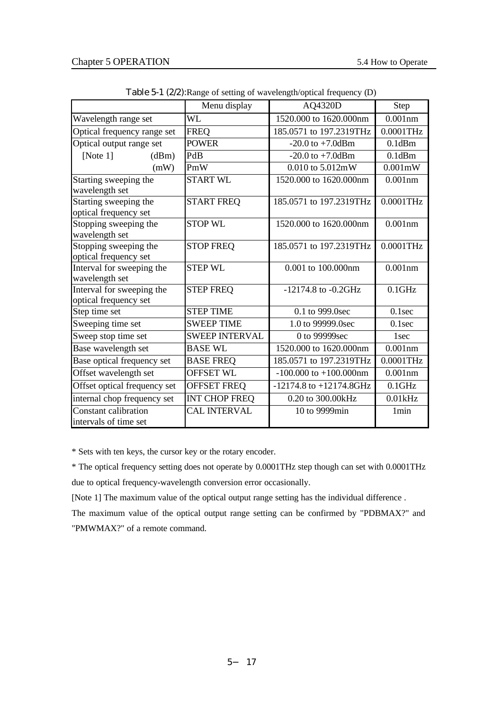|                                                    | Menu display          | AQ4320D                      | <b>Step</b>      |
|----------------------------------------------------|-----------------------|------------------------------|------------------|
| Wavelength range set                               | WL                    | 1520,000 to 1620,000nm       | $0.001$ nm       |
| Optical frequency range set                        | <b>FREQ</b>           | 185.0571 to 197.2319THz      | 0.0001THz        |
| Optical output range set                           | <b>POWER</b>          | $-20.0$ to $+7.0$ dBm        | $0.1$ d $Bm$     |
| [Note $1$ ]<br>(dBm)                               | PdB                   | $-20.0$ to $+7.0$ dBm        | $0.1$ d $Bm$     |
| (mW)                                               | PmW                   | $0.010$ to $5.012$ mW        | 0.001mW          |
| Starting sweeping the<br>wavelength set            | <b>START WL</b>       | 1520,000 to 1620,000nm       | $0.001$ nm       |
| Starting sweeping the<br>optical frequency set     | <b>START FREQ</b>     | 185.0571 to 197.2319THz      | $0.0001$ THz     |
| Stopping sweeping the<br>wavelength set            | <b>STOP WL</b>        | 1520,000 to 1620,000nm       | $0.001$ nm       |
| Stopping sweeping the<br>optical frequency set     | <b>STOP FREQ</b>      | 185.0571 to 197.2319THz      | 0.0001THz        |
| Interval for sweeping the<br>wavelength set        | <b>STEP WL</b>        | 0.001 to 100.000nm           | $0.001$ nm       |
| Interval for sweeping the<br>optical frequency set | <b>STEP FREQ</b>      | $-12174.8$ to $-0.2$ GHz     | $0.1$ GHz        |
| Step time set                                      | <b>STEP TIME</b>      | 0.1 to 999.0sec              | $0.1$ sec        |
| Sweeping time set                                  | <b>SWEEP TIME</b>     | 1.0 to 99999.0sec            | $0.1$ sec        |
| Sweep stop time set                                | <b>SWEEP INTERVAL</b> | 0 to 99999sec                | 1 <sub>sec</sub> |
| Base wavelength set                                | <b>BASE WL</b>        | 1520,000 to 1620,000nm       | $0.001$ nm       |
| Base optical frequency set                         | <b>BASE FREQ</b>      | 185.0571 to 197.2319THz      | 0.0001THz        |
| Offset wavelength set                              | <b>OFFSET WL</b>      | $-100.000$ to $+100.000$ nm  | $0.001$ nm       |
| Offset optical frequency set                       | <b>OFFSET FREQ</b>    | $-12174.8$ to $+12174.8$ GHz | $0.1$ GHz        |
| internal chop frequency set                        | <b>INT CHOP FREQ</b>  | 0.20 to 300.00kHz            | 0.01kHz          |
| Constant calibration<br>intervals of time set      | <b>CAL INTERVAL</b>   | 10 to 9999min                | 1 <sub>min</sub> |

Table 5-1 (2/2):Range of setting of wavelength/optical frequency (D)

\* Sets with ten keys, the cursor key or the rotary encoder.

\* The optical frequency setting does not operate by 0.0001THz step though can set with 0.0001THz due to optical frequency-wavelength conversion error occasionally.

[Note 1] The maximum value of the optical output range setting has the individual difference .

The maximum value of the optical output range setting can be confirmed by "PDBMAX?" and "PMWMAX?" of a remote command.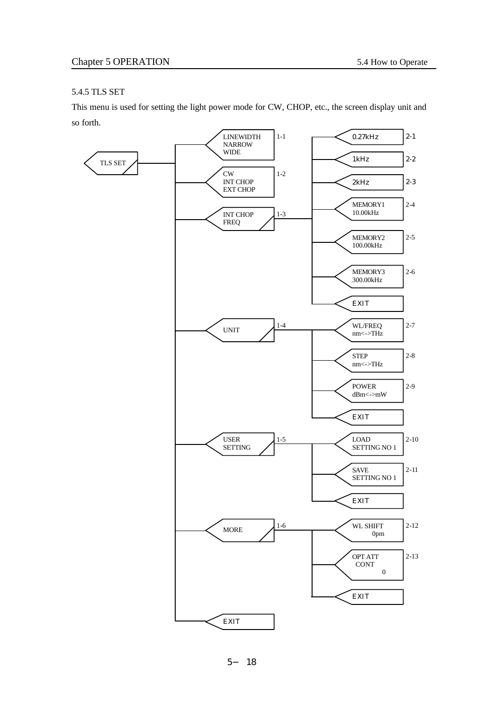## 5.4.5 TLS SET

This menu is used for setting the light power mode for CW, CHOP, etc., the screen display unit and so forth.

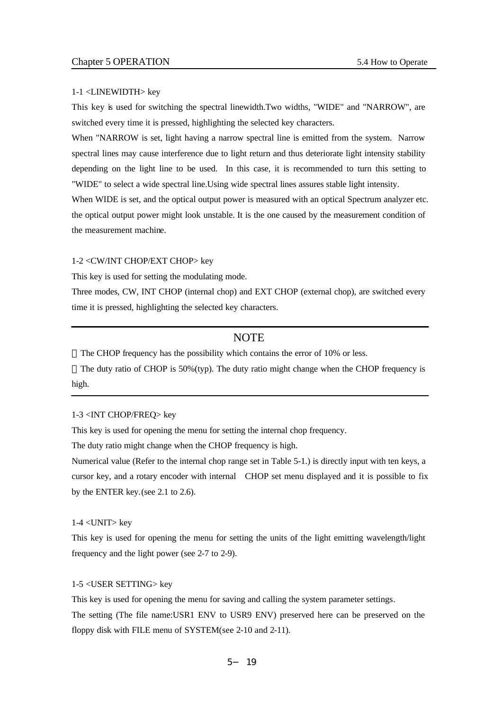#### 1-1 <LINEWIDTH> key

This key is used for switching the spectral linewidth.Two widths, "WIDE" and "NARROW", are switched every time it is pressed, highlighting the selected key characters.

When "NARROW is set, light having a narrow spectral line is emitted from the system. Narrow spectral lines may cause interference due to light return and thus deteriorate light intensity stability depending on the light line to be used. In this case, it is recommended to turn this setting to "WIDE" to select a wide spectral line.Using wide spectral lines assures stable light intensity.

When WIDE is set, and the optical output power is measured with an optical Spectrum analyzer etc. the optical output power might look unstable. It is the one caused by the measurement condition of the measurement machine.

#### 1-2 <CW/INT CHOP/EXT CHOP> key

This key is used for setting the modulating mode.

Three modes, CW, INT CHOP (internal chop) and EXT CHOP (external chop), are switched every time it is pressed, highlighting the selected key characters.

## **NOTE**

The CHOP frequency has the possibility which contains the error of 10% or less.

The duty ratio of CHOP is 50%(typ). The duty ratio might change when the CHOP frequency is high.

#### 1-3 <INT CHOP/FREQ> key

This key is used for opening the menu for setting the internal chop frequency.

The duty ratio might change when the CHOP frequency is high.

Numerical value (Refer to the internal chop range set in Table 5-1.) is directly input with ten keys, a cursor key, and a rotary encoder with internal CHOP set menu displayed and it is possible to fix by the ENTER key.(see 2.1 to 2.6).

#### 1-4 <UNIT> key

This key is used for opening the menu for setting the units of the light emitting wavelength/light frequency and the light power (see 2-7 to 2-9).

#### 1-5 <USER SETTING> key

This key is used for opening the menu for saving and calling the system parameter settings. The setting (The file name:USR1 ENV to USR9 ENV) preserved here can be preserved on the floppy disk with FILE menu of SYSTEM(see 2-10 and 2-11).

5 19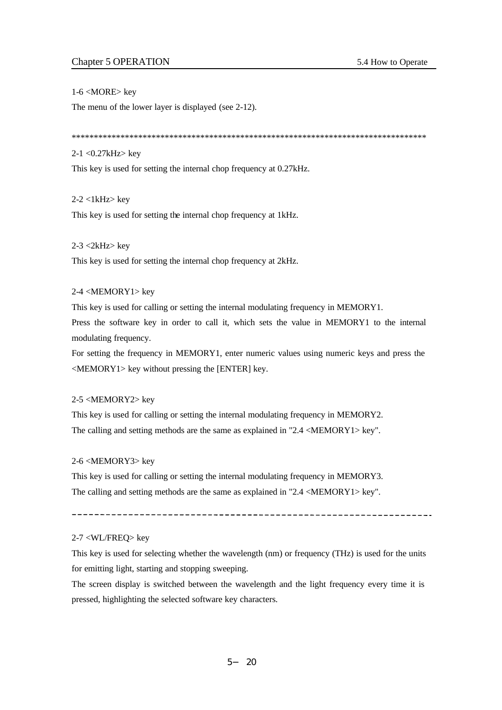1-6 <MORE> key

The menu of the lower layer is displayed (see 2-12).

\*\*\*\*\*\*\*\*\*\*\*\*\*\*\*\*\*\*\*\*\*\*\*\*\*\*\*\*\*\*\*\*\*\*\*\*\*\*\*\*\*\*\*\*\*\*\*\*\*\*\*\*\*\*\*\*\*\*\*\*\*\*\*\*\*\*\*\*\*\*\*\*\*\*\*\*\*\*\*\*

#### 2-1 <0.27kHz> key

This key is used for setting the internal chop frequency at 0.27kHz.

2-2 <1kHz> key

This key is used for setting the internal chop frequency at 1kHz.

2-3 <2kHz> key

This key is used for setting the internal chop frequency at 2kHz.

## 2-4 <MEMORY1> key

This key is used for calling or setting the internal modulating frequency in MEMORY1.

Press the software key in order to call it, which sets the value in MEMORY1 to the internal modulating frequency.

For setting the frequency in MEMORY1, enter numeric values using numeric keys and press the <MEMORY1> key without pressing the [ENTER] key.

#### 2-5 <MEMORY2> key

This key is used for calling or setting the internal modulating frequency in MEMORY2. The calling and setting methods are the same as explained in "2.4 <MEMORY1> key".

#### 2-6 <MEMORY3> key

This key is used for calling or setting the internal modulating frequency in MEMORY3. The calling and setting methods are the same as explained in "2.4 <MEMORY1> key".

---------------

#### 2-7 <WL/FREQ> key

This key is used for selecting whether the wavelength (nm) or frequency (THz) is used for the units for emitting light, starting and stopping sweeping.

The screen display is switched between the wavelength and the light frequency every time it is pressed, highlighting the selected software key characters.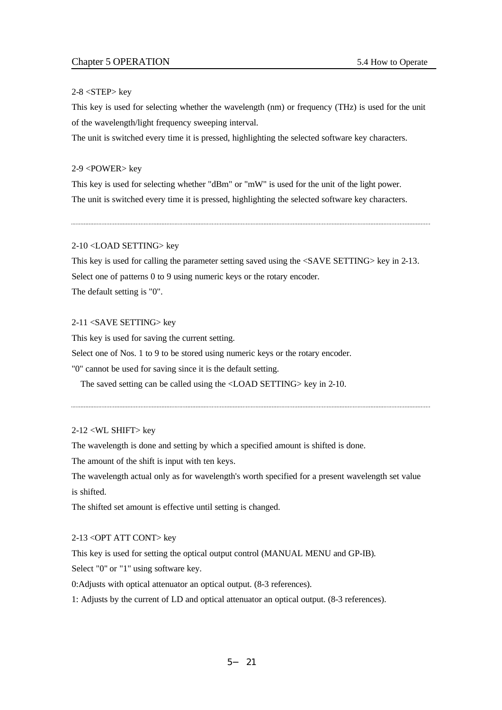#### 2-8 <STEP> key

This key is used for selecting whether the wavelength (nm) or frequency (THz) is used for the unit of the wavelength/light frequency sweeping interval.

The unit is switched every time it is pressed, highlighting the selected software key characters.

#### 2-9 <POWER> key

This key is used for selecting whether "dBm" or "mW" is used for the unit of the light power. The unit is switched every time it is pressed, highlighting the selected software key characters.

#### 2-10 <LOAD SETTING> key

This key is used for calling the parameter setting saved using the <SAVE SETTING> key in 2-13. Select one of patterns 0 to 9 using numeric keys or the rotary encoder. The default setting is "0".

#### 2-11 <SAVE SETTING> key

This key is used for saving the current setting.

Select one of Nos. 1 to 9 to be stored using numeric keys or the rotary encoder.

"0" cannot be used for saving since it is the default setting.

The saved setting can be called using the <LOAD SETTING> key in 2-10.

#### 2-12 <WL SHIFT> key

The wavelength is done and setting by which a specified amount is shifted is done.

The amount of the shift is input with ten keys.

The wavelength actual only as for wavelength's worth specified for a present wavelength set value is shifted.

The shifted set amount is effective until setting is changed.

#### 2-13 <OPT ATT CONT> key

This key is used for setting the optical output control (MANUAL MENU and GP-IB).

Select "0" or "1" using software key.

0:Adjusts with optical attenuator an optical output. (8-3 references).

1: Adjusts by the current of LD and optical attenuator an optical output. (8-3 references).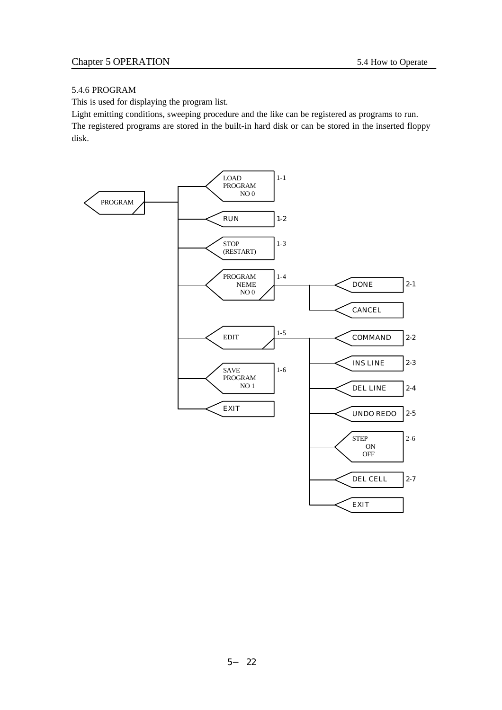## 5.4.6 PROGRAM

This is used for displaying the program list.

Light emitting conditions, sweeping procedure and the like can be registered as programs to run. The registered programs are stored in the built-in hard disk or can be stored in the inserted floppy disk.

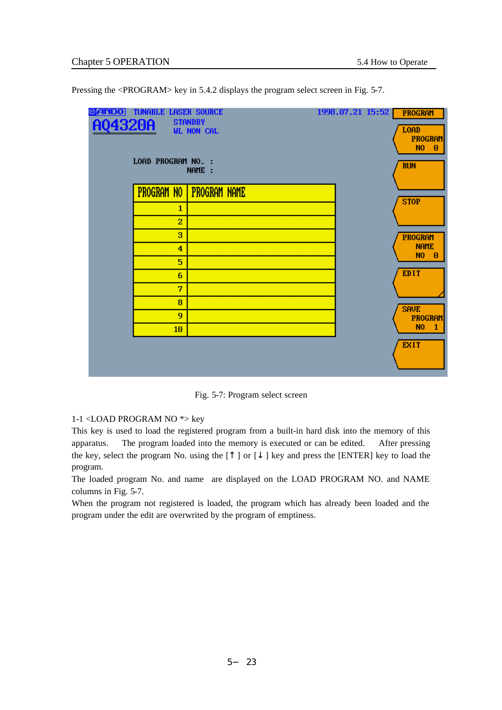| <b>B</b> ANDO | <b>TUNABLE LASER SOURCE</b> |                                     | 1998.07.21 15:52 | <b>PROGRAM</b>                                               |
|---------------|-----------------------------|-------------------------------------|------------------|--------------------------------------------------------------|
| AQ4320A       |                             | <b>STANDBY</b><br><b>WL NON CAL</b> |                  | <b>LOAD</b><br><b>PROGRAM</b><br>NO <sub>1</sub><br>$\theta$ |
|               | LOAD PROGRAM NO. :          | NAME :                              |                  | <b>RUN</b>                                                   |
|               | <b>PROGRAM NO</b>           | PROGRAM NAME                        |                  |                                                              |
|               | $\mathbf{1}$                |                                     |                  | <b>STOP</b>                                                  |
|               | $\overline{2}$              |                                     |                  |                                                              |
|               | з                           |                                     |                  | <b>PROGRAM</b>                                               |
|               | 4                           |                                     |                  | <b>NAME</b><br>$NO$ $0$                                      |
|               | 5                           |                                     |                  | <b>EDIT</b>                                                  |
|               | 6<br>7                      |                                     |                  |                                                              |
|               | 8                           |                                     |                  |                                                              |
|               | 9                           |                                     |                  | <b>SAVE</b><br><b>PROGRAM</b>                                |
|               | 10                          |                                     |                  | NO <sub>1</sub>                                              |
|               |                             |                                     |                  | <b>EXIT</b>                                                  |
|               |                             |                                     |                  |                                                              |

Pressing the <PROGRAM> key in 5.4.2 displays the program select screen in Fig. 5-7.

Fig. 5-7: Program select screen

#### 1-1 <LOAD PROGRAM NO \*> key

This key is used to load the registered program from a built-in hard disk into the memory of this apparatus. The program loaded into the memory is executed or can be edited. After pressing the key, select the program No. using the [ ] or [ ] key and press the [ENTER] key to load the program.

The loaded program No. and name are displayed on the LOAD PROGRAM NO. and NAME columns in Fig. 5-7.

When the program not registered is loaded, the program which has already been loaded and the program under the edit are overwrited by the program of emptiness.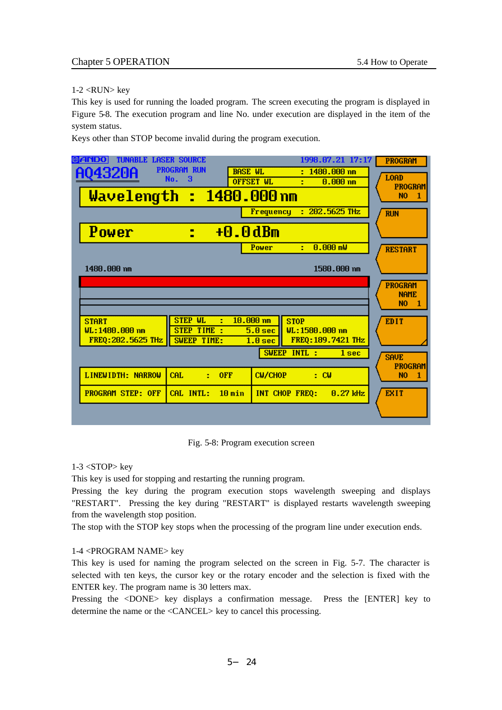## 1-2 <RUN> key

This key is used for running the loaded program. The screen executing the program is displayed in Figure 5-8. The execution program and line No. under execution are displayed in the item of the system status.

Keys other than STOP become invalid during the program execution.

| ANDO<br>TUNARLE                      | <b>SOHRCE</b>                                         |                                          | 1998.07.21 17:17                     | <b>PROGRAM</b>                        |
|--------------------------------------|-------------------------------------------------------|------------------------------------------|--------------------------------------|---------------------------------------|
| AQ4320A                              | <b>PROGRAM RUN</b><br>No.<br>3                        | <b>BASE WL</b><br><b>OFFSET WL</b>       | $: 1480.000$ nm<br>$0.000$ nm        | <b>LOAD</b><br><b>PROGRAM</b>         |
| Wavelength : 1480.000 nm             |                                                       |                                          |                                      | N <sub>O</sub><br>$\mathbf{1}$        |
|                                      |                                                       | <b>Frequency</b>                         | $: 202.5625$ THz                     | <b>RUN</b>                            |
| Power                                | E                                                     | +0.0dBm                                  |                                      |                                       |
|                                      |                                                       | Power                                    | 0.000 mW<br>÷.                       | <b>RESTART</b>                        |
| 1480.000 nm                          |                                                       |                                          | 1580.000 nm                          |                                       |
|                                      |                                                       |                                          |                                      | <b>PROGRAM</b><br><b>NAME</b>         |
|                                      |                                                       |                                          |                                      | N <sub>0</sub><br>1                   |
| <b>START</b>                         | <b>STEP WL</b><br>÷                                   | 10.000 nm                                | <b>STOP</b>                          | <b>EDIT</b>                           |
| WL:1480.000 nm<br>FREQ: 202.5625 THz | <b>TIME</b><br><b>STEP</b><br>÷<br><b>SWEEP TIME:</b> | 5.0 <sub>sec</sub><br>1.0 <sub>sec</sub> | WL:1580.000 nm<br>FREQ: 189.7421 THz |                                       |
|                                      |                                                       |                                          | SWEEP INTL:<br>1 sec                 | <b>SAVE</b>                           |
| <b>LINEWIDTH: NARROW</b>             | <b>CAL</b><br>$\pm 0$ FF                              | <b>CW/CHOP</b>                           | $\pm$ CW                             | <b>PROGRAM</b><br>N <sub>0</sub><br>1 |
| <b>PROGRAM STEP: OFF</b>             | CAL INTL:<br>$10 \text{ min}$                         |                                          | $0.27$ kHz<br>INT CHOP FREQ:         | <b>EXIT</b>                           |
|                                      |                                                       |                                          |                                      |                                       |

Fig. 5-8: Program execution screen

1-3 <STOP> key

This key is used for stopping and restarting the running program.

Pressing the key during the program execution stops wavelength sweeping and displays "RESTART". Pressing the key during "RESTART" is displayed restarts wavelength sweeping from the wavelength stop position.

The stop with the STOP key stops when the processing of the program line under execution ends.

## 1-4 <PROGRAM NAME> key

This key is used for naming the program selected on the screen in Fig. 5-7. The character is selected with ten keys, the cursor key or the rotary encoder and the selection is fixed with the ENTER key. The program name is 30 letters max.

Pressing the <DONE> key displays a confirmation message. Press the [ENTER] key to determine the name or the <CANCEL> key to cancel this processing.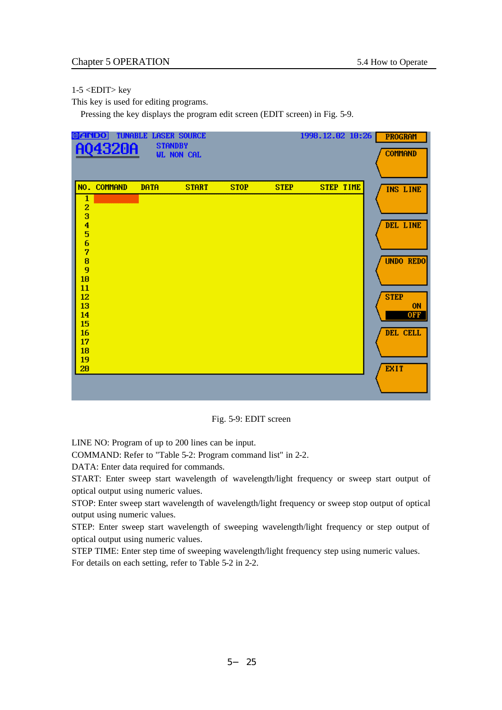## 1-5 <EDIT> key

This key is used for editing programs.

Pressing the key displays the program edit screen (EDIT screen) in Fig. 5-9.

| NO. COMMAND<br><b>STEP TIME</b><br><b>DATA</b><br><b>STOP</b><br><b>STEP</b><br><b>START</b><br>1<br>$\frac{2}{3}$ | <b>ANDO</b> | AQ4320A | <b>TUNABLE LASER SOURCE</b><br><b>STANDBY</b> | <b>WL NON CAL</b> |  | 1998.12.02 10:26 | <b>PROGRAM</b><br><b>COMMAND</b>                                                       |
|--------------------------------------------------------------------------------------------------------------------|-------------|---------|-----------------------------------------------|-------------------|--|------------------|----------------------------------------------------------------------------------------|
| 10<br>11<br><b>STEP</b><br>12<br>13<br>14<br>15<br>16<br>17<br>18<br>19<br>20<br><b>EXIT</b>                       | 456789      |         |                                               |                   |  |                  | <b>INS LINE</b><br>DEL LINE<br><b>UNDO REDO</b><br><b>ON</b><br><b>OFF</b><br>DEL CELL |

Fig. 5-9: EDIT screen

LINE NO: Program of up to 200 lines can be input.

COMMAND: Refer to "Table 5-2: Program command list" in 2-2.

DATA: Enter data required for commands.

START: Enter sweep start wavelength of wavelength/light frequency or sweep start output of optical output using numeric values.

STOP: Enter sweep start wavelength of wavelength/light frequency or sweep stop output of optical output using numeric values.

STEP: Enter sweep start wavelength of sweeping wavelength/light frequency or step output of optical output using numeric values.

STEP TIME: Enter step time of sweeping wavelength/light frequency step using numeric values. For details on each setting, refer to Table 5-2 in 2-2.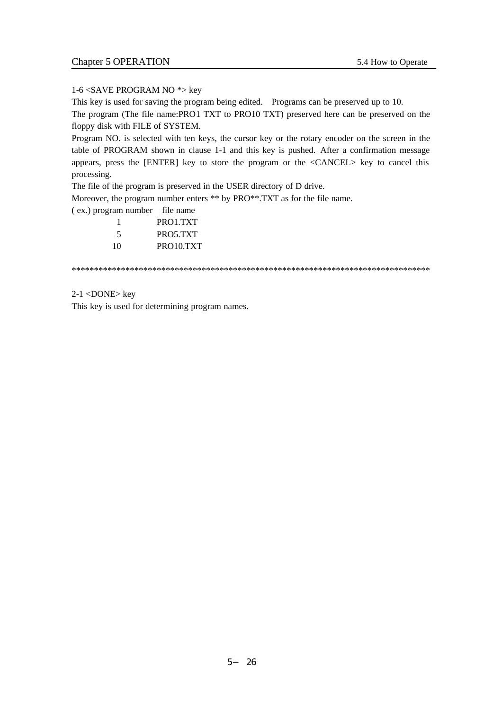#### 1-6 <SAVE PROGRAM NO \*> key

This key is used for saving the program being edited. Programs can be preserved up to 10.

The program (The file name:PRO1 TXT to PRO10 TXT) preserved here can be preserved on the floppy disk with FILE of SYSTEM.

Program NO. is selected with ten keys, the cursor key or the rotary encoder on the screen in the table of PROGRAM shown in clause 1-1 and this key is pushed. After a confirmation message appears, press the [ENTER] key to store the program or the <CANCEL> key to cancel this processing.

The file of the program is preserved in the USER directory of D drive.

Moreover, the program number enters \*\* by PRO\*\*.TXT as for the file name.

( ex.) program number file name

|    | PRO1.TXT  |
|----|-----------|
| 5  | PRO5.TXT  |
| 10 | PRO10.TXT |

\*\*\*\*\*\*\*\*\*\*\*\*\*\*\*\*\*\*\*\*\*\*\*\*\*\*\*\*\*\*\*\*\*\*\*\*\*\*\*\*\*\*\*\*\*\*\*\*\*\*\*\*\*\*\*\*\*\*\*\*\*\*\*\*\*\*\*\*\*\*\*\*\*\*\*\*\*\*\*\*

## 2-1 <DONE> key

This key is used for determining program names.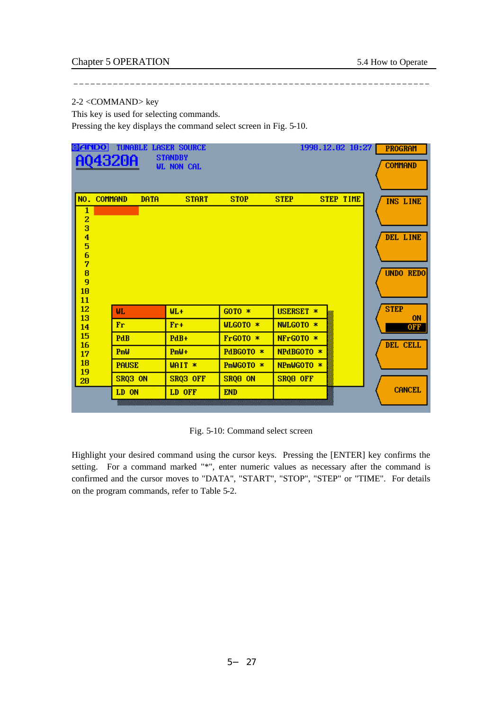. \_ \_ \_ \_ \_ \_ \_ \_ \_

## 2-2 <COMMAND> key

This key is used for selecting commands. Pressing the key displays the command select screen in Fig. 5-10.

| BIANDO                       | tinarle.       |             | <b>LASER SOURCE</b>                 |                     |                  | 1998.12.02 10:27 | <b>PROGRAM</b>   |
|------------------------------|----------------|-------------|-------------------------------------|---------------------|------------------|------------------|------------------|
|                              | A04320A        |             | <b>STANDBY</b><br><b>WL NON CAL</b> |                     |                  |                  | <b>COMMAND</b>   |
|                              |                |             |                                     |                     |                  |                  |                  |
| <b>NO.</b>                   | <b>COMMAND</b> | <b>DATA</b> | <b>START</b>                        | <b>STOP</b>         | <b>STEP</b>      | <b>STEP TIME</b> | <b>INS LINE</b>  |
| 1                            |                |             |                                     |                     |                  |                  |                  |
| $\overline{\mathbf{2}}$<br>3 |                |             |                                     |                     |                  |                  |                  |
| 4                            |                |             |                                     |                     |                  |                  | DEL LINE         |
| 5<br>6                       |                |             |                                     |                     |                  |                  |                  |
| 7                            |                |             |                                     |                     |                  |                  |                  |
| 8<br>9                       |                |             |                                     |                     |                  |                  | <b>UNDO REDO</b> |
| 10<br>11                     |                |             |                                     |                     |                  |                  |                  |
| 12                           | WL.            |             | $WL +$                              | $GOTO$ *            | <b>USERSET *</b> |                  | <b>STEP</b>      |
| 13<br>14                     | Fr             |             | $Fr+$                               | WLGOTO *            | NWLGOTO *        |                  | ON<br><b>OFF</b> |
| 15<br>16                     | PdB            |             | PdB+                                | $FrG0T0 *$          | NFrGOTO *        |                  | DEL CELL         |
| 17                           | PmW            |             | $PmW+$                              | PdBGOTO *           | NPdBGOTO *       |                  |                  |
| 18<br>19                     | <b>PAUSE</b>   |             | WAIT *                              | PmWGOTO *           | NPmWGOTO *       |                  |                  |
| 20                           | SRQ3 ON        |             | SRQ3 OFF                            | SRQ <sub>0</sub> ON | SRQ0 OFF         |                  |                  |
|                              | LD ON          |             | LD OFF                              | <b>END</b>          |                  |                  | <b>CANCEL</b>    |
|                              |                |             |                                     |                     |                  |                  |                  |

Fig. 5-10: Command select screen

Highlight your desired command using the cursor keys. Pressing the [ENTER] key confirms the setting. For a command marked "\*", enter numeric values as necessary after the command is confirmed and the cursor moves to "DATA", "START", "STOP", "STEP" or "TIME". For details on the program commands, refer to Table 5-2.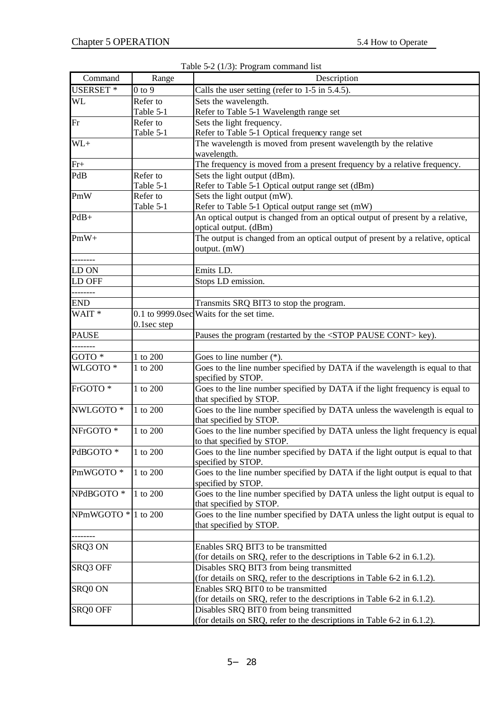| Command              | Range                 | Table 5-2 $(1/3)$ : Program command list<br>Description                                                  |
|----------------------|-----------------------|----------------------------------------------------------------------------------------------------------|
| <b>USERSET*</b>      | $0$ to $9$            |                                                                                                          |
|                      |                       | Calls the user setting (refer to 1-5 in 5.4.5).                                                          |
| WL                   | Refer to<br>Table 5-1 | Sets the wavelength.                                                                                     |
| Fr                   | Refer to              | Refer to Table 5-1 Wavelength range set<br>Sets the light frequency.                                     |
|                      | Table 5-1             | Refer to Table 5-1 Optical frequency range set                                                           |
| $WL+$                |                       | The wavelength is moved from present wavelength by the relative                                          |
|                      |                       | wavelength.                                                                                              |
| $Fr+$                |                       | The frequency is moved from a present frequency by a relative frequency.                                 |
| PdB                  | Refer to              | Sets the light output (dBm).                                                                             |
|                      | Table 5-1             | Refer to Table 5-1 Optical output range set (dBm)                                                        |
| PmW                  | Refer to              | Sets the light output (mW).                                                                              |
|                      | Table 5-1             | Refer to Table 5-1 Optical output range set (mW)                                                         |
| $PdB+$               |                       | An optical output is changed from an optical output of present by a relative,<br>optical output. (dBm)   |
| $PmW+$               |                       | The output is changed from an optical output of present by a relative, optical<br>output. (mW)           |
| --------             |                       |                                                                                                          |
| LD ON                |                       | Emits LD.                                                                                                |
| <b>LD OFF</b>        |                       | Stops LD emission.                                                                                       |
| .                    |                       |                                                                                                          |
| <b>END</b>           |                       | Transmits SRQ BIT3 to stop the program.                                                                  |
| WAIT <sup>*</sup>    | 0.1sec step           | 0.1 to 9999.0sec Waits for the set time.                                                                 |
| <b>PAUSE</b>         |                       | Pauses the program (restarted by the <stop cont="" pause=""> key).</stop>                                |
| --------             |                       |                                                                                                          |
| GOTO <sup>*</sup>    | 1 to 200              | Goes to line number $(*)$ .                                                                              |
| WLGOTO <sup>*</sup>  | 1 to 200              | Goes to the line number specified by DATA if the wavelength is equal to that                             |
|                      |                       | specified by STOP.                                                                                       |
| FrGOTO <sup>*</sup>  | 1 to 200              | Goes to the line number specified by DATA if the light frequency is equal to<br>that specified by STOP.  |
| NWLGOTO <sup>*</sup> | 1 to 200              | Goes to the line number specified by DATA unless the wavelength is equal to                              |
|                      |                       | that specified by STOP.                                                                                  |
| NFrGOTO <sup>*</sup> | 1 to 200              | Goes to the line number specified by DATA unless the light frequency is equal                            |
|                      |                       | to that specified by STOP.                                                                               |
| PdBGOTO <sup>*</sup> | 1 to 200              | Goes to the line number specified by DATA if the light output is equal to that<br>specified by STOP.     |
| PmWGOTO*             | 1 to 200              | Goes to the line number specified by DATA if the light output is equal to that                           |
|                      |                       | specified by STOP.                                                                                       |
| NPdBGOTO*            | 1 to 200              | Goes to the line number specified by DATA unless the light output is equal to<br>that specified by STOP. |
| NPmWGOTO*            | 1 to 200              | Goes to the line number specified by DATA unless the light output is equal to                            |
|                      |                       | that specified by STOP.                                                                                  |
|                      |                       |                                                                                                          |
| SRQ3 ON              |                       | Enables SRQ BIT3 to be transmitted                                                                       |
|                      |                       | (for details on SRQ, refer to the descriptions in Table 6-2 in 6.1.2).                                   |
| SRQ3 OFF             |                       | Disables SRQ BIT3 from being transmitted                                                                 |
|                      |                       | (for details on SRQ, refer to the descriptions in Table 6-2 in 6.1.2).                                   |
| SRQ0 ON              |                       | Enables SRQ BIT0 to be transmitted                                                                       |
|                      |                       | (for details on SRQ, refer to the descriptions in Table 6-2 in 6.1.2).                                   |
| SRQ0 OFF             |                       | Disables SRQ BIT0 from being transmitted                                                                 |
|                      |                       | (for details on SRQ, refer to the descriptions in Table 6-2 in 6.1.2).                                   |

|  |  |  | Table 5-2 (1/3): Program command list |  |
|--|--|--|---------------------------------------|--|
|--|--|--|---------------------------------------|--|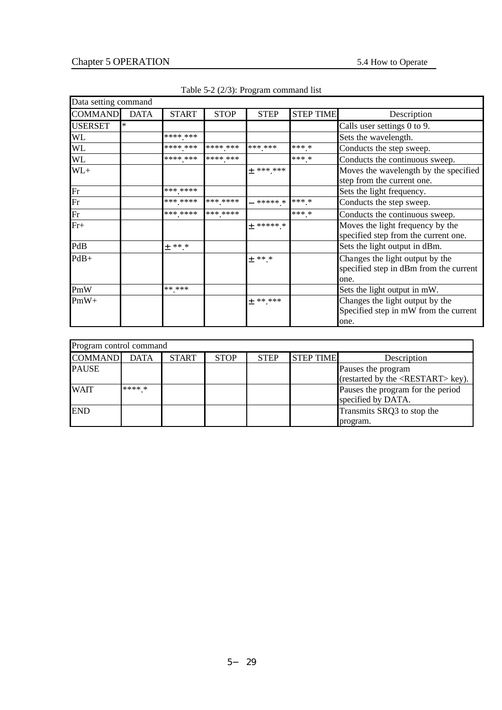| Data setting command |             |              |             |             |                  |                                                                                   |
|----------------------|-------------|--------------|-------------|-------------|------------------|-----------------------------------------------------------------------------------|
| <b>COMMAND</b>       | <b>DATA</b> | <b>START</b> | <b>STOP</b> | <b>STEP</b> | <b>STEP TIME</b> | Description                                                                       |
| <b>USERSET</b>       | $\ast$      |              |             |             |                  | Calls user settings 0 to 9.                                                       |
| WL                   |             | **** ***     |             |             |                  | Sets the wavelength.                                                              |
| WL                   |             | **** ***     | **** ***    | *** ***     | *** *            | Conducts the step sweep.                                                          |
| WL                   |             | **** ***     | **** ***    |             | *** *            | Conducts the continuous sweep.                                                    |
| $WL+$                |             |              |             | ± ***.***   |                  | Moves the wavelength by the specified<br>step from the current one.               |
| Fr                   |             | *** ****     |             |             |                  | Sets the light frequency.                                                         |
| Fr                   |             | *** ****     | *** ****    | ***** *     | *** *            | Conducts the step sweep.                                                          |
| Fr                   |             | *** ****     | *** ****    |             | $***$ *          | Conducts the continuous sweep.                                                    |
| $Fr+$                |             |              |             | $+$ ***** * |                  | Moves the light frequency by the<br>specified step from the current one.          |
| PdB                  |             | $+$ **.*     |             |             |                  | Sets the light output in dBm.                                                     |
| $PdB+$               |             |              |             | $\pm$ ** *  |                  | Changes the light output by the<br>specified step in dBm from the current<br>one. |
| PmW                  |             | ** ***       |             |             |                  | Sets the light output in mW.                                                      |
| $PmW+$               |             |              |             | ± **.***    |                  | Changes the light output by the<br>Specified step in mW from the current<br>one.  |

| Table 5-2 (2/3): Program command list |  |  |
|---------------------------------------|--|--|
|---------------------------------------|--|--|

| Program control command |             |              |             |             |                  |                                                                   |  |  |
|-------------------------|-------------|--------------|-------------|-------------|------------------|-------------------------------------------------------------------|--|--|
| <b>COMMAND</b>          | <b>DATA</b> | <b>START</b> | <b>STOP</b> | <b>STEP</b> | <b>STEP TIME</b> | Description                                                       |  |  |
| <b>PAUSE</b>            |             |              |             |             |                  | Pauses the program<br>(restarted by the <restart> key).</restart> |  |  |
| <b>WAIT</b>             | **** *      |              |             |             |                  | Pauses the program for the period<br>specified by DATA.           |  |  |
| <b>END</b>              |             |              |             |             |                  | Transmits SRQ3 to stop the<br>program.                            |  |  |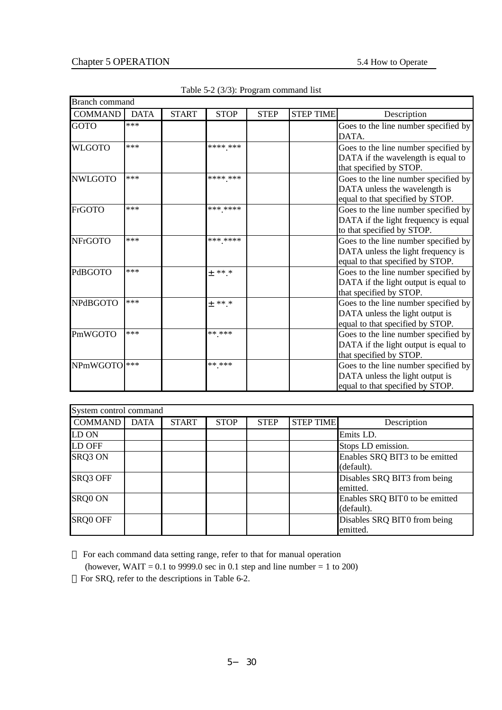| <b>Branch command</b>   |             |              |             |             |                  |                                                                                                                |  |  |
|-------------------------|-------------|--------------|-------------|-------------|------------------|----------------------------------------------------------------------------------------------------------------|--|--|
| <b>COMMAND</b>          | <b>DATA</b> | <b>START</b> | <b>STOP</b> | <b>STEP</b> | <b>STEP TIME</b> | Description                                                                                                    |  |  |
| <b>GOTO</b>             | $***$       |              |             |             |                  | Goes to the line number specified by<br>DATA.                                                                  |  |  |
| <b>WLGOTO</b>           | $***$       |              | **** ***    |             |                  | Goes to the line number specified by<br>DATA if the wavelength is equal to<br>that specified by STOP.          |  |  |
| <b>NWLGOTO</b>          | $***$       |              | **** ***    |             |                  | Goes to the line number specified by<br>DATA unless the wavelength is<br>equal to that specified by STOP.      |  |  |
| FrGOTO                  | $***$       |              | *** ****    |             |                  | Goes to the line number specified by<br>DATA if the light frequency is equal<br>to that specified by STOP.     |  |  |
| <b>NFrGOTO</b>          | $***$       |              | *** ****    |             |                  | Goes to the line number specified by<br>DATA unless the light frequency is<br>equal to that specified by STOP. |  |  |
| <b>PdBGOTO</b>          | $***$       |              | $+$ ** *    |             |                  | Goes to the line number specified by<br>DATA if the light output is equal to<br>that specified by STOP.        |  |  |
| <b>NPdBGOTO</b>         | $***$       |              | $+$ ** *    |             |                  | Goes to the line number specified by<br>DATA unless the light output is<br>equal to that specified by STOP.    |  |  |
| PmWGOTO                 | $***$       |              | ** ***      |             |                  | Goes to the line number specified by<br>DATA if the light output is equal to<br>that specified by STOP.        |  |  |
| NPmWGOTO <sup>***</sup> |             |              | ** ***      |             |                  | Goes to the line number specified by<br>DATA unless the light output is<br>equal to that specified by STOP.    |  |  |

| Table 5-2 (3/3): Program command list |  |
|---------------------------------------|--|
|---------------------------------------|--|

| System control command |             |              |             |             |                  |                                              |  |  |
|------------------------|-------------|--------------|-------------|-------------|------------------|----------------------------------------------|--|--|
| <b>COMMAND</b>         | <b>DATA</b> | <b>START</b> | <b>STOP</b> | <b>STEP</b> | <b>STEP TIME</b> | Description                                  |  |  |
| LD ON                  |             |              |             |             |                  | Emits LD.                                    |  |  |
| LD OFF                 |             |              |             |             |                  | Stops LD emission.                           |  |  |
| SRQ3 ON                |             |              |             |             |                  | Enables SRQ BIT3 to be emitted<br>(default). |  |  |
| SRQ3 OFF               |             |              |             |             |                  | Disables SRQ BIT3 from being<br>emitted.     |  |  |
| SRQ0 ON                |             |              |             |             |                  | Enables SRQ BIT0 to be emitted<br>(default). |  |  |
| SRQ0 OFF               |             |              |             |             |                  | Disables SRQ BIT0 from being<br>emitted.     |  |  |

For each command data setting range, refer to that for manual operation

(however, WAIT =  $0.1$  to 9999.0 sec in 0.1 step and line number = 1 to 200) For SRQ, refer to the descriptions in Table 6-2.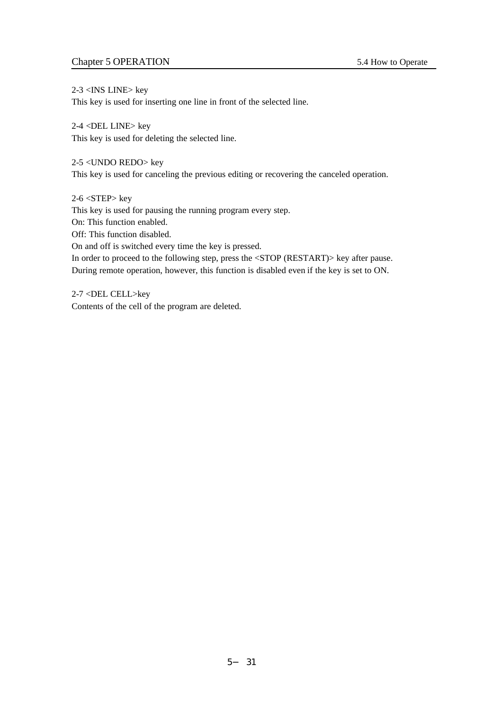## Chapter 5 OPERATION 5.4 How to Operate

2-3 <INS LINE> key

This key is used for inserting one line in front of the selected line.

2-4 <DEL LINE> key This key is used for deleting the selected line.

2-5 <UNDO REDO> key This key is used for canceling the previous editing or recovering the canceled operation.

2-6 <STEP> key This key is used for pausing the running program every step. On: This function enabled. Off: This function disabled. On and off is switched every time the key is pressed. In order to proceed to the following step, press the <STOP (RESTART)> key after pause. During remote operation, however, this function is disabled even if the key is set to ON.

2-7 <DEL CELL>key Contents of the cell of the program are deleted.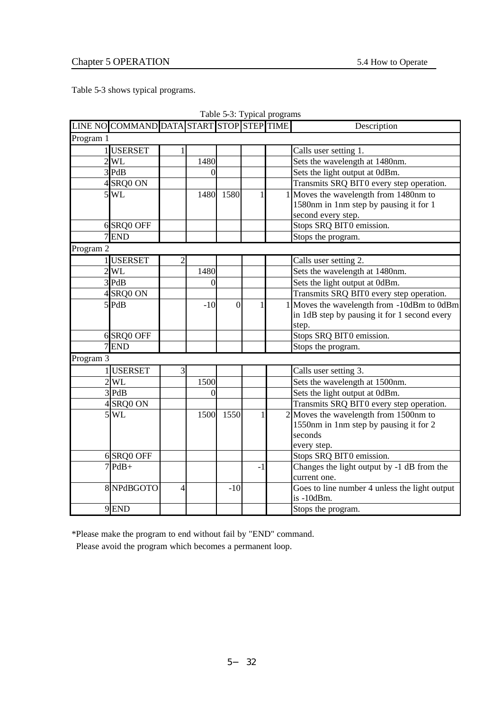|           |                                           |      |      | Table 5-3: Typical programs |                                                                                 |
|-----------|-------------------------------------------|------|------|-----------------------------|---------------------------------------------------------------------------------|
|           | LINE NO COMMAND DATA START STOP STEP TIME |      |      |                             | Description                                                                     |
| Program 1 |                                           |      |      |                             |                                                                                 |
|           | <b>USERSET</b>                            |      |      |                             | Calls user setting 1.                                                           |
|           | 2 WL                                      | 1480 |      |                             | Sets the wavelength at 1480nm.                                                  |
|           | $3$ PdB                                   |      |      |                             | Sets the light output at 0dBm.                                                  |
|           | 4 SRQ0 ON                                 |      |      |                             | Transmits SRQ BIT0 every step operation.                                        |
|           | 5W <sub>L</sub>                           | 1480 | 1580 |                             | 1 Moves the wavelength from 1480nm to<br>1580nm in 1nm step by pausing it for 1 |

| Table 5-3: Typical programs |  |  |  |  |
|-----------------------------|--|--|--|--|
|-----------------------------|--|--|--|--|

|           | 1 USERSET                | $\mathbf{1}$   |                  |                |      | Calls user setting 1.                                                                                     |
|-----------|--------------------------|----------------|------------------|----------------|------|-----------------------------------------------------------------------------------------------------------|
|           | $2$ WL                   |                | 1480             |                |      | Sets the wavelength at 1480nm.                                                                            |
|           | $3$ PdB                  |                | 0                |                |      | Sets the light output at 0dBm.                                                                            |
|           | 4SRQ0 ON                 |                |                  |                |      | Transmits SRQ BIT0 every step operation.                                                                  |
|           | 5W <sub>L</sub>          |                | 1480             | 1580           | 1    | 1 Moves the wavelength from 1480nm to<br>1580nm in 1nm step by pausing it for 1<br>second every step.     |
|           | 6 SRQ0 OFF               |                |                  |                |      | Stops SRQ BIT0 emission.                                                                                  |
|           | $7$ END                  |                |                  |                |      | Stops the program.                                                                                        |
| Program 2 |                          |                |                  |                |      |                                                                                                           |
|           | <b>USERSET</b>           | $\overline{2}$ |                  |                |      | Calls user setting 2.                                                                                     |
|           | $2$ WL                   |                | 1480             |                |      | Sets the wavelength at 1480nm.                                                                            |
|           | $3$ PdB                  |                | 0                |                |      | Sets the light output at 0dBm.                                                                            |
|           | 4 SRQ0 ON                |                |                  |                |      | Transmits SRQ BIT0 every step operation.                                                                  |
|           | $5$ PdB                  |                | $-10$            | $\overline{0}$ | 1    | Moves the wavelength from -10dBm to 0dBm<br>in 1dB step by pausing it for 1 second every                  |
|           |                          |                |                  |                |      | step.                                                                                                     |
|           | 6 SRQ0 OFF<br><b>END</b> |                |                  |                |      | Stops SRQ BIT0 emission.<br>Stops the program.                                                            |
|           |                          |                |                  |                |      |                                                                                                           |
| Program 3 |                          |                |                  |                |      |                                                                                                           |
|           | 1USERSET                 | 3              |                  |                |      | Calls user setting 3.                                                                                     |
|           | $2$ WL                   |                | 1500             |                |      | Sets the wavelength at 1500nm.                                                                            |
|           | $3$ PdB                  |                | $\boldsymbol{0}$ |                |      | Sets the light output at 0dBm.                                                                            |
|           | 4 SRQ0 ON                |                |                  |                |      | Transmits SRQ BIT0 every step operation.                                                                  |
|           | 5W <sub>L</sub>          |                | 1500             | 1550           | 1    | 2 Moves the wavelength from 1500nm to<br>1550nm in 1nm step by pausing it for 2<br>seconds<br>every step. |
|           | 6 SRQ0 OFF               |                |                  |                |      | Stops SRQ BIT0 emission.                                                                                  |
|           | $7$ $PdB+$               |                |                  |                | $-1$ | Changes the light output by -1 dB from the<br>current one.                                                |
|           | 8 NPdBGOTO               | 4              |                  | $-10$          |      | Goes to line number 4 unless the light output<br>is -10dBm.                                               |
|           | 9END                     |                |                  |                |      | Stops the program.                                                                                        |

\*Please make the program to end without fail by "END" command.

Please avoid the program which becomes a permanent loop.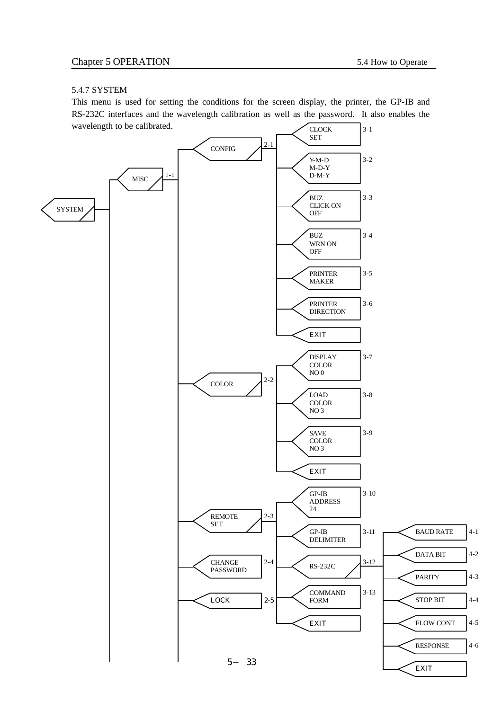# 5.4.7 SYSTEM

This menu is used for setting the conditions for the screen display, the printer, the GP-IB and RS-232C interfaces and the wavelength calibration as well as the password. It also enables the wavelength to be calibrated.  $CLOCK$  3-1

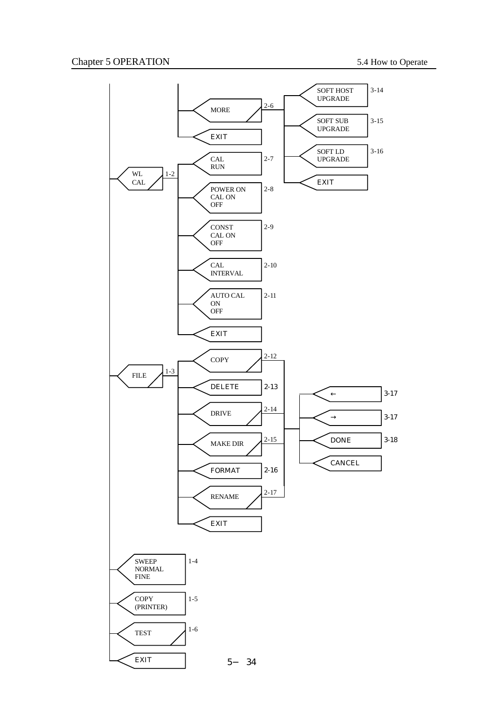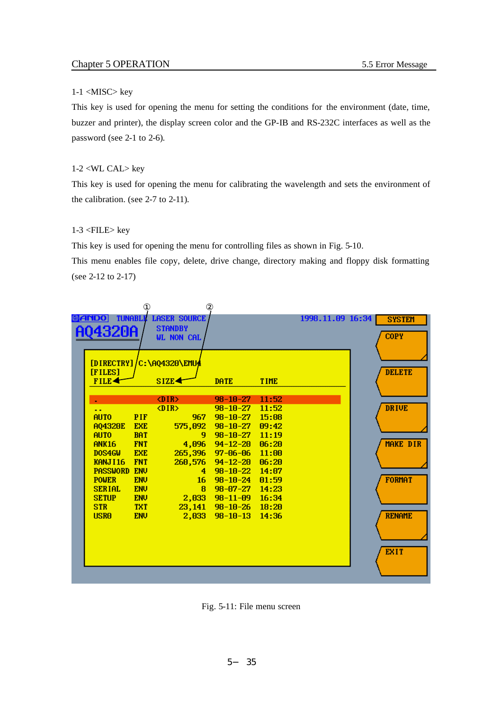## 1-1 <MISC> key

This key is used for opening the menu for setting the conditions for the environment (date, time, buzzer and printer), the display screen color and the GP-IB and RS-232C interfaces as well as the password (see 2-1 to 2-6).

#### 1-2 <WL CAL> key

This key is used for opening the menu for calibrating the wavelength and sets the environment of the calibration. (see 2-7 to 2-11).

# 1-3 <FILE> key

This key is used for opening the menu for controlling files as shown in Fig. 5-10.

This menu enables file copy, delete, drive change, directory making and floppy disk formatting (see 2-12 to 2-17)

| <b>MANDO</b>                 | <b>TUNABLE</b> | <b>LASER SOURCE</b><br><b>STANDBY</b> |                            |             | 1998.11.09 16:34 | <b>SYSTEM</b> |
|------------------------------|----------------|---------------------------------------|----------------------------|-------------|------------------|---------------|
| AQ4320A                      |                | <b>WL NON CAL</b>                     |                            |             |                  | <b>COPY</b>   |
|                              |                |                                       |                            |             |                  |               |
|                              |                | $[DIRECTRY] / C: \AQ4320 \EMU$        |                            |             |                  |               |
| [FILES]                      |                |                                       |                            |             |                  | <b>DELETE</b> |
| <b>FILE</b>                  |                | SIZE <sup>4</sup>                     | <b>DATE</b>                | <b>TIME</b> |                  |               |
|                              |                | CDIR                                  | $98 - 10 - 27$             | 11:52       |                  |               |
|                              |                | CDIR                                  | $98 - 10 - 27$             | 11:52       |                  | <b>DRIVE</b>  |
| $\sim$ $\sim$<br><b>AUTO</b> | <b>PIF</b>     | 967                                   | $98 - 10 - 27$ 15:08       |             |                  |               |
| <b>AQ4320E</b>               | <b>EXE</b>     |                                       | 575,092 98-10-27 09:42     |             |                  |               |
| <b>AUTO</b>                  | <b>BAT</b>     | 9                                     | $98 - 10 - 27$             | 11:19       |                  |               |
| <b>ANK16</b>                 | <b>ENT</b>     |                                       | 4,096 94-12-20 06:20       |             |                  | MAKE DIR      |
| DOS4GW                       | <b>EXE</b>     |                                       | 265,396 97-06-06 11:00     |             |                  |               |
| KANJI16                      | <b>FNT</b>     |                                       | 260,576 94-12-20 06:20     |             |                  |               |
| <b>PASSWORD</b>              | <b>ENU</b>     | 4                                     | $98 - 10 - 22$             | $-14:07$    |                  |               |
| <b>POWER</b>                 | <b>ENV</b>     | 16                                    | $98 - 10 - 24$ 01:59       |             |                  | <b>FORMAT</b> |
| <b>SERIAL</b>                | <b>ENU</b>     | 8                                     | $98 - 07 - 27$ 14:23       |             |                  |               |
| <b>SETUP</b>                 | <b>ENU</b>     |                                       | 2,033 98-11-09 16:34       |             |                  |               |
| <b>STR</b>                   | <b>TXT</b>     | 23,141                                | $98 - 10 - 26$ 18:20       |             |                  |               |
| <b>USRO</b>                  | <b>ENV</b>     |                                       | $2,033$ $98-10-13$ $14:36$ |             |                  | <b>RENAME</b> |
|                              |                |                                       |                            |             |                  |               |
|                              |                |                                       |                            |             |                  |               |
|                              |                |                                       |                            |             |                  | <b>EXIT</b>   |
|                              |                |                                       |                            |             |                  |               |
|                              |                |                                       |                            |             |                  |               |
|                              |                |                                       |                            |             |                  |               |

Fig. 5-11: File menu screen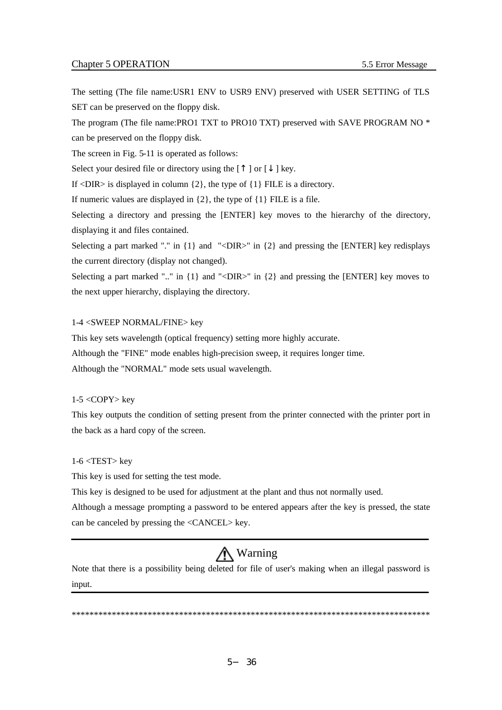The setting (The file name:USR1 ENV to USR9 ENV) preserved with USER SETTING of TLS SET can be preserved on the floppy disk.

The program (The file name:PRO1 TXT to PRO10 TXT) preserved with SAVE PROGRAM NO \* can be preserved on the floppy disk.

The screen in Fig. 5-11 is operated as follows:

Select your desired file or directory using the  $[$  ] or  $[$  ] key.

If  $\langle$ DIR $>$  is displayed in column {2}, the type of {1} FILE is a directory.

If numeric values are displayed in {2}, the type of {1} FILE is a file.

Selecting a directory and pressing the [ENTER] key moves to the hierarchy of the directory, displaying it and files contained.

Selecting a part marked "." in  $\{1\}$  and "<DIR>" in  $\{2\}$  and pressing the [ENTER] key redisplays the current directory (display not changed).

Selecting a part marked ".." in  $\{1\}$  and "<DIR>" in  $\{2\}$  and pressing the [ENTER] key moves to the next upper hierarchy, displaying the directory.

#### 1-4 <SWEEP NORMAL/FINE> key

This key sets wavelength (optical frequency) setting more highly accurate.

Although the "FINE" mode enables high-precision sweep, it requires longer time.

Although the "NORMAL" mode sets usual wavelength.

#### 1-5 <COPY> key

This key outputs the condition of setting present from the printer connected with the printer port in the back as a hard copy of the screen.

1-6 <TEST> key

This key is used for setting the test mode.

This key is designed to be used for adjustment at the plant and thus not normally used.

Although a message prompting a password to be entered appears after the key is pressed, the state can be canceled by pressing the <CANCEL> key.

# Warning

Note that there is a possibility being deleted for file of user's making when an illegal password is input.

\*\*\*\*\*\*\*\*\*\*\*\*\*\*\*\*\*\*\*\*\*\*\*\*\*\*\*\*\*\*\*\*\*\*\*\*\*\*\*\*\*\*\*\*\*\*\*\*\*\*\*\*\*\*\*\*\*\*\*\*\*\*\*\*\*\*\*\*\*\*\*\*\*\*\*\*\*\*\*\*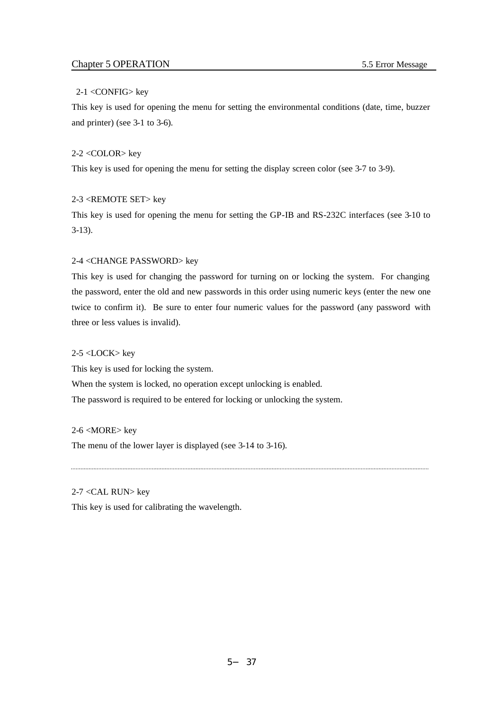## 2-1 <CONFIG> key

This key is used for opening the menu for setting the environmental conditions (date, time, buzzer and printer) (see 3-1 to 3-6).

### 2-2 <COLOR> key

This key is used for opening the menu for setting the display screen color (see 3-7 to 3-9).

# 2-3 <REMOTE SET> key

This key is used for opening the menu for setting the GP-IB and RS-232C interfaces (see 3-10 to 3-13).

### 2-4 <CHANGE PASSWORD> key

This key is used for changing the password for turning on or locking the system. For changing the password, enter the old and new passwords in this order using numeric keys (enter the new one twice to confirm it). Be sure to enter four numeric values for the password (any password with three or less values is invalid).

# 2-5 <LOCK> key

This key is used for locking the system.

When the system is locked, no operation except unlocking is enabled.

The password is required to be entered for locking or unlocking the system.

2-6 <MORE> key The menu of the lower layer is displayed (see 3-14 to 3-16).

2-7 <CAL RUN> key

This key is used for calibrating the wavelength.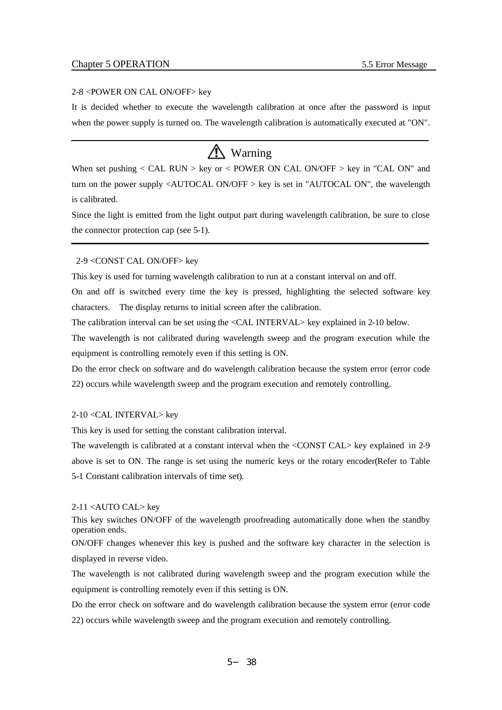#### 2-8 <POWER ON CAL ON/OFF> key

It is decided whether to execute the wavelength calibration at once after the password is input when the power supply is turned on. The wavelength calibration is automatically executed at "ON".

# **A** Warning

When set pushing  $\langle$  CAL RUN  $\rangle$  key or  $\langle$  POWER ON CAL ON/OFF  $\rangle$  key in "CAL ON" and turn on the power supply <AUTOCAL ON/OFF > key is set in "AUTOCAL ON", the wavelength is calibrated.

Since the light is emitted from the light output part during wavelength calibration, be sure to close the connector protection cap (see 5-1).

# 2-9 <CONST CAL ON/OFF> key

This key is used for turning wavelength calibration to run at a constant interval on and off.

On and off is switched every time the key is pressed, highlighting the selected software key characters. The display returns to initial screen after the calibration.

The calibration interval can be set using the <CAL INTERVAL> key explained in 2-10 below.

The wavelength is not calibrated during wavelength sweep and the program execution while the equipment is controlling remotely even if this setting is ON.

Do the error check on software and do wavelength calibration because the system error (error code 22) occurs while wavelength sweep and the program execution and remotely controlling.

#### 2-10 <CAL INTERVAL> key

This key is used for setting the constant calibration interval.

The wavelength is calibrated at a constant interval when the <CONST CAL> key explained in 2-9 above is set to ON. The range is set using the numeric keys or the rotary encoder(Refer to Table 5-1 Constant calibration intervals of time set).

#### 2-11 <AUTO CAL> key

This key switches ON/OFF of the wavelength proofreading automatically done when the standby operation ends.

ON/OFF changes whenever this key is pushed and the software key character in the selection is displayed in reverse video.

The wavelength is not calibrated during wavelength sweep and the program execution while the equipment is controlling remotely even if this setting is ON.

Do the error check on software and do wavelength calibration because the system error (error code 22) occurs while wavelength sweep and the program execution and remotely controlling.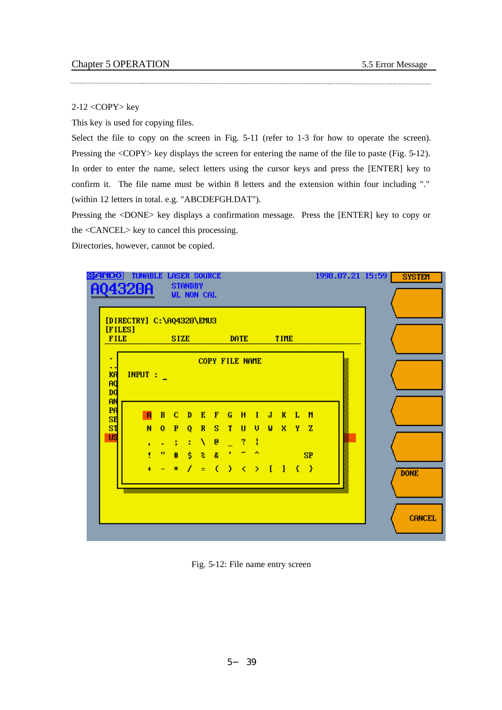# 2-12 <COPY> key

This key is used for copying files.

Select the file to copy on the screen in Fig. 5-11 (refer to 1-3 for how to operate the screen). Pressing the <COPY> key displays the screen for entering the name of the file to paste (Fig. 5-12). In order to enter the name, select letters using the cursor keys and press the [ENTER] key to confirm it. The file name must be within 8 letters and the extension within four including "." (within 12 letters in total. e.g. "ABCDEFGH.DAT").

Pressing the <DONE> key displays a confirmation message. Press the [ENTER] key to copy or the <CANCEL> key to cancel this processing.

Directories, however, cannot be copied.

| Ĥ | <b>BANDO</b>                                 | <b>TUNABLE</b><br>04320A             |                            |                          |                             | <b>STANDBY</b>              | <b>LASER SOURCE</b><br><b>WL NON CAL</b> |                                       |                                                                                                                                         |              |                       |            |                                                                                     |                |                     |  | 1998.07.21 15:59 | <b>SYSTEM</b> |
|---|----------------------------------------------|--------------------------------------|----------------------------|--------------------------|-----------------------------|-----------------------------|------------------------------------------|---------------------------------------|-----------------------------------------------------------------------------------------------------------------------------------------|--------------|-----------------------|------------|-------------------------------------------------------------------------------------|----------------|---------------------|--|------------------|---------------|
|   | <b>FILE</b>                                  | [DIRECTRY] C:\AQ4320\EMU3<br>[FILES] |                            |                          | <b>SIZE</b>                 |                             |                                          |                                       |                                                                                                                                         | <b>DATE</b>  |                       |            | <b>TIME</b>                                                                         |                |                     |  |                  |               |
|   | ٠<br>$\mathbf{H}$ .<br>KΑ<br><b>AQ</b><br>DO | <b>INPUT :</b>                       |                            |                          |                             |                             |                                          |                                       |                                                                                                                                         |              | <b>COPY FILE NAME</b> |            |                                                                                     |                |                     |  |                  |               |
|   | <b>AN</b><br>PA<br>SE<br>S1                  |                                      | $\overline{a}$<br>N        | $\bf{B}$<br>$\mathbf{0}$ | $\mathbf C$<br>$\mathbf{P}$ | $\mathbf{D}$<br>$\mathbf 0$ | $\mathbf E$<br>$\mathbf{R}$              | $\mathbf{F}$<br>s                     | G<br>T                                                                                                                                  | H<br>U       | v                     | $I$ J<br>W | $\mathbf{K}$<br>x                                                                   | Q<br>$\bullet$ | - M<br>$\mathbf{z}$ |  |                  |               |
|   | <b>US</b>                                    |                                      | ×<br>٠<br>$\ddot{\bullet}$ | п                        | ÷<br>#                      | Ś.                          | ÷ A<br><b>PA</b><br>$- * / = ($          | $\mathbf{e}$<br>$\boldsymbol{\delta}$ | <b>Contract Contract Contract Contract Contract Contract Contract Contract Contract Contract Contract Contract Co</b><br>$\mathbf{p}$ . | -?<br>$\sim$ | и<br><b>A</b>         |            | $\rightarrow$ $\rightarrow$ $\rightarrow$ $\rightarrow$ $\rightarrow$ $\rightarrow$ |                | <b>SP</b>           |  |                  |               |
|   |                                              |                                      |                            |                          |                             |                             |                                          |                                       |                                                                                                                                         |              |                       |            |                                                                                     |                |                     |  |                  | <b>DONE</b>   |
|   |                                              |                                      |                            |                          |                             |                             |                                          |                                       |                                                                                                                                         |              |                       |            |                                                                                     |                |                     |  |                  | <b>CANCEL</b> |

Fig. 5-12: File name entry screen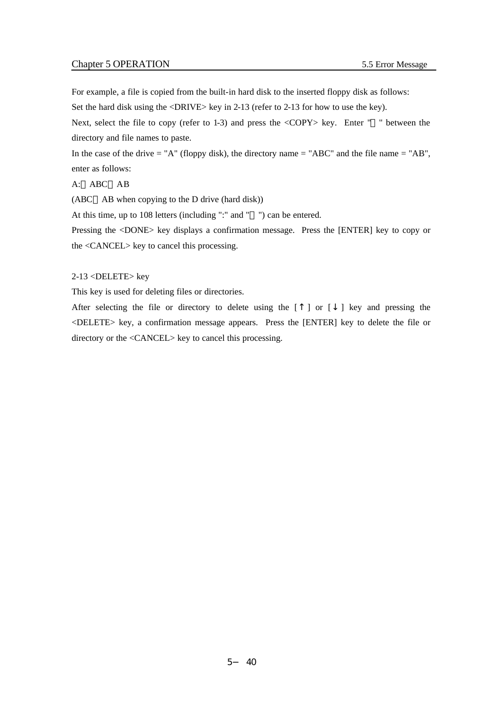## Chapter 5 OPERATION 5.5 Error Message

For example, a file is copied from the built-in hard disk to the inserted floppy disk as follows: Set the hard disk using the <DRIVE> key in 2-13 (refer to 2-13 for how to use the key).

Next, select the file to copy (refer to 1-3) and press the <COPY> key. Enter " " between the directory and file names to paste.

In the case of the drive  $=$  "A" (floppy disk), the directory name  $=$  "ABC" and the file name  $=$  "AB", enter as follows:

#### A: ABC AB

(ABC AB when copying to the D drive (hard disk))

At this time, up to 108 letters (including ":" and " ") can be entered.

Pressing the <DONE> key displays a confirmation message. Press the [ENTER] key to copy or the <CANCEL> key to cancel this processing.

#### 2-13 <DELETE> key

This key is used for deleting files or directories.

After selecting the file or directory to delete using the [ ] or [ ] key and pressing the <DELETE> key, a confirmation message appears. Press the [ENTER] key to delete the file or directory or the <CANCEL> key to cancel this processing.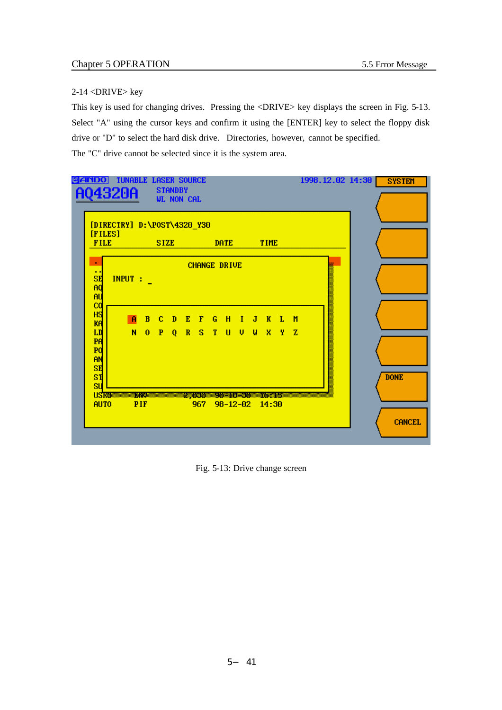# 2-14 <DRIVE> key

This key is used for changing drives. Pressing the <DRIVE> key displays the screen in Fig. 5-13. Select "A" using the cursor keys and confirm it using the [ENTER] key to select the floppy disk drive or "D" to select the hard disk drive. Directories, however, cannot be specified. The "C" drive cannot be selected since it is the system area.

| 914NDO I                          | <b>TUNABLE LASER SOURCE</b><br>A04320A |                              | <b>STANDBY</b><br><b>WL NON CAL</b> |                        |     |                     |                 |     |                                                                          |                    |  |  | 1998.12.02 14:30 | <b>SYSTEM</b> |
|-----------------------------------|----------------------------------------|------------------------------|-------------------------------------|------------------------|-----|---------------------|-----------------|-----|--------------------------------------------------------------------------|--------------------|--|--|------------------|---------------|
| [FILES]<br><b>FILE</b>            | [DIRECTRY] D:\POST\4320_Y30            |                              | <b>SIZE</b>                         | <b>Example 18 DATE</b> |     |                     |                 |     | <b>TIME</b>                                                              |                    |  |  |                  |               |
| SE<br>AQ<br>AU                    | <b>INPUT :</b>                         |                              |                                     |                        |     | <b>CHANGE DRIVE</b> |                 |     |                                                                          |                    |  |  |                  |               |
| $_{\rm cc}$<br>нs<br>KA<br>LD     | A.<br>N                                | $\mathbf{B}$<br>$\mathbf{0}$ | $C$ D<br>$P$ Q                      | $E$ $F$<br>$\bullet$   | -S  | T U U               | $G$ $H$ $I$ $J$ | – W |                                                                          | KLM<br>$X$ $Y$ $Z$ |  |  |                  |               |
| PA<br>Pd<br><b>AN</b><br>sв<br>sı |                                        |                              |                                     |                        |     |                     |                 |     |                                                                          |                    |  |  |                  | <b>DONE</b>   |
| SU<br><b>USR®</b><br><b>AUTO</b>  |                                        | BROX<br>PIF                  |                                     |                        | 967 |                     |                 |     | <u> 1744 bereinig bing bing binning bing ber</u><br>$98 - 12 - 02$ 14:30 |                    |  |  |                  |               |
|                                   |                                        |                              |                                     |                        |     |                     |                 |     |                                                                          |                    |  |  |                  | <b>CANCEL</b> |

Fig. 5-13: Drive change screen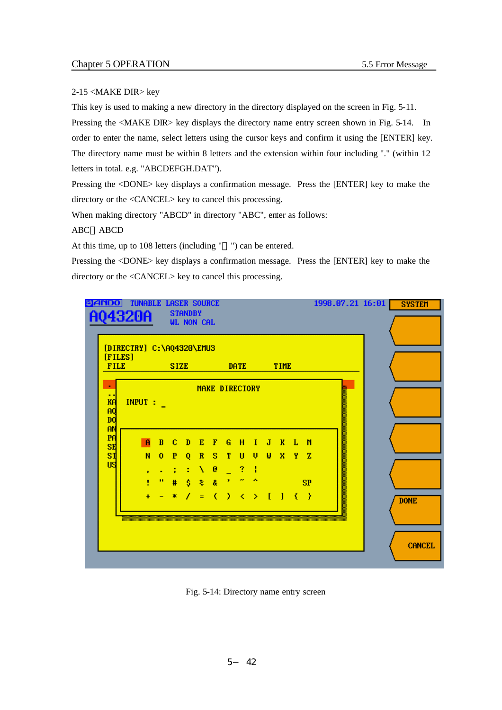# 2-15 <MAKE DIR> key

This key is used to making a new directory in the directory displayed on the screen in Fig. 5-11. Pressing the <MAKE DIR> key displays the directory name entry screen shown in Fig. 5-14. In order to enter the name, select letters using the cursor keys and confirm it using the [ENTER] key. The directory name must be within 8 letters and the extension within four including "." (within 12 letters in total. e.g. "ABCDEFGH.DAT").

Pressing the <DONE> key displays a confirmation message. Press the [ENTER] key to make the directory or the <CANCEL> key to cancel this processing.

When making directory "ABCD" in directory "ABC", enter as follows:

ABC ABCD

At this time, up to 108 letters (including " ") can be entered.

Pressing the <DONE> key displays a confirmation message. Press the [ENTER] key to make the directory or the <CANCEL> key to cancel this processing.



Fig. 5-14: Directory name entry screen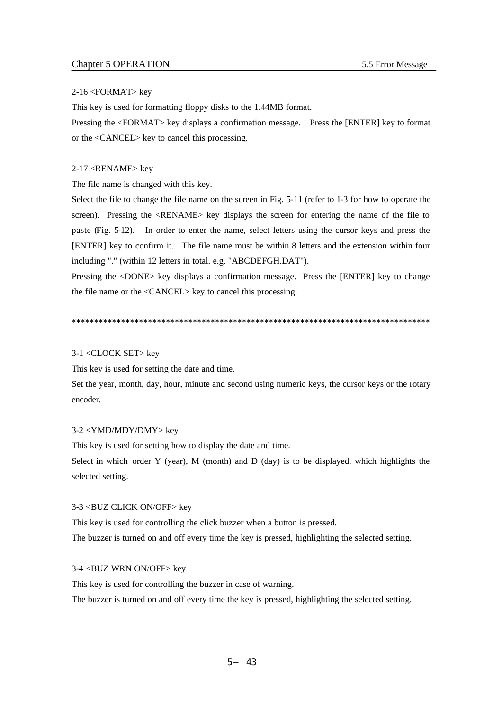#### 2-16 <FORMAT> key

This key is used for formatting floppy disks to the 1.44MB format.

Pressing the <FORMAT> key displays a confirmation message. Press the [ENTER] key to format or the <CANCEL> key to cancel this processing.

#### 2-17 <RENAME> key

The file name is changed with this key.

Select the file to change the file name on the screen in Fig. 5-11 (refer to 1-3 for how to operate the screen). Pressing the <RENAME> key displays the screen for entering the name of the file to paste (Fig. 5-12). In order to enter the name, select letters using the cursor keys and press the [ENTER] key to confirm it. The file name must be within 8 letters and the extension within four including "." (within 12 letters in total. e.g. "ABCDEFGH.DAT").

Pressing the <DONE> key displays a confirmation message. Press the [ENTER] key to change the file name or the <CANCEL> key to cancel this processing.

\*\*\*\*\*\*\*\*\*\*\*\*\*\*\*\*\*\*\*\*\*\*\*\*\*\*\*\*\*\*\*\*\*\*\*\*\*\*\*\*\*\*\*\*\*\*\*\*\*\*\*\*\*\*\*\*\*\*\*\*\*\*\*\*\*\*\*\*\*\*\*\*\*\*\*\*\*\*\*\*

### 3-1 <CLOCK SET> key

This key is used for setting the date and time.

Set the year, month, day, hour, minute and second using numeric keys, the cursor keys or the rotary encoder.

#### 3-2 <YMD/MDY/DMY> key

This key is used for setting how to display the date and time.

Select in which order Y (year), M (month) and D (day) is to be displayed, which highlights the selected setting.

#### 3-3 <BUZ CLICK ON/OFF> key

This key is used for controlling the click buzzer when a button is pressed. The buzzer is turned on and off every time the key is pressed, highlighting the selected setting.

#### 3-4 <BUZ WRN ON/OFF> key

This key is used for controlling the buzzer in case of warning.

The buzzer is turned on and off every time the key is pressed, highlighting the selected setting.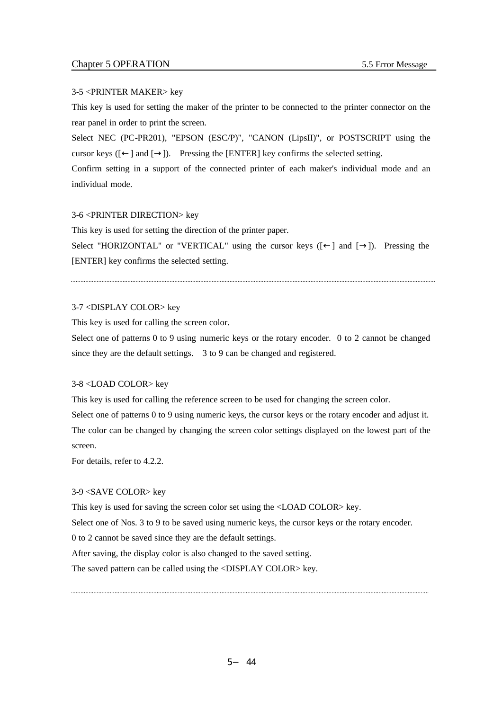### 3-5 <PRINTER MAKER> key

This key is used for setting the maker of the printer to be connected to the printer connector on the rear panel in order to print the screen.

Select NEC (PC-PR201), "EPSON (ESC/P)", "CANON (LipsII)", or POSTSCRIPT using the cursor keys ( $\lceil \cdot \rceil$  and  $\lceil \cdot \rceil$ ). Pressing the [ENTER] key confirms the selected setting.

Confirm setting in a support of the connected printer of each maker's individual mode and an individual mode.

#### 3-6 <PRINTER DIRECTION> key

This key is used for setting the direction of the printer paper.

Select "HORIZONTAL" or "VERTICAL" using the cursor keys ([ ] and [ ]). Pressing the [ENTER] key confirms the selected setting.

#### 3-7 <DISPLAY COLOR> key

This key is used for calling the screen color.

Select one of patterns 0 to 9 using numeric keys or the rotary encoder. 0 to 2 cannot be changed since they are the default settings. 3 to 9 can be changed and registered.

## 3-8 <LOAD COLOR> key

This key is used for calling the reference screen to be used for changing the screen color.

Select one of patterns 0 to 9 using numeric keys, the cursor keys or the rotary encoder and adjust it. The color can be changed by changing the screen color settings displayed on the lowest part of the screen.

For details, refer to 4.2.2.

#### 3-9 <SAVE COLOR> key

This key is used for saving the screen color set using the <LOAD COLOR> key.

Select one of Nos. 3 to 9 to be saved using numeric keys, the cursor keys or the rotary encoder.

0 to 2 cannot be saved since they are the default settings.

After saving, the display color is also changed to the saved setting.

The saved pattern can be called using the <DISPLAY COLOR> key.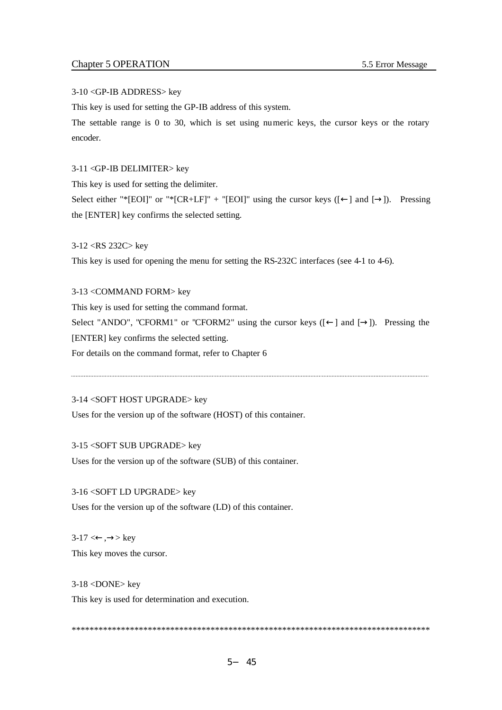### 3-10 <GP-IB ADDRESS> key

This key is used for setting the GP-IB address of this system.

The settable range is 0 to 30, which is set using numeric keys, the cursor keys or the rotary encoder.

#### 3-11 <GP-IB DELIMITER> key

This key is used for setting the delimiter.

Select either "\*[EOI]" or "\*[CR+LF]" + "[EOI]" using the cursor keys  $($  | and  $[$  |). Pressing the [ENTER] key confirms the selected setting.

#### 3-12 <RS 232C> key

This key is used for opening the menu for setting the RS-232C interfaces (see 4-1 to 4-6).

3-13 <COMMAND FORM> key This key is used for setting the command format. Select "ANDO", "CFORM1" or "CFORM2" using the cursor keys ([ ] and [ ]). Pressing the [ENTER] key confirms the selected setting. For details on the command format, refer to Chapter 6

#### 3-14 <SOFT HOST UPGRADE> key

Uses for the version up of the software (HOST) of this container.

#### 3-15 <SOFT SUB UPGRADE> key

Uses for the version up of the software (SUB) of this container.

### 3-16 <SOFT LD UPGRADE> key

Uses for the version up of the software (LD) of this container.

 $3-17 < , > \text{key}$ This key moves the cursor.

#### 3-18 <DONE> key

This key is used for determination and execution.

\*\*\*\*\*\*\*\*\*\*\*\*\*\*\*\*\*\*\*\*\*\*\*\*\*\*\*\*\*\*\*\*\*\*\*\*\*\*\*\*\*\*\*\*\*\*\*\*\*\*\*\*\*\*\*\*\*\*\*\*\*\*\*\*\*\*\*\*\*\*\*\*\*\*\*\*\*\*\*\*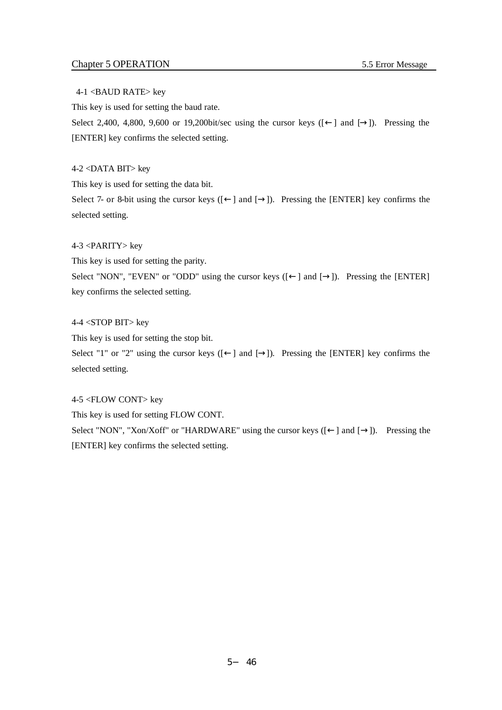## 4-1 <BAUD RATE> key

This key is used for setting the baud rate.

Select 2,400, 4,800, 9,600 or 19,200bit/sec using the cursor keys  $($  | and  $[$  |). Pressing the [ENTER] key confirms the selected setting.

#### 4-2 <DATA BIT> key

This key is used for setting the data bit.

Select 7- or 8-bit using the cursor keys  $($  | and  $[$  |). Pressing the [ENTER] key confirms the selected setting.

# 4-3 <PARITY> key

This key is used for setting the parity.

Select "NON", "EVEN" or "ODD" using the cursor keys ([ ] and [ ]). Pressing the [ENTER] key confirms the selected setting.

## 4-4 <STOP BIT> key

This key is used for setting the stop bit.

Select "1" or "2" using the cursor keys ([ ] and [ ]). Pressing the [ENTER] key confirms the selected setting.

### 4-5 <FLOW CONT> key

This key is used for setting FLOW CONT.

Select "NON", "Xon/Xoff" or "HARDWARE" using the cursor keys ([ ] and [ ]). Pressing the [ENTER] key confirms the selected setting.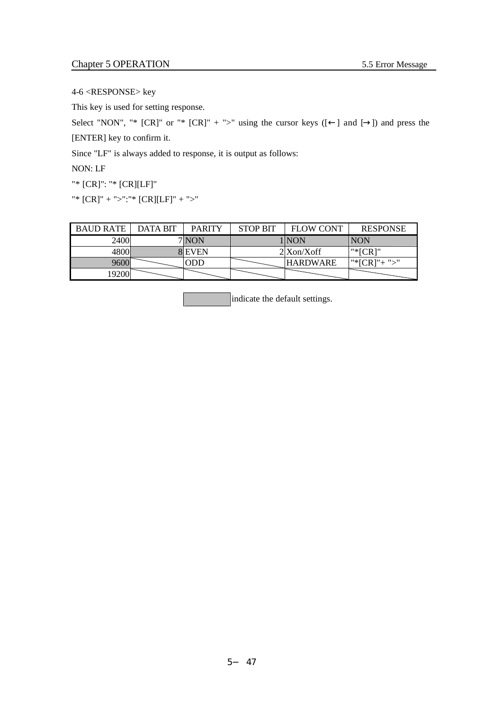4-6 <RESPONSE> key

This key is used for setting response.

Select "NON", "\*  $[CR]$ " or "\*  $[CR]$ " + ">" using the cursor keys  $([ ]$  and  $[ ]$ ) and press the [ENTER] key to confirm it.

Since "LF" is always added to response, it is output as follows:

NON: LF

"\* [CR]": "\* [CR][LF]"

"\* [CR]" + ">":"\* [CR][LF]" + ">"

| <b>BAUD RATE</b> | <b>DATA BIT</b> | <b>PARITY</b> | <b>STOP BIT</b> | <b>FLOW CONT</b> | <b>RESPONSE</b> |
|------------------|-----------------|---------------|-----------------|------------------|-----------------|
| 2400             |                 | 7 NON         |                 | 1 INON           | <b>INON</b>     |
| 4800l            |                 | 8 EVEN        |                 | 2 Xon/Xoff       | $"*[CR]'$       |
| 9600             |                 | ODD           |                 | <b>HARDWARE</b>  | "*[CR]"+ ">"    |
| 9200             |                 |               |                 |                  |                 |

indicate the default settings.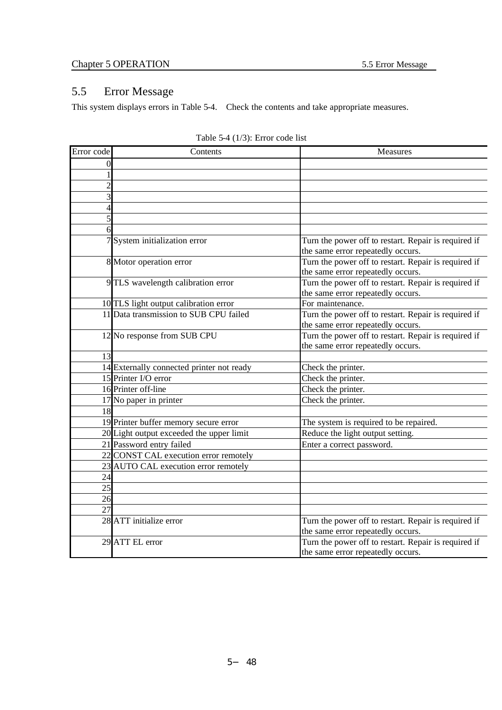# 5.5 Error Message

This system displays errors in Table 5-4. Check the contents and take appropriate measures.

| Error code     | Contents                                  | Measures                                                                                  |
|----------------|-------------------------------------------|-------------------------------------------------------------------------------------------|
| 0              |                                           |                                                                                           |
|                |                                           |                                                                                           |
| $\overline{2}$ |                                           |                                                                                           |
| 3              |                                           |                                                                                           |
| 4              |                                           |                                                                                           |
| 5              |                                           |                                                                                           |
| 6              |                                           |                                                                                           |
|                | 7 System initialization error             | Turn the power off to restart. Repair is required if<br>the same error repeatedly occurs. |
|                | 8 Motor operation error                   | Turn the power off to restart. Repair is required if<br>the same error repeatedly occurs. |
|                | 9 TLS wavelength calibration error        | Turn the power off to restart. Repair is required if<br>the same error repeatedly occurs. |
|                | 10 TLS light output calibration error     | For maintenance.                                                                          |
|                | 11 Data transmission to SUB CPU failed    | Turn the power off to restart. Repair is required if                                      |
|                |                                           | the same error repeatedly occurs.                                                         |
|                | 12 No response from SUB CPU               | Turn the power off to restart. Repair is required if<br>the same error repeatedly occurs. |
| 13             |                                           |                                                                                           |
|                | 14 Externally connected printer not ready | Check the printer.                                                                        |
|                | 15 Printer I/O error                      | Check the printer.                                                                        |
|                | 16 Printer off-line                       | Check the printer.                                                                        |
|                | 17 No paper in printer                    | Check the printer.                                                                        |
| 18             |                                           |                                                                                           |
|                | 19 Printer buffer memory secure error     | The system is required to be repaired.                                                    |
|                | 20 Light output exceeded the upper limit  | Reduce the light output setting.                                                          |
|                | 21 Password entry failed                  | Enter a correct password.                                                                 |
|                | 22 CONST CAL execution error remotely     |                                                                                           |
|                | 23 AUTO CAL execution error remotely      |                                                                                           |
| 24             |                                           |                                                                                           |
| 25             |                                           |                                                                                           |
| 26             |                                           |                                                                                           |
| 27             |                                           |                                                                                           |
|                | 28 ATT initialize error                   | Turn the power off to restart. Repair is required if<br>the same error repeatedly occurs. |
|                | 29 ATT EL error                           | Turn the power off to restart. Repair is required if<br>the same error repeatedly occurs. |

| Table 5-4 (1/3): Error code list |  |  |  |
|----------------------------------|--|--|--|
|                                  |  |  |  |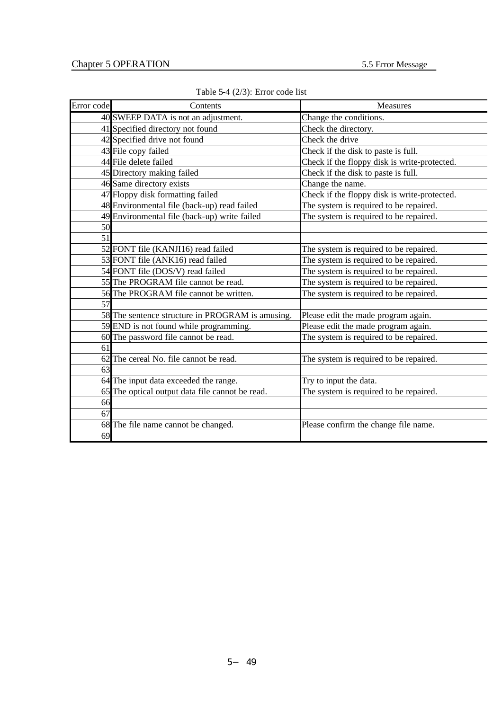| Error code | Contents                                         | <b>Measures</b>                              |
|------------|--------------------------------------------------|----------------------------------------------|
|            | 40 SWEEP DATA is not an adjustment.              | Change the conditions.                       |
|            | 41 Specified directory not found                 | Check the directory.                         |
|            | 42 Specified drive not found                     | Check the drive                              |
|            | 43 File copy failed                              | Check if the disk to paste is full.          |
|            | 44 File delete failed                            | Check if the floppy disk is write-protected. |
|            | 45 Directory making failed                       | Check if the disk to paste is full.          |
|            | 46 Same directory exists                         | Change the name.                             |
|            | 47 Floppy disk formatting failed                 | Check if the floppy disk is write-protected. |
|            | 48 Environmental file (back-up) read failed      | The system is required to be repaired.       |
|            | 49 Environmental file (back-up) write failed     | The system is required to be repaired.       |
| 50         |                                                  |                                              |
| 51         |                                                  |                                              |
|            | 52 FONT file (KANJI16) read failed               | The system is required to be repaired.       |
|            | 53 FONT file (ANK16) read failed                 | The system is required to be repaired.       |
|            | 54 FONT file (DOS/V) read failed                 | The system is required to be repaired.       |
|            | 55 The PROGRAM file cannot be read.              | The system is required to be repaired.       |
|            | 56 The PROGRAM file cannot be written.           | The system is required to be repaired.       |
| 57         |                                                  |                                              |
|            | 58 The sentence structure in PROGRAM is amusing. | Please edit the made program again.          |
|            | 59 END is not found while programming.           | Please edit the made program again.          |
|            | 60 The password file cannot be read.             | The system is required to be repaired.       |
| 61         |                                                  |                                              |
|            | 62 The cereal No. file cannot be read.           | The system is required to be repaired.       |
| 63         |                                                  |                                              |
|            | 64 The input data exceeded the range.            | Try to input the data.                       |
|            | 65 The optical output data file cannot be read.  | The system is required to be repaired.       |
| 66         |                                                  |                                              |
| 67         |                                                  |                                              |
|            | 68 The file name cannot be changed.              | Please confirm the change file name.         |
| 69         |                                                  |                                              |

Table 5-4 (2/3): Error code list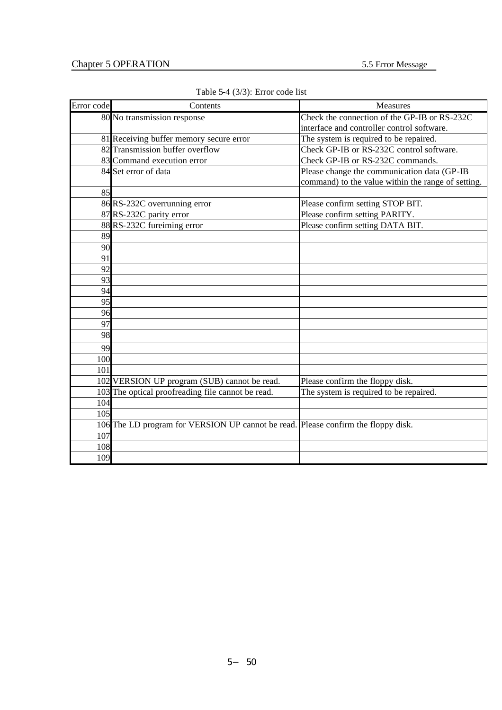| Error code | Contents                                                                          | <b>Measures</b>                                    |
|------------|-----------------------------------------------------------------------------------|----------------------------------------------------|
|            | 80 No transmission response                                                       | Check the connection of the GP-IB or RS-232C       |
|            |                                                                                   | interface and controller control software.         |
|            | 81 Receiving buffer memory secure error                                           | The system is required to be repaired.             |
|            | 82 Transmission buffer overflow                                                   | Check GP-IB or RS-232C control software.           |
|            | 83 Command execution error                                                        | Check GP-IB or RS-232C commands.                   |
|            | 84 Set error of data                                                              | Please change the communication data (GP-IB        |
|            |                                                                                   | command) to the value within the range of setting. |
| 85         |                                                                                   |                                                    |
|            | 86 RS-232C overrunning error                                                      | Please confirm setting STOP BIT.                   |
|            | 87 RS-232C parity error                                                           | Please confirm setting PARITY.                     |
|            | 88 RS-232C fureiming error                                                        | Please confirm setting DATA BIT.                   |
| 89         |                                                                                   |                                                    |
| 90         |                                                                                   |                                                    |
| 91         |                                                                                   |                                                    |
| 92         |                                                                                   |                                                    |
| 93         |                                                                                   |                                                    |
| 94         |                                                                                   |                                                    |
| 95         |                                                                                   |                                                    |
| 96         |                                                                                   |                                                    |
| 97         |                                                                                   |                                                    |
| 98         |                                                                                   |                                                    |
| 99         |                                                                                   |                                                    |
| 100        |                                                                                   |                                                    |
| 101        |                                                                                   |                                                    |
|            | 102 VERSION UP program (SUB) cannot be read.                                      | Please confirm the floppy disk.                    |
|            | 103 The optical proofreading file cannot be read.                                 | The system is required to be repaired.             |
| 104        |                                                                                   |                                                    |
| 105        |                                                                                   |                                                    |
|            | 106 The LD program for VERSION UP cannot be read. Please confirm the floppy disk. |                                                    |
| 107        |                                                                                   |                                                    |
| 108        |                                                                                   |                                                    |
| 109        |                                                                                   |                                                    |

Table 5-4 (3/3): Error code list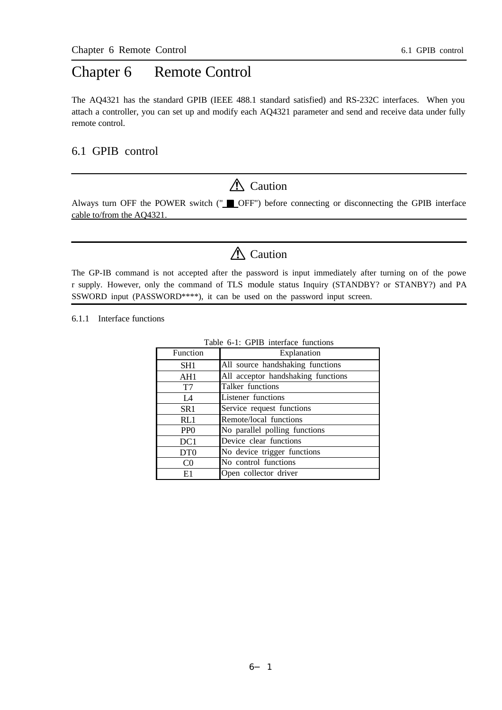# Chapter 6 Remote Control

The AQ4321 has the standard GPIB (IEEE 488.1 standard satisfied) and RS-232C interfaces. When you attach a controller, you can set up and modify each AQ4321 parameter and send and receive data under fully remote control.

# 6.1 GPIB control

# $\triangle$  Caution

Always turn OFF the POWER switch ("OFF") before connecting or disconnecting the GPIB interface cable to/from the AQ4321.

# A Caution

The GP-IB command is not accepted after the password is input immediately after turning on of the powe r supply. However, only the command of TLS module status Inquiry (STANDBY? or STANBY?) and PA SSWORD input (PASSWORD\*\*\*\*), it can be used on the password input screen.

6.1.1 Interface functions

|                             | rable 0-1. Of 1D interact ranchous |
|-----------------------------|------------------------------------|
| Function                    | Explanation                        |
| SH1                         | All source handshaking functions   |
| AH1                         | All acceptor handshaking functions |
| T7                          | Talker functions                   |
| L4                          | Listener functions                 |
| SR <sub>1</sub>             | Service request functions          |
| RL1                         | Remote/local functions             |
| P <sub>P</sub> O            | No parallel polling functions      |
| DC1                         | Device clear functions             |
| D <sub>T</sub> <sub>0</sub> | No device trigger functions        |
| C <sub>0</sub>              | No control functions               |
| E1                          | Open collector driver              |

|  |  | Table 6-1: GPIB interface functions |  |
|--|--|-------------------------------------|--|
|  |  |                                     |  |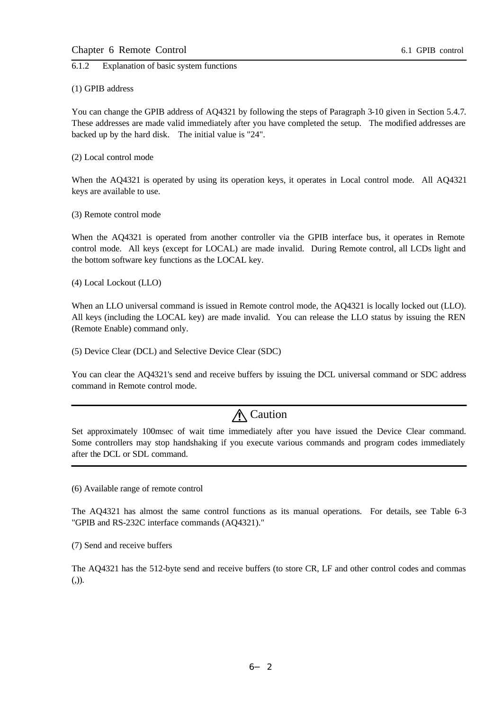6.1.2 Explanation of basic system functions

## (1) GPIB address

You can change the GPIB address of AQ4321 by following the steps of Paragraph 3-10 given in Section 5.4.7. These addresses are made valid immediately after you have completed the setup. The modified addresses are backed up by the hard disk. The initial value is "24".

(2) Local control mode

When the AQ4321 is operated by using its operation keys, it operates in Local control mode. All AQ4321 keys are available to use.

(3) Remote control mode

When the AQ4321 is operated from another controller via the GPIB interface bus, it operates in Remote control mode. All keys (except for LOCAL) are made invalid. During Remote control, all LCDs light and the bottom software key functions as the LOCAL key.

(4) Local Lockout (LLO)

When an LLO universal command is issued in Remote control mode, the AQ4321 is locally locked out (LLO). All keys (including the LOCAL key) are made invalid. You can release the LLO status by issuing the REN (Remote Enable) command only.

(5) Device Clear (DCL) and Selective Device Clear (SDC)

You can clear the AQ4321's send and receive buffers by issuing the DCL universal command or SDC address command in Remote control mode.

# A Caution

Set approximately 100msec of wait time immediately after you have issued the Device Clear command. Some controllers may stop handshaking if you execute various commands and program codes immediately after the DCL or SDL command.

(6) Available range of remote control

The AQ4321 has almost the same control functions as its manual operations. For details, see Table 6-3 "GPIB and RS-232C interface commands (AQ4321)."

(7) Send and receive buffers

The AQ4321 has the 512-byte send and receive buffers (to store CR, LF and other control codes and commas  $($ , $)).$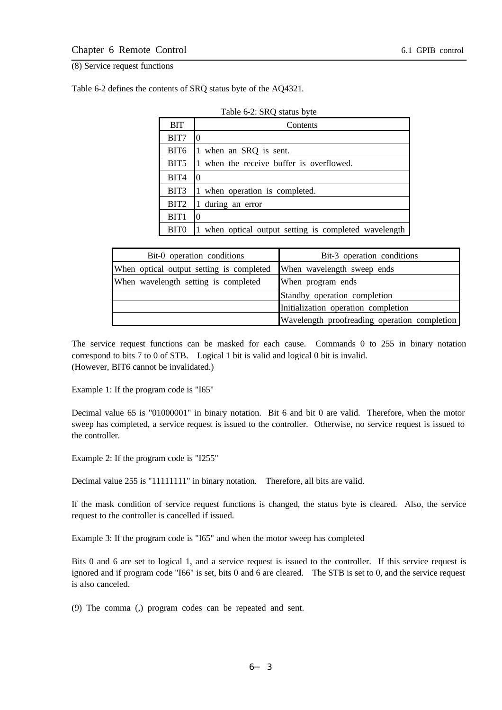# (8) Service request functions

Table 6-2 defines the contents of SRQ status byte of the AQ4321.

|                  | Table 0-2: SRO status byte                               |  |  |  |  |  |  |  |  |
|------------------|----------------------------------------------------------|--|--|--|--|--|--|--|--|
| <b>BIT</b>       | Contents                                                 |  |  |  |  |  |  |  |  |
| BIT7             | 0                                                        |  |  |  |  |  |  |  |  |
| BIT6             | 1 when an SRQ is sent.                                   |  |  |  |  |  |  |  |  |
| BIT <sub>5</sub> | when the receive buffer is overflowed.<br>$\mathbf{1}$   |  |  |  |  |  |  |  |  |
| BIT4             | 0                                                        |  |  |  |  |  |  |  |  |
| BIT3             | when operation is completed.<br>1                        |  |  |  |  |  |  |  |  |
| BIT <sub>2</sub> | during an error<br>1                                     |  |  |  |  |  |  |  |  |
| BIT <sub>1</sub> | 0                                                        |  |  |  |  |  |  |  |  |
| BIT <sub>0</sub> | when optical output setting is completed wavelength<br>1 |  |  |  |  |  |  |  |  |

Table 6-2: SRQ status byte

| Bit-0 operation conditions               | Bit-3 operation conditions                   |
|------------------------------------------|----------------------------------------------|
| When optical output setting is completed | When wavelength sweep ends                   |
| When wavelength setting is completed     | When program ends                            |
|                                          | Standby operation completion                 |
|                                          | Initialization operation completion          |
|                                          | Wavelength proofreading operation completion |

The service request functions can be masked for each cause. Commands 0 to 255 in binary notation correspond to bits 7 to 0 of STB. Logical 1 bit is valid and logical 0 bit is invalid. (However, BIT6 cannot be invalidated.)

Example 1: If the program code is "I65"

Decimal value 65 is "01000001" in binary notation. Bit 6 and bit 0 are valid. Therefore, when the motor sweep has completed, a service request is issued to the controller. Otherwise, no service request is issued to the controller.

Example 2: If the program code is "I255"

Decimal value 255 is "11111111" in binary notation. Therefore, all bits are valid.

If the mask condition of service request functions is changed, the status byte is cleared. Also, the service request to the controller is cancelled if issued.

Example 3: If the program code is "I65" and when the motor sweep has completed

Bits 0 and 6 are set to logical 1, and a service request is issued to the controller. If this service request is ignored and if program code "I66" is set, bits 0 and 6 are cleared. The STB is set to 0, and the service request is also canceled.

(9) The comma (,) program codes can be repeated and sent.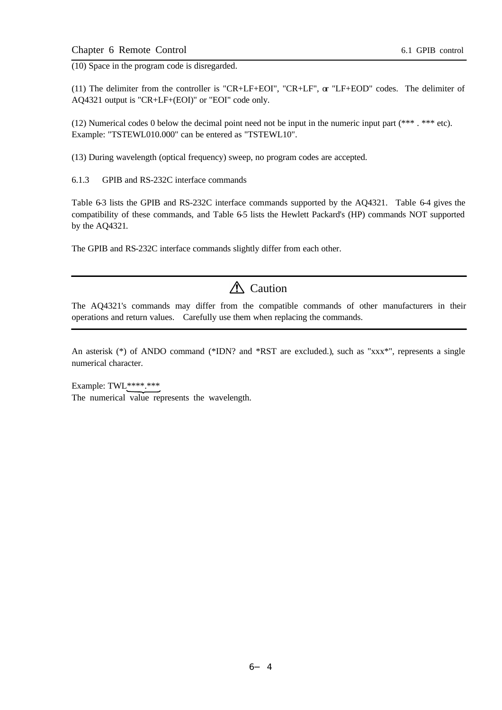(10) Space in the program code is disregarded.

(11) The delimiter from the controller is "CR+LF+EOI", "CR+LF", or "LF+EOD" codes. The delimiter of AQ4321 output is "CR+LF+(EOI)" or "EOI" code only.

(12) Numerical codes 0 below the decimal point need not be input in the numeric input part (\*\*\* . \*\*\* etc). Example: "TSTEWL010.000" can be entered as "TSTEWL10".

(13) During wavelength (optical frequency) sweep, no program codes are accepted.

6.1.3 GPIB and RS-232C interface commands

Table 6-3 lists the GPIB and RS-232C interface commands supported by the AQ4321. Table 6-4 gives the compatibility of these commands, and Table 6-5 lists the Hewlett Packard's (HP) commands NOT supported by the AQ4321.

The GPIB and RS-232C interface commands slightly differ from each other.

# A Caution

The AQ4321's commands may differ from the compatible commands of other manufacturers in their operations and return values. Carefully use them when replacing the commands.

An asterisk (\*) of ANDO command (\*IDN? and \*RST are excluded.), such as "xxx\*", represents a single numerical character.

Example: TWL\*\*\*\*.\*\*\* The numerical value represents the wavelength.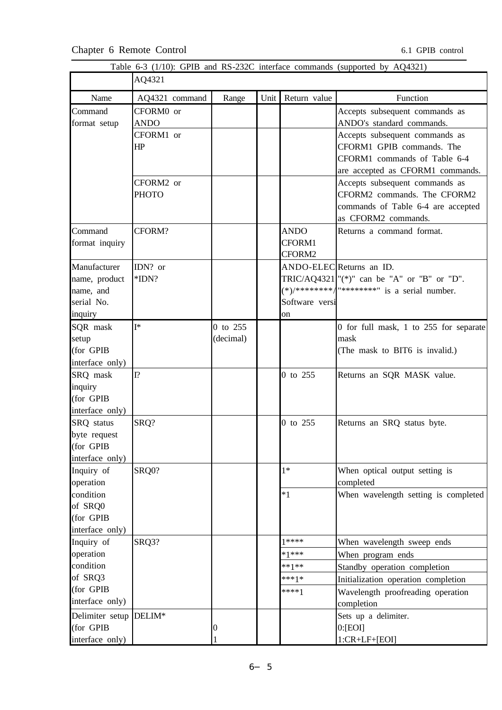| Table 6-3 (1/10): GPIB and RS-232C interface commands (supported by AQ4321) |                |           |      |                |                                                 |  |
|-----------------------------------------------------------------------------|----------------|-----------|------|----------------|-------------------------------------------------|--|
|                                                                             | AQ4321         |           |      |                |                                                 |  |
| Name                                                                        | AQ4321 command | Range     | Unit | Return value   | Function                                        |  |
| Command                                                                     | CFORM0 or      |           |      |                | Accepts subsequent commands as                  |  |
| format setup                                                                | <b>ANDO</b>    |           |      |                | ANDO's standard commands.                       |  |
|                                                                             | CFORM1 or      |           |      |                | Accepts subsequent commands as                  |  |
|                                                                             | HP             |           |      |                | CFORM1 GPIB commands. The                       |  |
|                                                                             |                |           |      |                | CFORM1 commands of Table 6-4                    |  |
|                                                                             |                |           |      |                | are accepted as CFORM1 commands.                |  |
|                                                                             | CFORM2 or      |           |      |                | Accepts subsequent commands as                  |  |
|                                                                             | <b>PHOTO</b>   |           |      |                | CFORM2 commands. The CFORM2                     |  |
|                                                                             |                |           |      |                | commands of Table 6-4 are accepted              |  |
|                                                                             |                |           |      |                | as CFORM2 commands.                             |  |
| Command                                                                     | CFORM?         |           |      | <b>ANDO</b>    | Returns a command format.                       |  |
| format inquiry                                                              |                |           |      | CFORM1         |                                                 |  |
|                                                                             |                |           |      | CFORM2         |                                                 |  |
| Manufacturer                                                                | IDN? or        |           |      |                | ANDO-ELEC Returns an ID.                        |  |
| name, product                                                               | *IDN?          |           |      |                | TRIC/AQ4321"(*)" can be "A" or "B" or "D".      |  |
| name, and                                                                   |                |           |      |                | $(*)$ /********/"*********" is a serial number. |  |
| serial No.                                                                  |                |           |      | Software versi |                                                 |  |
| inquiry                                                                     |                |           |      | on             |                                                 |  |
| SQR mask                                                                    | $I^*$          | 0 to 255  |      |                | 0 for full mask, 1 to 255 for separate          |  |
| setup                                                                       |                | (decimal) |      |                | mask                                            |  |
| (for GPIB                                                                   |                |           |      |                | (The mask to BIT6 is invalid.)                  |  |
| interface only)                                                             |                |           |      |                |                                                 |  |
| SRQ mask                                                                    | I?             |           |      | 0 to 255       | Returns an SQR MASK value.                      |  |
| inquiry<br>(for GPIB                                                        |                |           |      |                |                                                 |  |
| interface only)                                                             |                |           |      |                |                                                 |  |
| SRQ status                                                                  | SRQ?           |           |      | 0 to 255       | Returns an SRQ status byte.                     |  |
| byte request                                                                |                |           |      |                |                                                 |  |
| (for GPIB                                                                   |                |           |      |                |                                                 |  |
| interface only)                                                             |                |           |      |                |                                                 |  |
| Inquiry of                                                                  | SRQ0?          |           |      | $1*$           | When optical output setting is                  |  |
| operation                                                                   |                |           |      |                | completed                                       |  |
| condition                                                                   |                |           |      | $*1$           | When wavelength setting is completed            |  |
| of SRQ0                                                                     |                |           |      |                |                                                 |  |
| (for GPIB                                                                   |                |           |      |                |                                                 |  |
| interface only)                                                             |                |           |      |                |                                                 |  |
| Inquiry of                                                                  | SRQ3?          |           |      | 1****          | When wavelength sweep ends                      |  |
| operation                                                                   |                |           |      | $*1***$        | When program ends                               |  |
| condition                                                                   |                |           |      | $***1***$      | Standby operation completion                    |  |
| of SRQ3                                                                     |                |           |      | $***1*$        | Initialization operation completion             |  |
| (for GPIB                                                                   |                |           |      | ****1          | Wavelength proofreading operation               |  |
| interface only)                                                             |                |           |      |                | completion                                      |  |
| Delimiter setup DELIM*                                                      |                |           |      |                | Sets up a delimiter.                            |  |
| (for GPIB                                                                   |                | 0         |      |                | 0: [EOI]                                        |  |
| interface only)                                                             |                |           |      |                | $1:CR+LF+[EOI]$                                 |  |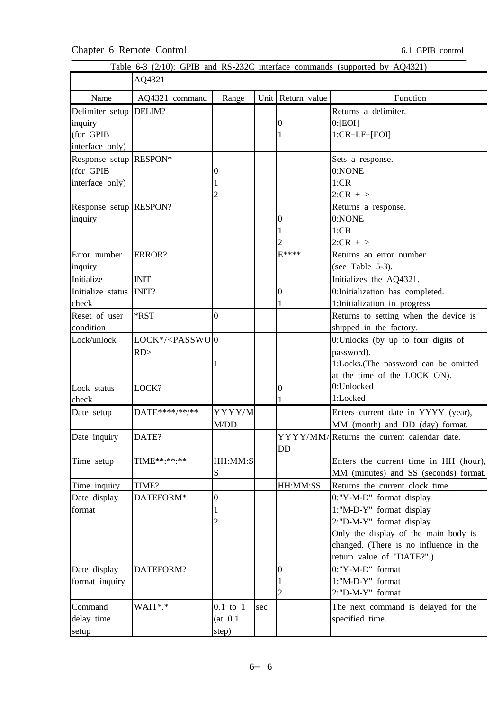|  |  |  |  |  |  |  |  | Table 6-3 (2/10): GPIB and RS-232C interface commands (supported by AQ4321) |  |  |  |  |
|--|--|--|--|--|--|--|--|-----------------------------------------------------------------------------|--|--|--|--|
|--|--|--|--|--|--|--|--|-----------------------------------------------------------------------------|--|--|--|--|

|                                                                   | AQ4321            |                                   |     |                   | Table 6-3 (2/10): GPIB and RS-232C interface commands (supported by $AQ4321$ )                                                                                                                  |
|-------------------------------------------------------------------|-------------------|-----------------------------------|-----|-------------------|-------------------------------------------------------------------------------------------------------------------------------------------------------------------------------------------------|
| Name                                                              | AQ4321 command    | Range                             |     | Unit Return value | Function                                                                                                                                                                                        |
| Delimiter setup DELIM?<br>inquiry<br>(for GPIB<br>interface only) |                   |                                   |     | 0                 | Returns a delimiter.<br>$0:$ [EOI]<br>$1:CR+LF+[EOI]$                                                                                                                                           |
| Response setup RESPON*<br>(for GPIB<br>interface only)            |                   | 0<br>2                            |     |                   | Sets a response.<br>0:NONE<br>1:CR<br>$2:CR + >$                                                                                                                                                |
| Response setup RESPON?<br>inquiry                                 |                   |                                   |     | 0                 | Returns a response.<br>0:NONE<br>1:CR<br>$2:CR + >$                                                                                                                                             |
| Error number<br>inquiry                                           | ERROR?            |                                   |     | E****             | Returns an error number<br>(see Table $5-3$ ).                                                                                                                                                  |
| Initialize                                                        | <b>INIT</b>       |                                   |     |                   | Initializes the AQ4321.                                                                                                                                                                         |
| Initialize status INIT?<br>check                                  |                   |                                   |     | $\overline{0}$    | 0:Initialization has completed.<br>1:Initialization in progress                                                                                                                                 |
| Reset of user<br>condition                                        | *RST              | 0                                 |     |                   | Returns to setting when the device is<br>shipped in the factory.                                                                                                                                |
| Lock/unlock                                                       | $LOCK*/0RD$       | 1                                 |     |                   | 0: Unlocks (by up to four digits of<br>password).<br>1:Locks.(The password can be omitted<br>at the time of the LOCK ON).                                                                       |
| Lock status<br>check                                              | LOCK?             |                                   |     | $\overline{0}$    | 0:Unlocked<br>1:Locked                                                                                                                                                                          |
| Date setup                                                        | DATE **** /** /** | YYYY/M<br>M/DD                    |     |                   | Enters current date in YYYY (year),<br>MM (month) and DD (day) format.                                                                                                                          |
| Date inquiry                                                      | DATE?             |                                   |     | DD                | YYYY/MM/Returns the current calendar date.                                                                                                                                                      |
| Time setup                                                        | TIME**:**:**      | HH:MM:S<br>S                      |     |                   | Enters the current time in HH (hour),<br>MM (minutes) and SS (seconds) format.                                                                                                                  |
| Time inquiry                                                      | TIME?             |                                   |     | HH:MM:SS          | Returns the current clock time.                                                                                                                                                                 |
| Date display<br>format                                            | DATEFORM*         | 0                                 |     |                   | 0:"Y-M-D" format display<br>1:"M-D-Y" format display<br>2:"D-M-Y" format display<br>Only the display of the main body is<br>changed. (There is no influence in the<br>return value of "DATE?".) |
| Date display<br>format inquiry                                    | DATEFORM?         |                                   |     | 0<br>2            | 0:"Y-M-D" format<br>1:"M-D-Y" format<br>2:"D-M-Y" format                                                                                                                                        |
| Command<br>delay time<br>setup                                    | WAIT*.*           | $0.1$ to $1$<br>(at 0.1)<br>step) | sec |                   | The next command is delayed for the<br>specified time.                                                                                                                                          |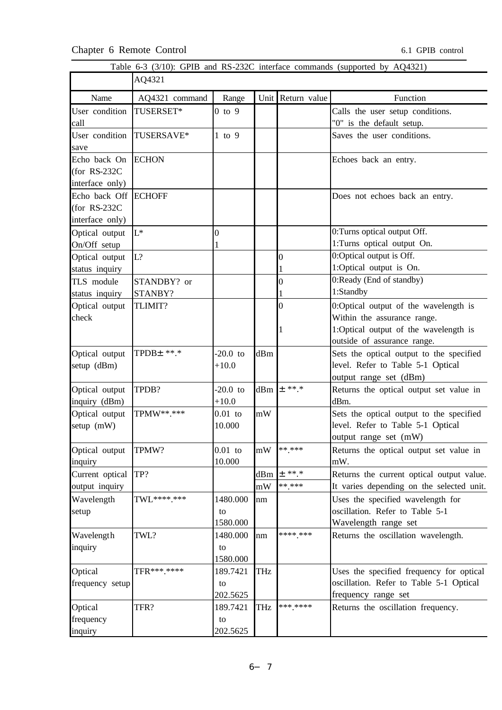|                                                           |                |                            |     |                   | Table 6-3 (3/10): GPIB and RS-232C interface commands (supported by AQ4321)                                                                  |
|-----------------------------------------------------------|----------------|----------------------------|-----|-------------------|----------------------------------------------------------------------------------------------------------------------------------------------|
|                                                           | AQ4321         |                            |     |                   |                                                                                                                                              |
| Name                                                      | AQ4321 command | Range                      |     | Unit Return value | Function                                                                                                                                     |
| User condition<br>call                                    | TUSERSET*      | $0$ to 9                   |     |                   | Calls the user setup conditions.<br>"0" is the default setup.                                                                                |
| User condition<br>save                                    | TUSERSAVE*     | $1$ to $9$                 |     |                   | Saves the user conditions.                                                                                                                   |
| Echo back On<br>(for $RS-232C$<br>interface only)         | <b>ECHON</b>   |                            |     |                   | Echoes back an entry.                                                                                                                        |
| Echo back Off ECHOFF<br>(for $RS-232C$<br>interface only) |                |                            |     |                   | Does not echoes back an entry.                                                                                                               |
| Optical output                                            | $L^*$          | 0                          |     |                   | 0:Turns optical output Off.                                                                                                                  |
| On/Off setup                                              |                |                            |     |                   | 1:Turns optical output On.                                                                                                                   |
| Optical output                                            | L?             |                            |     | 0                 | 0:Optical output is Off.                                                                                                                     |
| status inquiry                                            |                |                            |     |                   | 1:Optical output is On.                                                                                                                      |
| TLS module                                                | STANDBY? or    |                            |     | 0                 | 0:Ready (End of standby)                                                                                                                     |
| status inquiry                                            | STANBY?        |                            |     |                   | 1:Standby                                                                                                                                    |
| Optical output<br>check                                   | TLIMIT?        |                            |     | $\theta$          | 0:Optical output of the wavelength is<br>Within the assurance range.<br>1:Optical output of the wavelength is<br>outside of assurance range. |
| Optical output<br>setup (dBm)                             | TPDB± **.*     | $-20.0$ to<br>$+10.0$      | dBm |                   | Sets the optical output to the specified<br>level. Refer to Table 5-1 Optical<br>output range set (dBm)                                      |
| Optical output<br>inquiry (dBm)                           | TPDB?          | $-20.0$ to<br>$+10.0$      |     | dBm $\pm$ **.*    | Returns the optical output set value in<br>dBm.                                                                                              |
| Optical output<br>setup (mW)                              | TPMW**.***     | $0.01$ to<br>10.000        | mW  |                   | Sets the optical output to the specified<br>level. Refer to Table 5-1 Optical<br>output range set (mW)                                       |
| Optical output<br>inquiry                                 | TPMW?          | $0.01$ to<br>10.000        | mW  | ** ***            | Returns the optical output set value in<br>mW.                                                                                               |
| Current optical                                           | TP?            |                            | dBm | $±$ **.*          | Returns the current optical output value.                                                                                                    |
| output inquiry                                            |                |                            | mW  | $***$ ***         | It varies depending on the selected unit.                                                                                                    |
| Wavelength<br>setup                                       | TWL****.***    | 1480.000<br>to<br>1580.000 | nm  |                   | Uses the specified wavelength for<br>oscillation. Refer to Table 5-1<br>Wavelength range set                                                 |
| Wavelength<br>inquiry                                     | TWL?           | 1480.000<br>to<br>1580.000 | nm  | **** ***          | Returns the oscillation wavelength.                                                                                                          |
| Optical<br>frequency setup                                | TFR***.*****   | 189.7421<br>to<br>202.5625 | THz |                   | Uses the specified frequency for optical<br>oscillation. Refer to Table 5-1 Optical<br>frequency range set                                   |
| Optical<br>frequency<br>inquiry                           | TFR?           | 189.7421<br>to<br>202.5625 | THz | *** ****          | Returns the oscillation frequency.                                                                                                           |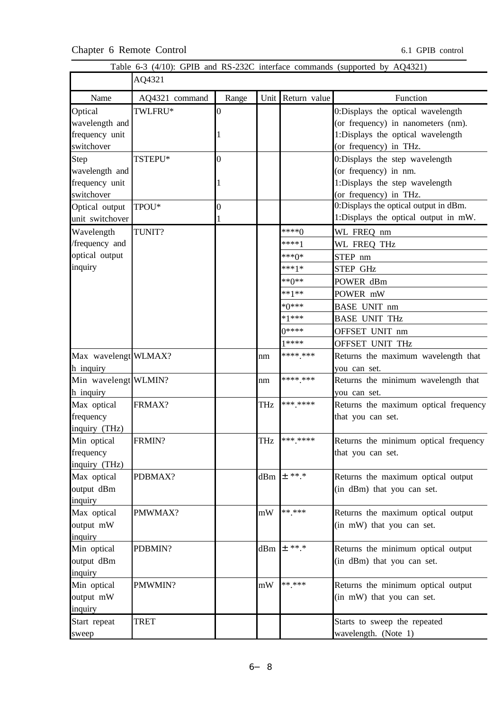|  |       |  |  | Table 6-3 $(4/10)$ : GPIB and RS-232C interface commands (supported by AQ4321) |  |  |
|--|-------|--|--|--------------------------------------------------------------------------------|--|--|
|  | AA221 |  |  |                                                                                |  |  |

|                      | AQ4321         |       |            |                   | Table 6-3 (4/10): GPIB and RS-232C interface commands (supported by $AQ4321$ ) |
|----------------------|----------------|-------|------------|-------------------|--------------------------------------------------------------------------------|
| Name                 | AQ4321 command | Range |            | Unit Return value | Function                                                                       |
| Optical              | TWLFRU*        | 0     |            |                   | 0:Displays the optical wavelength                                              |
| wavelength and       |                |       |            |                   | (or frequency) in nanometers (nm).                                             |
| frequency unit       |                |       |            |                   | 1:Displays the optical wavelength                                              |
| switchover           |                |       |            |                   | (or frequency) in THz.                                                         |
| Step                 | TSTEPU*        | 0     |            |                   | 0:Displays the step wavelength                                                 |
| wavelength and       |                |       |            |                   | (or frequency) in nm.                                                          |
| frequency unit       |                |       |            |                   | 1:Displays the step wavelength                                                 |
| switchover           |                |       |            |                   | (or frequency) in THz.                                                         |
| Optical output       | TPOU*          | 0     |            |                   | 0:Displays the optical output in dBm.                                          |
| unit switchover      |                |       |            |                   | 1:Displays the optical output in mW.                                           |
| Wavelength           | TUNIT?         |       |            | $***()$           | WL FREQ nm                                                                     |
| /frequency and       |                |       |            | ****1             | WL FREQ THz                                                                    |
| optical output       |                |       |            | $***()*$          | STEP nm                                                                        |
| inquiry              |                |       |            | ***1*             | <b>STEP GHZ</b>                                                                |
|                      |                |       |            | $***()***$        | POWER dBm                                                                      |
|                      |                |       |            | $***1***$         | POWER mW                                                                       |
|                      |                |       |            | $*0***$           | <b>BASE UNIT nm</b>                                                            |
|                      |                |       |            | $*1***$           | <b>BASE UNIT THZ</b>                                                           |
|                      |                |       |            | ∩****             | OFFSET UNIT nm                                                                 |
|                      |                |       |            | $1****$           | OFFSET UNIT THz                                                                |
| Max wavelengt WLMAX? |                |       | nm         | **** ***          | Returns the maximum wavelength that                                            |
| h inquiry            |                |       |            |                   | you can set.                                                                   |
| Min wavelengt WLMIN? |                |       | nm         | **** ***          | Returns the minimum wavelength that                                            |
| h inquiry            |                |       |            |                   | you can set.                                                                   |
| Max optical          | FRMAX?         |       | <b>THz</b> | *** ****          | Returns the maximum optical frequency                                          |
| frequency            |                |       |            |                   | that you can set.                                                              |
| inquiry (THz)        |                |       |            |                   |                                                                                |
| Min optical          | FRMIN?         |       |            |                   | Returns the minimum optical frequency                                          |
| frequency            |                |       |            |                   | that you can set.                                                              |
| inquiry (THz)        |                |       |            |                   |                                                                                |
| Max optical          | PDBMAX?        |       | dBm        | $+$ ** *          | Returns the maximum optical output                                             |
| output dBm           |                |       |            |                   | (in dBm) that you can set.                                                     |
| inquiry              |                |       |            |                   |                                                                                |
| Max optical          | PMWMAX?        |       | mW         | $***$ ***         | Returns the maximum optical output                                             |
| output mW            |                |       |            |                   | (in mW) that you can set.                                                      |
| inquiry              |                |       |            |                   |                                                                                |
| Min optical          | PDBMIN?        |       |            | dBm $\pm$ **.*    | Returns the minimum optical output                                             |
| output dBm           |                |       |            |                   | (in dBm) that you can set.                                                     |
| inquiry              |                |       |            |                   |                                                                                |
| Min optical          | PMWMIN?        |       | mW         | ** ***            | Returns the minimum optical output                                             |
| output mW            |                |       |            |                   | (in mW) that you can set.                                                      |
| inquiry              |                |       |            |                   |                                                                                |
| Start repeat         | TRET           |       |            |                   | Starts to sweep the repeated                                                   |
| sweep                |                |       |            |                   | wavelength. (Note 1)                                                           |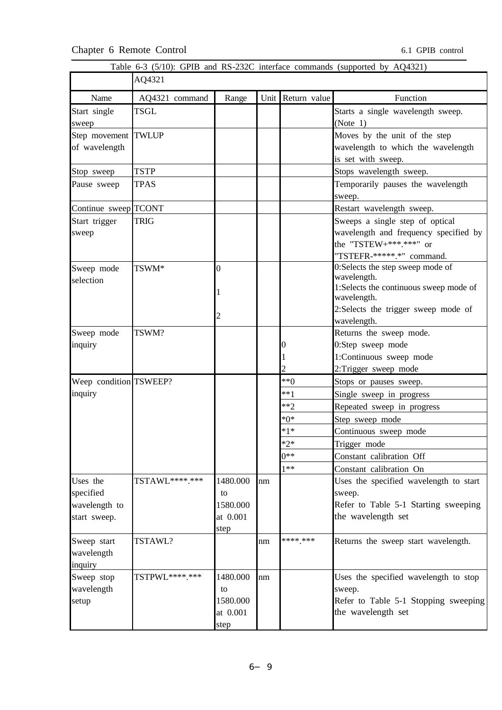|                        |                |          |      |              | Table 6-3 (5/10): GPIB and RS-232C interface commands (supported by AQ4321) |
|------------------------|----------------|----------|------|--------------|-----------------------------------------------------------------------------|
|                        | AQ4321         |          |      |              |                                                                             |
| Name                   | AQ4321 command | Range    | Unit | Return value | Function                                                                    |
| Start single           | <b>TSGL</b>    |          |      |              | Starts a single wavelength sweep.                                           |
| sweep                  |                |          |      |              | (Note 1)                                                                    |
| Step movement          | <b>TWLUP</b>   |          |      |              | Moves by the unit of the step                                               |
| of wavelength          |                |          |      |              | wavelength to which the wavelength                                          |
|                        |                |          |      |              | is set with sweep.                                                          |
| Stop sweep             | <b>TSTP</b>    |          |      |              | Stops wavelength sweep.                                                     |
| Pause sweep            | TPAS           |          |      |              | Temporarily pauses the wavelength                                           |
|                        |                |          |      |              | sweep.                                                                      |
| Continue sweep TCONT   |                |          |      |              | Restart wavelength sweep.                                                   |
| Start trigger          | <b>TRIG</b>    |          |      |              | Sweeps a single step of optical                                             |
| sweep                  |                |          |      |              | wavelength and frequency specified by                                       |
|                        |                |          |      |              | the "TSTEW+***.***" or                                                      |
|                        |                |          |      |              | "TSTEFR-******.*" command.                                                  |
| Sweep mode             | TSWM*          | 0        |      |              | 0:Selects the step sweep mode of                                            |
| selection              |                |          |      |              | wavelength.                                                                 |
|                        |                |          |      |              | 1:Selects the continuous sweep mode of<br>wavelength.                       |
|                        |                |          |      |              | 2:Selects the trigger sweep mode of                                         |
|                        |                | 2        |      |              | wavelength.                                                                 |
| Sweep mode             | TSWM?          |          |      |              | Returns the sweep mode.                                                     |
| inquiry                |                |          |      | 0            | 0:Step sweep mode                                                           |
|                        |                |          |      |              | 1:Continuous sweep mode                                                     |
|                        |                |          |      |              | 2:Trigger sweep mode                                                        |
| Weep condition TSWEEP? |                |          |      | $**0$        | Stops or pauses sweep.                                                      |
| inquiry                |                |          |      | $***1$       | Single sweep in progress                                                    |
|                        |                |          |      | $**2$        | Repeated sweep in progress                                                  |
|                        |                |          |      | $*0*$        | Step sweep mode                                                             |
|                        |                |          |      | $*1*$        | Continuous sweep mode                                                       |
|                        |                |          |      | *2*          | Trigger mode                                                                |
|                        |                |          |      | $0^{**}$     | Constant calibration Off                                                    |
|                        |                |          |      | $1**$        | Constant calibration On                                                     |
| Uses the               | TSTAWL****.*** | 1480.000 | nm   |              | Uses the specified wavelength to start                                      |
| specified              |                | to       |      |              | sweep.                                                                      |
| wavelength to          |                | 1580.000 |      |              | Refer to Table 5-1 Starting sweeping                                        |
| start sweep.           |                | at 0.001 |      |              | the wavelength set                                                          |
|                        |                | step     |      |              |                                                                             |
| Sweep start            | TSTAWL?        |          | nm   | $***$ ***    | Returns the sweep start wavelength.                                         |
| wavelength             |                |          |      |              |                                                                             |
| inquiry                |                |          |      |              |                                                                             |
| Sweep stop             | TSTPWL****.*** | 1480.000 | nm   |              | Uses the specified wavelength to stop                                       |
| wavelength             |                | to       |      |              | sweep.                                                                      |
| setup                  |                | 1580.000 |      |              | Refer to Table 5-1 Stopping sweeping                                        |
|                        |                | at 0.001 |      |              | the wavelength set                                                          |
|                        |                | step     |      |              |                                                                             |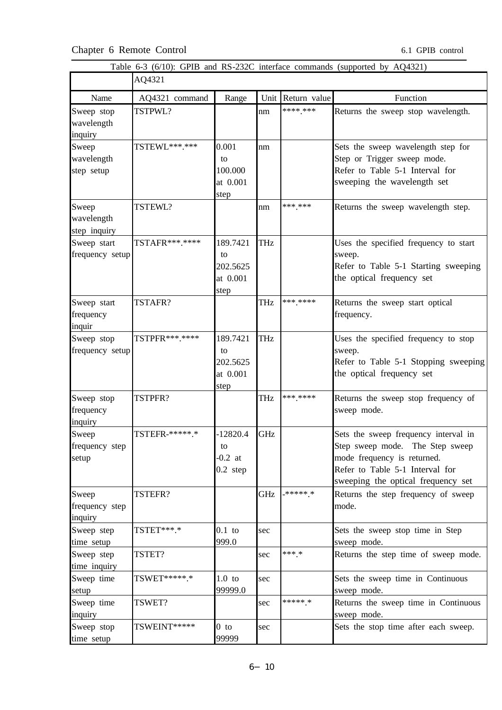| Table 6-3 (6/10): GPIB and RS-232C interface commands (supported by AQ4321) |                  |                                                |            |                   |                                                                                                                                                                                 |  |  |
|-----------------------------------------------------------------------------|------------------|------------------------------------------------|------------|-------------------|---------------------------------------------------------------------------------------------------------------------------------------------------------------------------------|--|--|
|                                                                             | AQ4321           |                                                |            |                   |                                                                                                                                                                                 |  |  |
| Name                                                                        | AQ4321 command   | Range                                          |            | Unit Return value | Function                                                                                                                                                                        |  |  |
| Sweep stop<br>wavelength<br>inquiry                                         | TSTPWL?          |                                                | nm         | **** ***          | Returns the sweep stop wavelength.                                                                                                                                              |  |  |
| Sweep<br>wavelength<br>step setup                                           | TSTEWL ***.***   | 0.001<br>to<br>100.000<br>at 0.001<br>step     | nm         |                   | Sets the sweep wavelength step for<br>Step or Trigger sweep mode.<br>Refer to Table 5-1 Interval for<br>sweeping the wavelength set                                             |  |  |
| Sweep<br>wavelength<br>step inquiry                                         | TSTEWL?          |                                                | nm         | *** ***           | Returns the sweep wavelength step.                                                                                                                                              |  |  |
| Sweep start<br>frequency setup                                              | TSTAFR***.****   | 189.7421<br>to<br>202.5625<br>at 0.001<br>step | <b>THz</b> |                   | Uses the specified frequency to start<br>sweep.<br>Refer to Table 5-1 Starting sweeping<br>the optical frequency set                                                            |  |  |
| Sweep start<br>frequency<br>inquir                                          | TSTAFR?          |                                                | THz        | *** ****          | Returns the sweep start optical<br>frequency.                                                                                                                                   |  |  |
| Sweep stop<br>frequency setup                                               | TSTPFR ***. **** | 189.7421<br>to<br>202.5625<br>at 0.001<br>step | <b>THz</b> |                   | Uses the specified frequency to stop<br>sweep.<br>Refer to Table 5-1 Stopping sweeping<br>the optical frequency set                                                             |  |  |
| Sweep stop<br>frequency<br>inquiry                                          | TSTPFR?          |                                                | THz        | *** ****          | Returns the sweep stop frequency of<br>sweep mode.                                                                                                                              |  |  |
| Sweep<br>frequency step<br>setup                                            | TSTEFR-*****.*   | $-12820.4$<br>to<br>$-0.2$ at<br>$0.2$ step    | GHz        |                   | Sets the sweep frequency interval in<br>Step sweep mode. The Step sweep<br>mode frequency is returned.<br>Refer to Table 5-1 Interval for<br>sweeping the optical frequency set |  |  |
| Sweep<br>frequency step<br>inquiry                                          | TSTEFR?          |                                                | GHz        | -***** *          | Returns the step frequency of sweep<br>mode.                                                                                                                                    |  |  |
| Sweep step<br>time setup                                                    | TSTET***.*       | $0.1$ to<br>999.0                              | sec        |                   | Sets the sweep stop time in Step<br>sweep mode.                                                                                                                                 |  |  |
| Sweep step<br>time inquiry                                                  | TSTET?           |                                                | sec        | *** *             | Returns the step time of sweep mode.                                                                                                                                            |  |  |
| Sweep time<br>setup                                                         | TSWET *****.*    | $1.0$ to<br>99999.0                            | sec        |                   | Sets the sweep time in Continuous<br>sweep mode.                                                                                                                                |  |  |
| Sweep time<br>inquiry                                                       | TSWET?           |                                                | sec        | ***** *           | Returns the sweep time in Continuous<br>sweep mode.                                                                                                                             |  |  |
| Sweep stop<br>time setup                                                    | TSWEINT*****     | $0$ to<br>99999                                | sec        |                   | Sets the stop time after each sweep.                                                                                                                                            |  |  |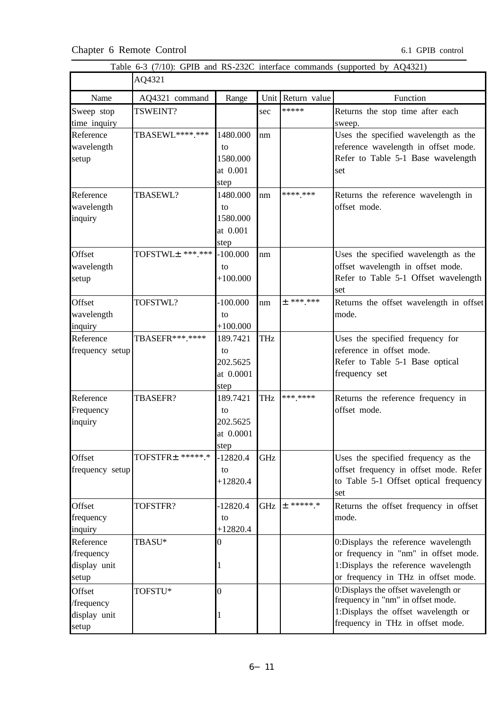|                                                  |                   |                                                 |     |                   | Table 6-3 (7/10): GPIB and RS-232C interface commands (supported by AQ4321)                                                                               |
|--------------------------------------------------|-------------------|-------------------------------------------------|-----|-------------------|-----------------------------------------------------------------------------------------------------------------------------------------------------------|
|                                                  | AQ4321            |                                                 |     |                   |                                                                                                                                                           |
| Name                                             | AQ4321 command    | Range                                           |     | Unit Return value | Function                                                                                                                                                  |
| Sweep stop<br>time inquiry                       | TSWEINT?          |                                                 | sec | *****             | Returns the stop time after each<br>sweep.                                                                                                                |
| Reference<br>wavelength<br>setup                 | TBASEWL ****.***  | 1480.000<br>to<br>1580.000<br>at 0.001<br>step  | nm  |                   | Uses the specified wavelength as the<br>reference wavelength in offset mode.<br>Refer to Table 5-1 Base wavelength<br>set                                 |
| Reference<br>wavelength<br>inquiry               | TBASEWL?          | 1480.000<br>to<br>1580.000<br>at 0.001<br>step  | nm  | **** ***          | Returns the reference wavelength in<br>offset mode.                                                                                                       |
| Offset<br>wavelength<br>setup                    | TOFSTWL± ***.***  | $-100.000$<br>to<br>$+100.000$                  | nm  |                   | Uses the specified wavelength as the<br>offset wavelength in offset mode.<br>Refer to Table 5-1 Offset wavelength<br>set                                  |
| Offset<br>wavelength<br>inquiry                  | TOFSTWL?          | $-100.000$<br>to<br>$+100.000$                  | nm  | $+$ *** ***       | Returns the offset wavelength in offset<br>mode.                                                                                                          |
| Reference<br>frequency setup                     | TBASEFR ***.***** | 189.7421<br>to<br>202.5625<br>at 0.0001<br>step | THz |                   | Uses the specified frequency for<br>reference in offset mode.<br>Refer to Table 5-1 Base optical<br>frequency set                                         |
| Reference<br>Frequency<br>inquiry                | TBASEFR?          | 189.7421<br>to<br>202.5625<br>at 0.0001<br>step | THz | *** ****          | Returns the reference frequency in<br>offset mode.                                                                                                        |
| Offset<br>frequency setup                        | TOFSTFR± *****.*  | $-12820.4$<br>to<br>$+12820.4$                  | GHz |                   | Uses the specified frequency as the<br>offset frequency in offset mode. Refer<br>to Table 5-1 Offset optical frequency<br>set                             |
| Offset<br>frequency<br>inquiry                   | TOFSTFR?          | $-12820.4$<br>to<br>$+12820.4$                  | GHz | $+$ ***** *       | Returns the offset frequency in offset<br>mode.                                                                                                           |
| Reference<br>/frequency<br>display unit<br>setup | TBASU*            | $\overline{0}$                                  |     |                   | 0:Displays the reference wavelength<br>or frequency in "nm" in offset mode.<br>1:Displays the reference wavelength<br>or frequency in THz in offset mode. |
| Offset<br>/frequency<br>display unit<br>setup    | TOFSTU*           | $\overline{0}$                                  |     |                   | 0:Displays the offset wavelength or<br>frequency in "nm" in offset mode.<br>1:Displays the offset wavelength or<br>frequency in THz in offset mode.       |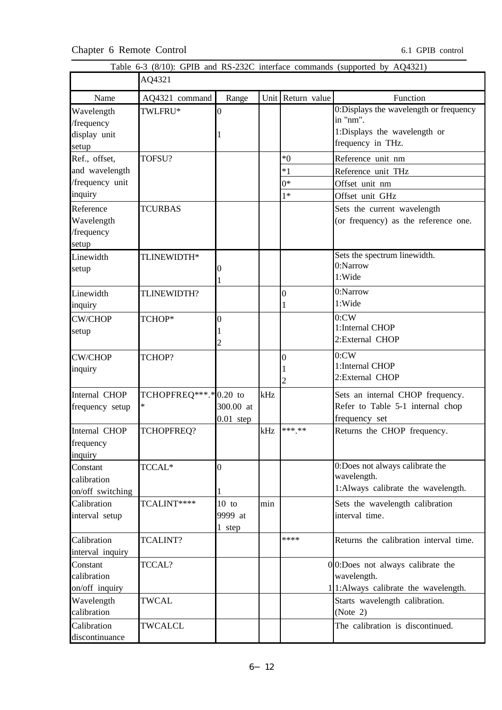|                  |                       |                |     |                   | Table 6-3 (8/10): GPIB and RS-232C interface commands (supported by AQ4321) |
|------------------|-----------------------|----------------|-----|-------------------|-----------------------------------------------------------------------------|
| AQ4321           |                       |                |     |                   |                                                                             |
| Name             | AQ4321 command        | Range          |     | Unit Return value | Function                                                                    |
| Wavelength       | TWLFRU*               | $\overline{0}$ |     |                   | 0:Displays the wavelength or frequency                                      |
| /frequency       |                       |                |     |                   | in "nm".                                                                    |
| display unit     |                       |                |     |                   | 1:Displays the wavelength or                                                |
| setup            |                       |                |     |                   | frequency in THz.                                                           |
| Ref., offset,    | TOFSU?                |                |     | $*0$              | Reference unit nm                                                           |
| and wavelength   |                       |                |     | $*1$              | Reference unit THz                                                          |
| /frequency unit  |                       |                |     | $0*$              | Offset unit nm                                                              |
| inquiry          |                       |                |     | $1*$              | Offset unit GHz                                                             |
| Reference        | <b>TCURBAS</b>        |                |     |                   | Sets the current wavelength                                                 |
| Wavelength       |                       |                |     |                   | (or frequency) as the reference one.                                        |
| /frequency       |                       |                |     |                   |                                                                             |
| setup            |                       |                |     |                   |                                                                             |
| Linewidth        | TLINEWIDTH*           |                |     |                   | Sets the spectrum linewidth.                                                |
| setup            |                       | 0              |     |                   | 0:Narrow                                                                    |
|                  |                       |                |     |                   | 1:Wide                                                                      |
| Linewidth        | TLINEWIDTH?           |                |     | $\overline{0}$    | 0:Narrow                                                                    |
| inquiry          |                       |                |     | 1                 | 1:Wide                                                                      |
| <b>CW/CHOP</b>   | TCHOP*                | 0              |     |                   | 0:CW                                                                        |
| setup            |                       |                |     |                   | 1:Internal CHOP                                                             |
|                  |                       | 2              |     |                   | 2:External CHOP                                                             |
| <b>CW/CHOP</b>   | TCHOP?                |                |     | 0                 | 0:CW                                                                        |
|                  |                       |                |     |                   | 1:Internal CHOP                                                             |
| inquiry          |                       |                |     | $\overline{2}$    | 2: External CHOP                                                            |
|                  | TCHOPFREQ***.*0.20 to |                |     |                   |                                                                             |
| Internal CHOP    |                       | 300.00 at      | kHz |                   | Sets an internal CHOP frequency.                                            |
| frequency setup  |                       |                |     |                   | Refer to Table 5-1 internal chop                                            |
|                  |                       | $0.01$ step    |     | *** **            | frequency set                                                               |
| Internal CHOP    | TCHOPFREQ?            |                | kHz |                   | Returns the CHOP frequency.                                                 |
| frequency        |                       |                |     |                   |                                                                             |
| inquiry          |                       |                |     |                   | 0:Does not always calibrate the                                             |
| Constant         | TCCAL*                | $\theta$       |     |                   | wavelength.                                                                 |
| calibration      |                       |                |     |                   | 1:Always calibrate the wavelength.                                          |
| on/off switching |                       |                |     |                   |                                                                             |
| Calibration      | TCALINT****           | $10$ to        | min |                   | Sets the wavelength calibration                                             |
| interval setup   |                       | 9999 at        |     |                   | interval time.                                                              |
|                  |                       | 1 step         |     | ****              |                                                                             |
| Calibration      | TCALINT?              |                |     |                   | Returns the calibration interval time.                                      |
| interval inquiry |                       |                |     |                   |                                                                             |
| Constant         | TCCAL?                |                |     |                   | 0 <sub>0</sub> . Does not always calibrate the                              |
| calibration      |                       |                |     |                   | wavelength.                                                                 |
| on/off inquiry   |                       |                |     |                   | 1 <sup>1</sup> :Always calibrate the wavelength.                            |
| Wavelength       | TWCAL                 |                |     |                   | Starts wavelength calibration.                                              |
| calibration      |                       |                |     |                   | (Note $2$ )                                                                 |
| Calibration      | TWCALCL               |                |     |                   | The calibration is discontinued.                                            |
| discontinuance   |                       |                |     |                   |                                                                             |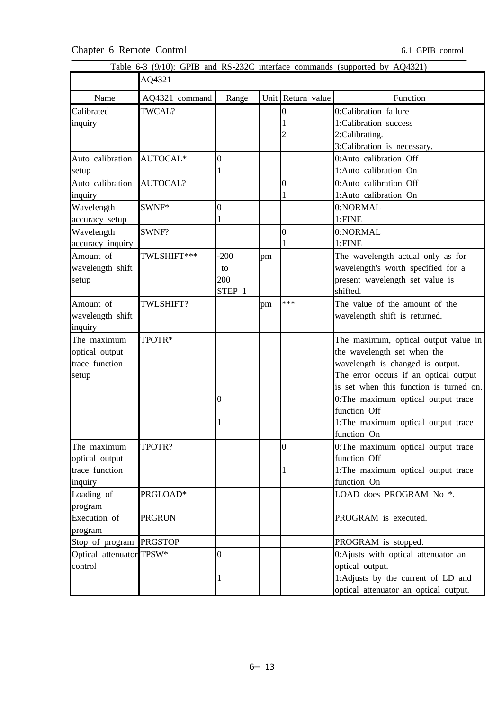| Table 6-3 (9/10): GPIB and RS-232C interface commands (supported by AQ4321)<br>AQ4321 |                 |        |    |                   |                                         |
|---------------------------------------------------------------------------------------|-----------------|--------|----|-------------------|-----------------------------------------|
|                                                                                       |                 |        |    |                   |                                         |
| Name                                                                                  | AQ4321 command  | Range  |    | Unit Return value | Function                                |
| Calibrated                                                                            | TWCAL?          |        |    | $\overline{0}$    | 0:Calibration failure                   |
| inquiry                                                                               |                 |        |    |                   | 1:Calibration success                   |
|                                                                                       |                 |        |    | 2                 | 2:Calibrating.                          |
|                                                                                       |                 |        |    |                   | 3:Calibration is necessary.             |
| Auto calibration                                                                      | AUTOCAL*        | 0      |    |                   | 0:Auto calibration Off                  |
| setup                                                                                 |                 |        |    |                   | 1:Auto calibration On                   |
| Auto calibration                                                                      | <b>AUTOCAL?</b> |        |    | $\overline{0}$    | 0:Auto calibration Off                  |
| inquiry                                                                               |                 |        |    |                   | 1:Auto calibration On                   |
| Wavelength                                                                            | SWNF*           | 0      |    |                   | 0:NORMAL                                |
| accuracy setup                                                                        |                 |        |    |                   | 1:FINE                                  |
| Wavelength                                                                            | SWNF?           |        |    | $\theta$          | 0:NORMAL                                |
| accuracy inquiry                                                                      |                 |        |    |                   | 1:FINE                                  |
| Amount of                                                                             | TWLSHIFT***     | $-200$ | pm |                   | The wavelength actual only as for       |
| wavelength shift                                                                      |                 | to     |    |                   | wavelength's worth specified for a      |
| setup                                                                                 |                 | 200    |    |                   | present wavelength set value is         |
|                                                                                       |                 | STEP 1 |    |                   | shifted.                                |
| Amount of                                                                             | TWLSHIFT?       |        | pm | ***               | The value of the amount of the          |
| wavelength shift                                                                      |                 |        |    |                   | wavelength shift is returned.           |
| inquiry                                                                               |                 |        |    |                   |                                         |
| The maximum                                                                           | TPOTR*          |        |    |                   | The maximum, optical output value in    |
| optical output                                                                        |                 |        |    |                   | the wavelength set when the             |
| trace function                                                                        |                 |        |    |                   | wavelength is changed is output.        |
| setup                                                                                 |                 |        |    |                   | The error occurs if an optical output   |
|                                                                                       |                 |        |    |                   | is set when this function is turned on. |
|                                                                                       |                 | 0      |    |                   | 0: The maximum optical output trace     |
|                                                                                       |                 |        |    |                   | function Off                            |
|                                                                                       |                 |        |    |                   | 1: The maximum optical output trace     |
|                                                                                       |                 |        |    |                   | function On                             |
| The maximum                                                                           | TPOTR?          |        |    | $\overline{0}$    | 0:The maximum optical output trace      |
| optical output                                                                        |                 |        |    |                   | function Off                            |
| trace function                                                                        |                 |        |    | 1                 | 1:The maximum optical output trace      |
| inquiry                                                                               |                 |        |    |                   | function On                             |
| Loading of                                                                            | PRGLOAD*        |        |    |                   | LOAD does PROGRAM No *.                 |
| program                                                                               |                 |        |    |                   |                                         |
| Execution of                                                                          | <b>PRGRUN</b>   |        |    |                   | PROGRAM is executed.                    |
| program                                                                               |                 |        |    |                   |                                         |
| Stop of program                                                                       | <b>PRGSTOP</b>  |        |    |                   | PROGRAM is stopped.                     |
| Optical attenuator TPSW*                                                              |                 | 0      |    |                   | 0:Ajusts with optical attenuator an     |
| control                                                                               |                 |        |    |                   | optical output.                         |
|                                                                                       |                 |        |    |                   | 1:Adjusts by the current of LD and      |
|                                                                                       |                 |        |    |                   | optical attenuator an optical output.   |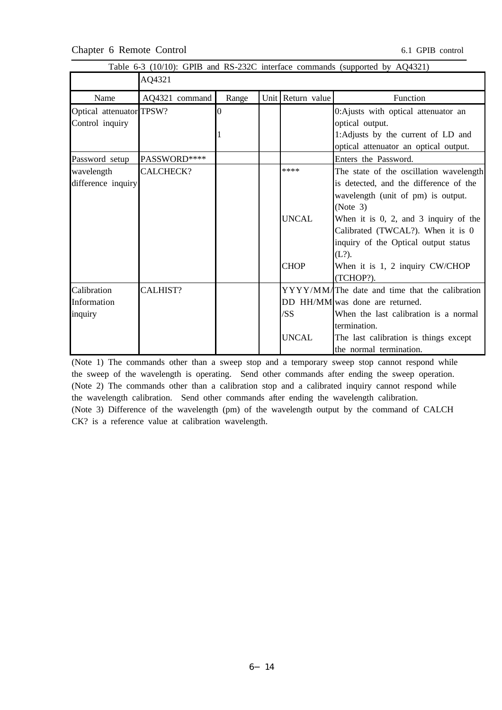|                          | AQ4321         |       |  |                   |                                                |
|--------------------------|----------------|-------|--|-------------------|------------------------------------------------|
| Name                     | AQ4321 command | Range |  | Unit Return value | Function                                       |
| Optical attenuator TPSW? |                | Ю     |  |                   | 0:Ajusts with optical attenuator an            |
| Control inquiry          |                |       |  |                   | optical output.                                |
|                          |                |       |  |                   | 1:Adjusts by the current of LD and             |
|                          |                |       |  |                   | optical attenuator an optical output.          |
| Password setup           | PASSWORD****   |       |  |                   | Enters the Password.                           |
| wavelength               | CALCHECK?      |       |  | ****              | The state of the oscillation wavelength        |
| difference inquiry       |                |       |  |                   | is detected, and the difference of the         |
|                          |                |       |  |                   | wavelength (unit of pm) is output.             |
|                          |                |       |  |                   | (Note 3)                                       |
|                          |                |       |  | <b>UNCAL</b>      | When it is $0$ , $2$ , and $3$ inquiry of the  |
|                          |                |       |  |                   | Calibrated (TWCAL?). When it is 0              |
|                          |                |       |  |                   | inquiry of the Optical output status           |
|                          |                |       |  |                   | $(L?)$ .                                       |
|                          |                |       |  | <b>CHOP</b>       | When it is 1, 2 inquiry CW/CHOP                |
|                          |                |       |  |                   | (TCHOP?).                                      |
| Calibration              | CALHIST?       |       |  |                   | YYYY/MM/The date and time that the calibration |
| Information              |                |       |  |                   | DD HH/MM was done are returned.                |
| inquiry                  |                |       |  | /SS               | When the last calibration is a normal          |
|                          |                |       |  |                   | termination.                                   |
|                          |                |       |  | <b>UNCAL</b>      | The last calibration is things except          |
|                          |                |       |  |                   | the normal termination.                        |

(Note 1) The commands other than a sweep stop and a temporary sweep stop cannot respond while the sweep of the wavelength is operating. Send other commands after ending the sweep operation. (Note 2) The commands other than a calibration stop and a calibrated inquiry cannot respond while the wavelength calibration. Send other commands after ending the wavelength calibration. (Note 3) Difference of the wavelength (pm) of the wavelength output by the command of CALCH CK? is a reference value at calibration wavelength.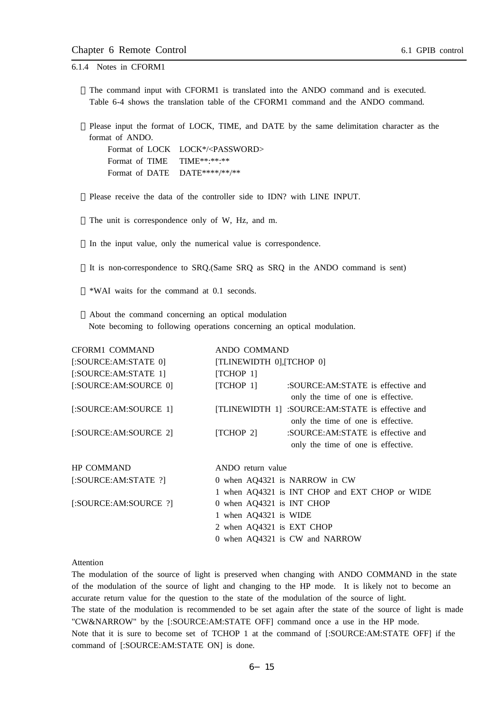6.1.4 Notes in CFORM1

The command input with CFORM1 is translated into the ANDO command and is executed. Table 6-4 shows the translation table of the CFORM1 command and the ANDO command.

Please input the format of LOCK, TIME, and DATE by the same delimitation character as the format of ANDO.

Format of LOCK LOCK\*/<PASSWORD> Format of TIME TIME\*\*:\*\*:\*\* Format of DATE DATE\*\*\*\*/\*\*/\*\*

Please receive the data of the controller side to IDN? with LINE INPUT.

The unit is correspondence only of W, Hz, and m.

In the input value, only the numerical value is correspondence.

It is non-correspondence to SRQ.(Same SRQ as SRQ in the ANDO command is sent)

\*WAI waits for the command at 0.1 seconds.

About the command concerning an optical modulation Note becoming to following operations concerning an optical modulation.

| CFORM1 COMMAND        | ANDO COMMAND                                     |
|-----------------------|--------------------------------------------------|
| [:SOURCE:AM:STATE 0]  | [TLINEWIDTH 0], [TCHOP 0]                        |
| [:SOURCE:AM:STATE 1]  | [TCHOP 1]                                        |
| [:SOURCE:AM:SOURCE 0] | [TCHOP 1]<br>:SOURCE:AM:STATE is effective and   |
|                       | only the time of one is effective.               |
| [:SOURCE:AM:SOURCE 1] | [TLINEWIDTH 1] :SOURCE:AM:STATE is effective and |
|                       | only the time of one is effective.               |
| [:SOURCE:AM:SOURCE_2] | [TCHOP 2]<br>:SOURCE:AM:STATE is effective and   |
|                       | only the time of one is effective.               |
| HP COMMAND            | ANDO return value                                |
| [:SOURCE:AM:STATE ?]  | 0 when AQ4321 is NARROW in CW                    |
|                       | 1 when AQ4321 is INT CHOP and EXT CHOP or WIDE   |
| [:SOURCE:AM:SOURCE ?] | 0 when AQ4321 is INT CHOP                        |
|                       | 1 when AQ4321 is WIDE                            |
|                       | 2 when AQ4321 is EXT CHOP                        |
|                       | 0 when AQ4321 is CW and NARROW                   |
|                       |                                                  |

#### Attention

The modulation of the source of light is preserved when changing with ANDO COMMAND in the state of the modulation of the source of light and changing to the HP mode. It is likely not to become an accurate return value for the question to the state of the modulation of the source of light. The state of the modulation is recommended to be set again after the state of the source of light is made "CW&NARROW" by the [:SOURCE:AM:STATE OFF] command once a use in the HP mode. Note that it is sure to become set of TCHOP 1 at the command of [:SOURCE:AM:STATE OFF] if the command of [:SOURCE:AM:STATE ON] is done.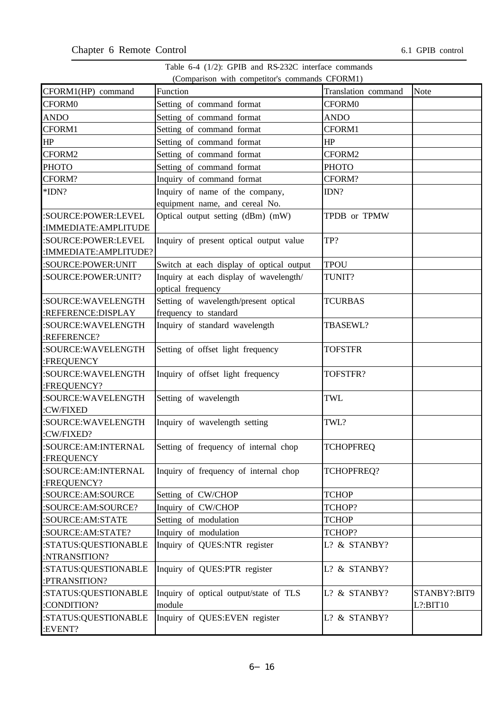# Table 6-4 (1/2): GPIB and RS-232C interface commands (Comparison with competitor's commands CFORM1)

|                       | $\mathcal{L}$ comparison with competitors communities of order $\mathcal{L}$ |                     |              |
|-----------------------|------------------------------------------------------------------------------|---------------------|--------------|
| CFORM1(HP) command    | Function                                                                     | Translation command | Note         |
| <b>CFORM0</b>         | Setting of command format                                                    | CFORM0              |              |
| <b>ANDO</b>           | Setting of command format                                                    | <b>ANDO</b>         |              |
| CFORM1                | Setting of command format                                                    | CFORM1              |              |
| HP                    | Setting of command format                                                    | HP                  |              |
| CFORM2                | Setting of command format                                                    | CFORM2              |              |
| <b>PHOTO</b>          | Setting of command format                                                    | <b>PHOTO</b>        |              |
| CFORM?                | Inquiry of command format                                                    | CFORM?              |              |
| *IDN?                 | Inquiry of name of the company,                                              | IDN?                |              |
|                       | equipment name, and cereal No.                                               |                     |              |
| :SOURCE:POWER:LEVEL   | Optical output setting (dBm) (mW)                                            | TPDB or TPMW        |              |
| :IMMEDIATE: AMPLITUDE |                                                                              |                     |              |
| :SOURCE:POWER:LEVEL   | Inquiry of present optical output value                                      | TP?                 |              |
| :IMMEDIATE:AMPLITUDE? |                                                                              |                     |              |
| :SOURCE:POWER:UNIT    | Switch at each display of optical output                                     | <b>TPOU</b>         |              |
| :SOURCE:POWER:UNIT?   | Inquiry at each display of wavelength/                                       | TUNIT?              |              |
|                       | optical frequency                                                            |                     |              |
| :SOURCE:WAVELENGTH    | Setting of wavelength/present optical                                        | <b>TCURBAS</b>      |              |
| :REFERENCE:DISPLAY    | frequency to standard                                                        |                     |              |
| :SOURCE:WAVELENGTH    | Inquiry of standard wavelength                                               | TBASEWL?            |              |
| :REFERENCE?           |                                                                              |                     |              |
| :SOURCE:WAVELENGTH    | Setting of offset light frequency                                            | <b>TOFSTFR</b>      |              |
| :FREQUENCY            |                                                                              |                     |              |
| :SOURCE:WAVELENGTH    | Inquiry of offset light frequency                                            | TOFSTFR?            |              |
| :FREQUENCY?           |                                                                              |                     |              |
| :SOURCE: WAVELENGTH   | Setting of wavelength                                                        | <b>TWL</b>          |              |
| :CW/FIXED             |                                                                              |                     |              |
| :SOURCE:WAVELENGTH    | Inquiry of wavelength setting                                                | TWL?                |              |
| :CW/FIXED?            |                                                                              |                     |              |
| :SOURCE: AM: INTERNAL | Setting of frequency of internal chop                                        | <b>TCHOPFREQ</b>    |              |
| :FREQUENCY            |                                                                              |                     |              |
| :SOURCE: AM: INTERNAL | Inquiry of frequency of internal chop                                        | <b>TCHOPFREQ?</b>   |              |
| :FREQUENCY?           |                                                                              |                     |              |
| :SOURCE:AM:SOURCE     | Setting of CW/CHOP                                                           | <b>TCHOP</b>        |              |
| :SOURCE:AM:SOURCE?    | Inquiry of CW/CHOP                                                           | TCHOP?              |              |
| :SOURCE:AM:STATE      | Setting of modulation                                                        | <b>TCHOP</b>        |              |
| :SOURCE:AM:STATE?     | Inquiry of modulation                                                        | TCHOP?              |              |
| :STATUS:QUESTIONABLE  | Inquiry of QUES:NTR register                                                 | L? & STANBY?        |              |
| :NTRANSITION?         |                                                                              |                     |              |
| :STATUS:QUESTIONABLE  | Inquiry of QUES:PTR register                                                 | L? & STANBY?        |              |
| :PTRANSITION?         |                                                                              |                     |              |
| :STATUS:QUESTIONABLE  | Inquiry of optical output/state of TLS                                       | L? & STANBY?        | STANBY?:BIT9 |
| :CONDITION?           | module                                                                       |                     | $L$ ?:BIT10  |
| :STATUS:QUESTIONABLE  | Inquiry of QUES:EVEN register                                                | L? & STANBY?        |              |
| :EVENT?               |                                                                              |                     |              |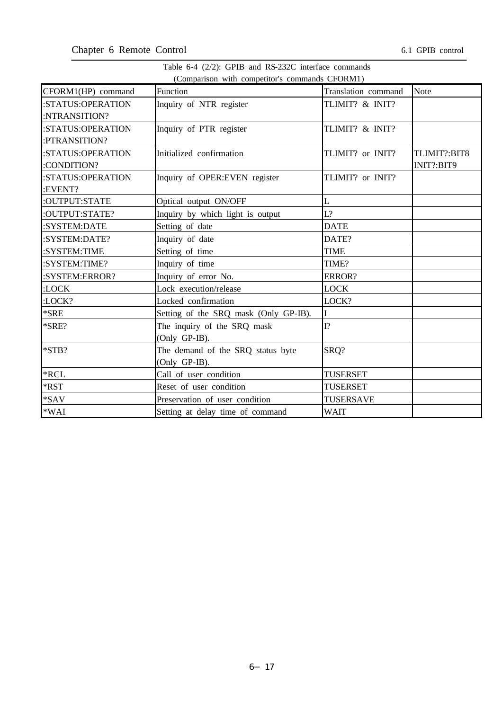|  | Table 6-4 (2/2): GPIB and RS-232C interface commands |
|--|------------------------------------------------------|
|  | (Comparison with competitor's commands CFORM1)       |

| CFORM1(HP) command                             | $\mathcal{L}$ comparison with competitors communes of order $\mathcal{L}$<br>Function | Translation command | Note         |
|------------------------------------------------|---------------------------------------------------------------------------------------|---------------------|--------------|
| :STATUS:OPERATION                              | Inquiry of NTR register                                                               | TLIMIT? & INIT?     |              |
| :NTRANSITION?                                  |                                                                                       |                     |              |
| :STATUS:OPERATION                              | Inquiry of PTR register                                                               | TLIMIT? & INIT?     |              |
| :PTRANSITION?                                  |                                                                                       |                     |              |
| :STATUS:OPERATION                              | Initialized confirmation                                                              | TLIMIT? or INIT?    | TLIMIT?:BIT8 |
| :CONDITION?                                    |                                                                                       |                     | INIT?:BIT9   |
| :STATUS:OPERATION                              | Inquiry of OPER:EVEN register                                                         | TLIMIT? or INIT?    |              |
| :EVENT?                                        |                                                                                       |                     |              |
| :OUTPUT:STATE                                  | Optical output ON/OFF                                                                 | L                   |              |
| :OUTPUT:STATE?                                 | Inquiry by which light is output                                                      | L?                  |              |
| :SYSTEM:DATE                                   | Setting of date                                                                       | <b>DATE</b>         |              |
| :SYSTEM:DATE?                                  | Inquiry of date                                                                       | DATE?               |              |
| :SYSTEM:TIME                                   | Setting of time                                                                       | <b>TIME</b>         |              |
| :SYSTEM:TIME?                                  | Inquiry of time                                                                       | TIME?               |              |
| :SYSTEM:ERROR?                                 | Inquiry of error No.                                                                  | ERROR?              |              |
| :LOCK                                          | Lock execution/release                                                                | <b>LOCK</b>         |              |
| :LOCK?                                         | Locked confirmation                                                                   | LOCK?               |              |
| $*SRE$                                         | Setting of the SRQ mask (Only GP-IB).                                                 |                     |              |
| *SRE?                                          | The inquiry of the SRQ mask                                                           | $I$ ?               |              |
|                                                | (Only GP-IB).                                                                         |                     |              |
| *STB?                                          | The demand of the SRQ status byte                                                     | SRQ?                |              |
|                                                | (Only GP-IB).                                                                         |                     |              |
| $*RCL$                                         | Call of user condition                                                                | <b>TUSERSET</b>     |              |
| *RST                                           | Reset of user condition                                                               | <b>TUSERSET</b>     |              |
| *SAV                                           | Preservation of user condition                                                        | <b>TUSERSAVE</b>    |              |
| $\boldsymbol{*}\mathbf{W}\mathbf{A}\mathbf{I}$ | Setting at delay time of command                                                      | <b>WAIT</b>         |              |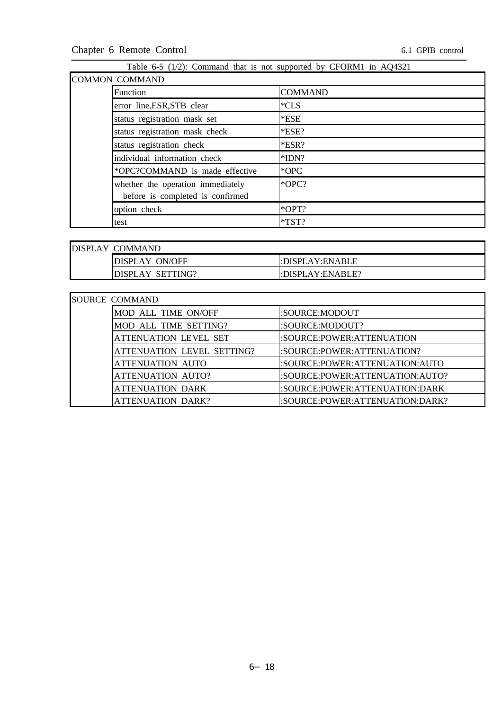## Chapter 6 Remote Control 6.1 GPIB control

|  | Table 6-5 (1/2): Command that is not supported by CFORM1 in AQ4321 |  |  |  |  |  |  |  |  |  |
|--|--------------------------------------------------------------------|--|--|--|--|--|--|--|--|--|
|--|--------------------------------------------------------------------|--|--|--|--|--|--|--|--|--|

| <b>COMMON COMMAND</b>                                                 |                |
|-----------------------------------------------------------------------|----------------|
| Function                                                              | <b>COMMAND</b> |
| error line, ESR, STB clear                                            | *CLS           |
| status registration mask set                                          | $*$ ESE        |
| status registration mask check                                        | $*ESE?$        |
| status registration check                                             | *ESR?          |
| individual information check                                          | *IDN?          |
| *OPC?COMMAND is made effective                                        | *OPC           |
| whether the operation immediately<br>before is completed is confirmed | *OPC?          |
| option check                                                          | $*OPT?$        |
| test                                                                  | *TST?          |

| <b>IDISPLAY COMMAND</b> |                  |
|-------------------------|------------------|
| DISPLAY ON/OFF          | l:DISPLAY:ENABLE |
| DISPLAY SETTING?        | :DISPLAY:ENABLE? |

| <b>SOURCE COMMAND</b> |                                   |                                 |
|-----------------------|-----------------------------------|---------------------------------|
|                       | MOD ALL TIME ON/OFF               | :SOURCE:MODOUT                  |
|                       | MOD ALL TIME SETTING?             | :SOURCE:MODOUT?                 |
|                       | <b>ATTENUATION LEVEL SET</b>      | :SOURCE:POWER:ATTENUATION       |
|                       | <b>ATTENUATION LEVEL SETTING?</b> | :SOURCE:POWER:ATTENUATION?      |
|                       | <b>ATTENUATION AUTO</b>           | :SOURCE:POWER:ATTENUATION:AUTO  |
|                       | <b>ATTENUATION AUTO?</b>          | :SOURCE:POWER:ATTENUATION:AUTO? |
|                       | <b>ATTENUATION DARK</b>           | :SOURCE:POWER:ATTENUATION:DARK  |
|                       | <b>ATTENUATION DARK?</b>          | :SOURCE:POWER:ATTENUATION:DARK? |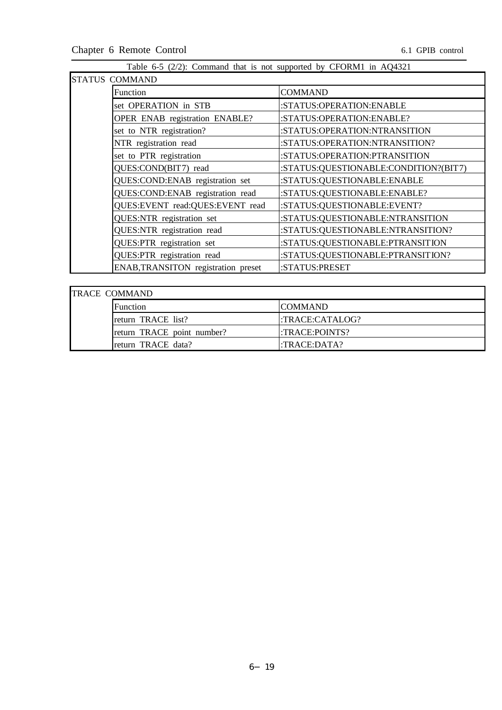| Table $0-3$ (2/2). Command that is not supported by CFORMT in AQ4321 |                                       |  |  |  |
|----------------------------------------------------------------------|---------------------------------------|--|--|--|
| STATUS COMMAND                                                       |                                       |  |  |  |
| Function                                                             | <b>COMMAND</b>                        |  |  |  |
| set OPERATION in STB                                                 | :STATUS:OPERATION:ENABLE              |  |  |  |
| OPER ENAB registration ENABLE?                                       | :STATUS:OPERATION:ENABLE?             |  |  |  |
| set to NTR registration?                                             | :STATUS:OPERATION:NTRANSITION         |  |  |  |
| NTR registration read                                                | :STATUS:OPERATION:NTRANSITION?        |  |  |  |
| set to PTR registration                                              | :STATUS:OPERATION:PTRANSITION         |  |  |  |
| QUES:COND(BIT7) read                                                 | :STATUS:QUESTIONABLE:CONDITION?(BIT7) |  |  |  |
| QUES:COND:ENAB registration set                                      | :STATUS:QUESTIONABLE:ENABLE           |  |  |  |
| QUES:COND:ENAB registration read                                     | :STATUS:QUESTIONABLE:ENABLE?          |  |  |  |
| QUES:EVENT read:QUES:EVENT read                                      | :STATUS:QUESTIONABLE:EVENT?           |  |  |  |
| QUES:NTR registration set                                            | :STATUS:QUESTIONABLE:NTRANSITION      |  |  |  |
| QUES:NTR registration read                                           | :STATUS:QUESTIONABLE:NTRANSITION?     |  |  |  |
| QUES:PTR registration set                                            | :STATUS:QUESTIONABLE:PTRANSITION      |  |  |  |
| QUES:PTR registration read                                           | :STATUS:QUESTIONABLE:PTRANSITION?     |  |  |  |
| <b>ENAB, TRANSITON</b> registration preset                           | :STATUS:PRESET                        |  |  |  |

| <b>TRACE COMMAND</b> |                            |                 |
|----------------------|----------------------------|-----------------|
|                      | <b>Function</b>            | <b>COMMAND</b>  |
|                      | return TRACE list?         | ETRACE:CATALOG? |
|                      | return TRACE point number? | ETRACE:POINTS?  |
|                      | return TRACE data?         | l:TRACE:DATA?   |

## Table 6.5  $(2/2)$ : Command that is not supported by CEORM1 in  $\triangle 0.4321$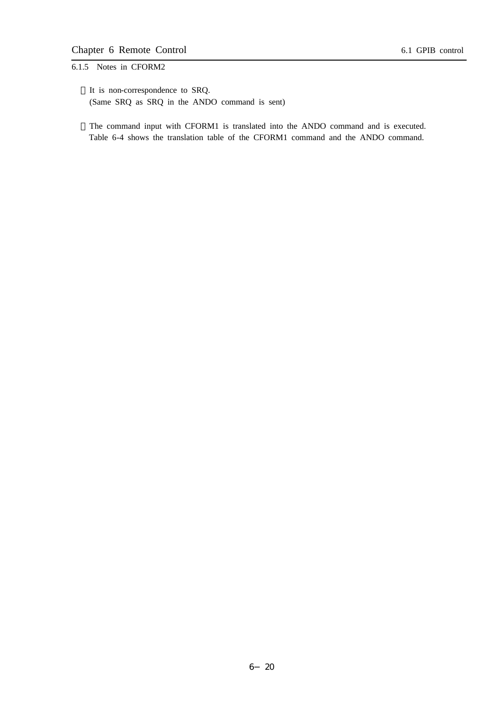6.1.5 Notes in CFORM2

It is non-correspondence to SRQ. (Same SRQ as SRQ in the ANDO command is sent)

The command input with CFORM1 is translated into the ANDO command and is executed. Table 6-4 shows the translation table of the CFORM1 command and the ANDO command.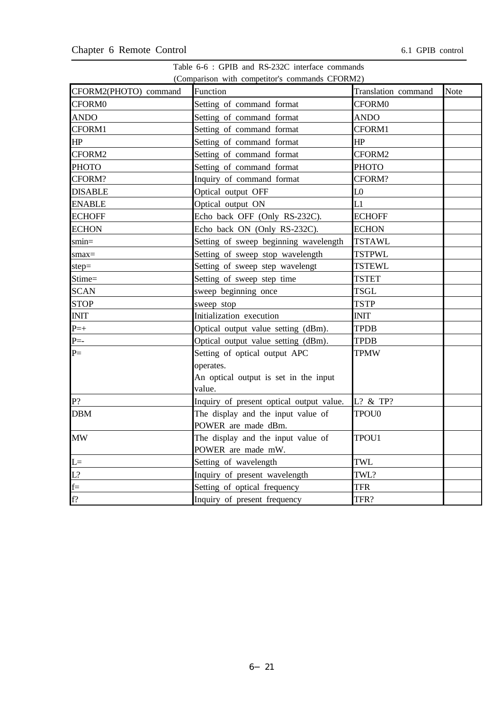| Table 6-6 : GPIB and RS-232C interface commands |  |
|-------------------------------------------------|--|
| (Comparison with competitor's commands CFORM2)  |  |

| CFORM2(PHOTO) command | Function                                 | Translation command | Note |
|-----------------------|------------------------------------------|---------------------|------|
| CFORM <sub>0</sub>    | Setting of command format                | <b>CFORM0</b>       |      |
| <b>ANDO</b>           | Setting of command format                | <b>ANDO</b>         |      |
| CFORM1                | Setting of command format                | CFORM1              |      |
| HP                    | Setting of command format                | HP                  |      |
| CFORM2                | Setting of command format                | CFORM2              |      |
| <b>PHOTO</b>          | Setting of command format                | <b>PHOTO</b>        |      |
| CFORM?                | Inquiry of command format                | CFORM?              |      |
| <b>DISABLE</b>        | Optical output OFF                       | L <sub>0</sub>      |      |
| <b>ENABLE</b>         | Optical output ON                        | L1                  |      |
| <b>ECHOFF</b>         | Echo back OFF (Only RS-232C).            | <b>ECHOFF</b>       |      |
| <b>ECHON</b>          | Echo back ON (Only RS-232C).             | <b>ECHON</b>        |      |
| $smin=$               | Setting of sweep beginning wavelength    | <b>TSTAWL</b>       |      |
| $smax =$              | Setting of sweep stop wavelength         | <b>TSTPWL</b>       |      |
| $step =$              | Setting of sweep step wavelengt          | <b>TSTEWL</b>       |      |
| Stime=                | Setting of sweep step time               | <b>TSTET</b>        |      |
| <b>SCAN</b>           | sweep beginning once                     | TSGL                |      |
| <b>STOP</b>           | sweep stop                               | <b>TSTP</b>         |      |
| <b>INIT</b>           | Initialization execution                 | <b>INIT</b>         |      |
| $P=+$                 | Optical output value setting (dBm).      | <b>TPDB</b>         |      |
| $P = -$               | Optical output value setting (dBm).      | <b>TPDB</b>         |      |
| $P=$                  | Setting of optical output APC            | <b>TPMW</b>         |      |
|                       | operates.                                |                     |      |
|                       | An optical output is set in the input    |                     |      |
|                       | value.                                   |                     |      |
| P?                    | Inquiry of present optical output value. | L? & TP?            |      |
| <b>DBM</b>            | The display and the input value of       | TPOU <sub>0</sub>   |      |
|                       | POWER are made dBm.                      |                     |      |
| <b>MW</b>             | The display and the input value of       | TPOU1               |      |
|                       | POWER are made mW.                       |                     |      |
| $L=$                  | Setting of wavelength                    | TWL                 |      |
| L?                    | Inquiry of present wavelength            | TWL?                |      |
| $f =$                 | Setting of optical frequency             | <b>TFR</b>          |      |
| f?                    | Inquiry of present frequency             | TFR?                |      |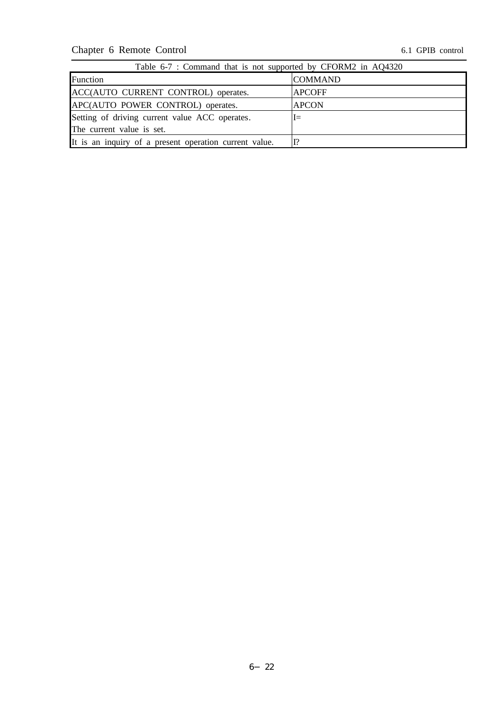Chapter 6 Remote Control 6.1 GPIB control

| Table 6-7 : Command that is not supported by CFORM2 in AQ4320 |                |
|---------------------------------------------------------------|----------------|
| <b>Function</b>                                               | <b>COMMAND</b> |
| ACC(AUTO CURRENT CONTROL) operates.                           | <b>APCOFF</b>  |
| APC(AUTO POWER CONTROL) operates.                             | <b>APCON</b>   |
| Setting of driving current value ACC operates.                | $I =$          |
| The current value is set.                                     |                |
| It is an inquiry of a present operation current value.        | T?             |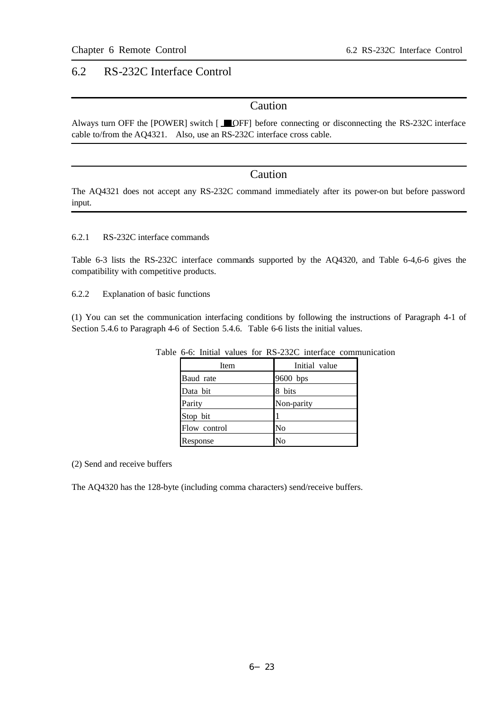#### 6.2 RS-232C Interface Control

#### Caution

Always turn OFF the [POWER] switch [Deference connecting or disconnecting the RS-232C interface cable to/from the AQ4321. Also, use an RS-232C interface cross cable.

#### Caution

The AQ4321 does not accept any RS-232C command immediately after its power-on but before password input.

#### 6.2.1 RS-232C interface commands

Table 6-3 lists the RS-232C interface commands supported by the AQ4320, and Table 6-4,6-6 gives the compatibility with competitive products.

6.2.2 Explanation of basic functions

(1) You can set the communication interfacing conditions by following the instructions of Paragraph 4-1 of Section 5.4.6 to Paragraph 4-6 of Section 5.4.6. Table 6-6 lists the initial values.

| Item         | Initial value |
|--------------|---------------|
| Baud rate    | 9600 bps      |
| Data bit     | 8 bits        |
| Parity       | Non-parity    |
| Stop bit     |               |
| Flow control | No            |
| Response     | V∩            |

Table 6-6: Initial values for RS-232C interface communication

(2) Send and receive buffers

The AQ4320 has the 128-byte (including comma characters) send/receive buffers.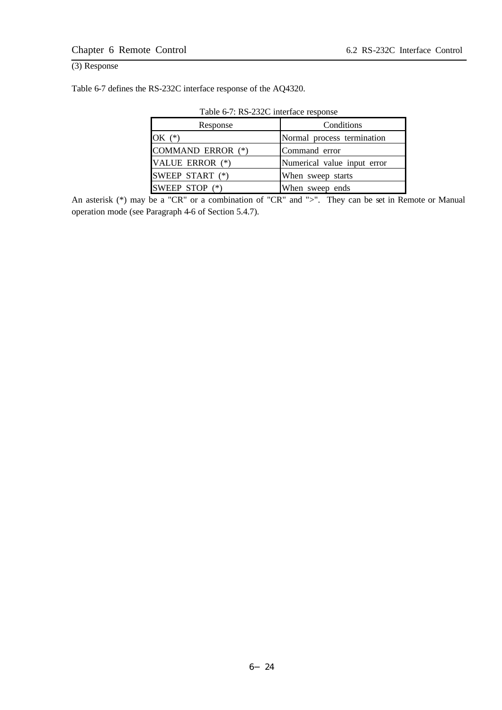#### (3) Response

Table 6-7 defines the RS-232C interface response of the AQ4320.

| Twore o 7. RS 2520 internate response |                             |
|---------------------------------------|-----------------------------|
| Response                              | Conditions                  |
| OK $(*)$                              | Normal process termination  |
| COMMAND ERROR (*)                     | Command error               |
| VALUE ERROR (*)                       | Numerical value input error |
| SWEEP START (*)                       | When sweep starts           |
| SWEEP STOP (*)                        | When sweep ends             |

Table 6-7: RS-232C interface response

An asterisk (\*) may be a "CR" or a combination of "CR" and ">". They can be set in Remote or Manual operation mode (see Paragraph 4-6 of Section 5.4.7).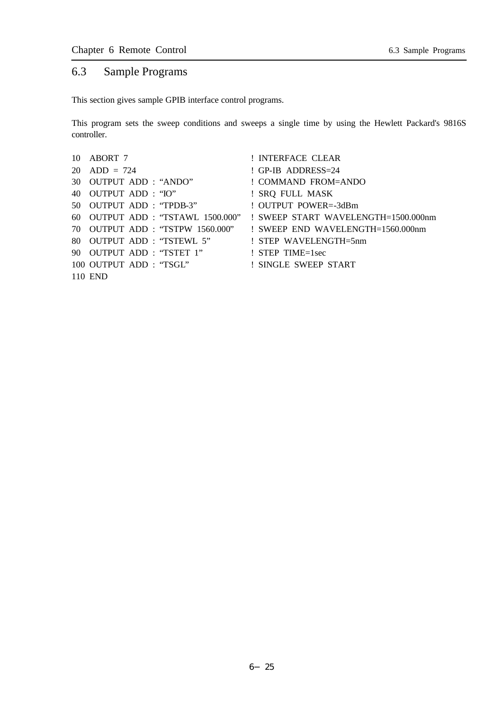## 6.3 Sample Programs

This section gives sample GPIB interface control programs.

This program sets the sweep conditions and sweeps a single time by using the Hewlett Packard's 9816S controller.

| 10 ABORT 7                                      | ! INTERFACE CLEAR                                                    |
|-------------------------------------------------|----------------------------------------------------------------------|
| 20 ADD = $724$                                  | $\cdot$ GP-IB ADDRESS=24                                             |
| 30 OUTPUT ADD : "ANDO"                          | ! COMMAND FROM=ANDO                                                  |
| 40 OUTPUT ADD: "IO"                             | ! SRQ FULL MASK                                                      |
| 50 OUTPUT ADD: "TPDB-3"                         | ! OUTPUT POWER=-3dBm                                                 |
|                                                 | 60 OUTPUT ADD: "TSTAWL 1500.000" ! SWEEP START WAVELENGTH=1500.000nm |
|                                                 | 70 OUTPUT ADD: "TSTPW 1560.000" ! SWEEP END WAVELENGTH=1560.000nm    |
| 80 OUTPUT ADD: "TSTEWL 5" ! STEP WAVELENGTH=5nm |                                                                      |
| 90 OUTPUT ADD : "TSTET 1"                       | $\pm$ STEP TIME=1sec                                                 |
| 100 OUTPUT ADD: "TSGL"                          | ! SINGLE SWEEP START                                                 |
| 110 END                                         |                                                                      |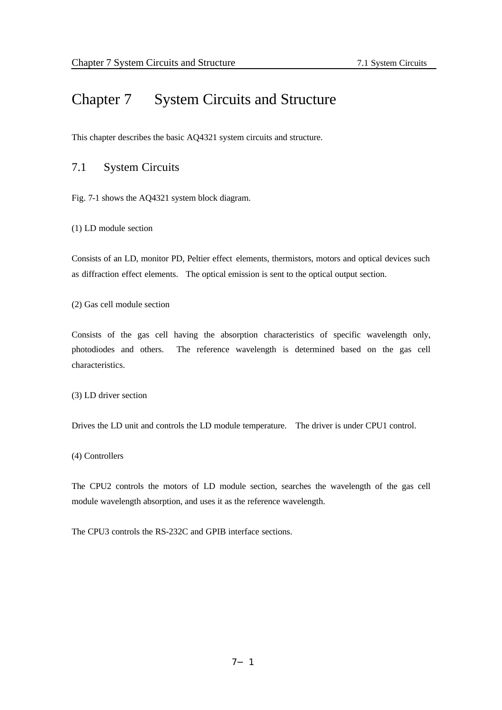# Chapter 7 System Circuits and Structure

This chapter describes the basic AQ4321 system circuits and structure.

#### 7.1 System Circuits

Fig. 7-1 shows the AQ4321 system block diagram.

(1) LD module section

Consists of an LD, monitor PD, Peltier effect elements, thermistors, motors and optical devices such as diffraction effect elements. The optical emission is sent to the optical output section.

(2) Gas cell module section

Consists of the gas cell having the absorption characteristics of specific wavelength only, photodiodes and others. The reference wavelength is determined based on the gas cell characteristics.

(3) LD driver section

Drives the LD unit and controls the LD module temperature. The driver is under CPU1 control.

(4) Controllers

The CPU2 controls the motors of LD module section, searches the wavelength of the gas cell module wavelength absorption, and uses it as the reference wavelength.

The CPU3 controls the RS-232C and GPIB interface sections.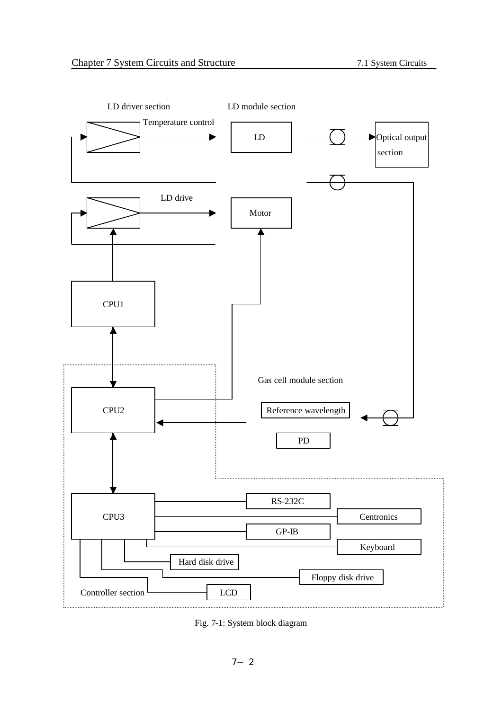

Fig. 7-1: System block diagram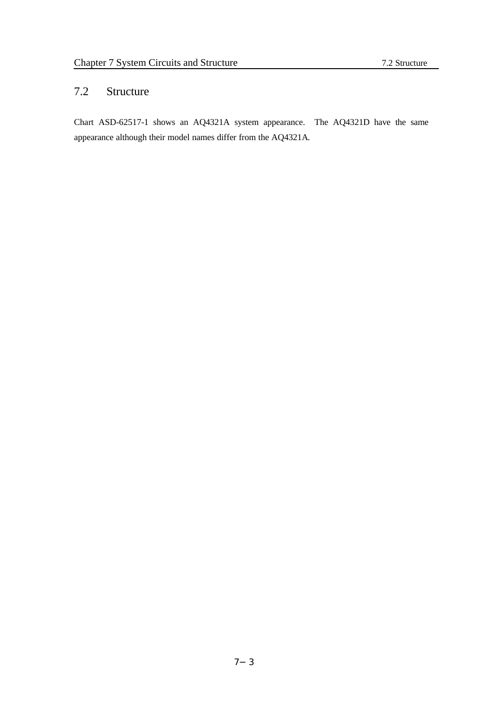## 7.2 Structure

Chart ASD-62517-1 shows an AQ4321A system appearance. The AQ4321D have the same appearance although their model names differ from the AQ4321A.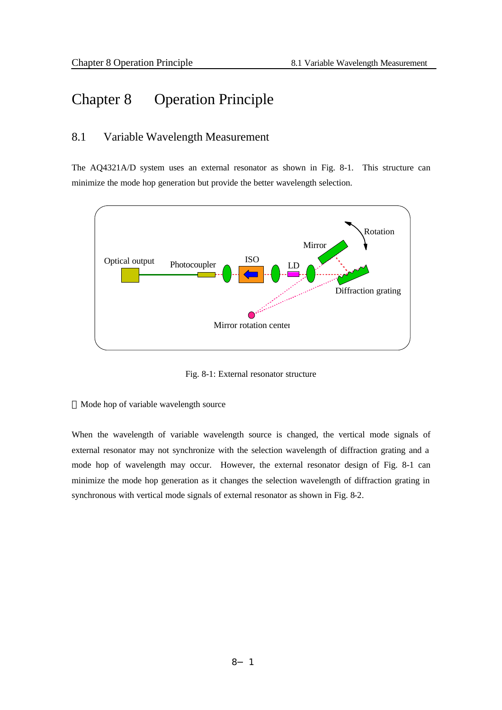# Chapter 8 Operation Principle

#### 8.1 Variable Wavelength Measurement

The AQ4321A/D system uses an external resonator as shown in Fig. 8-1. This structure can minimize the mode hop generation but provide the better wavelength selection.



Fig. 8-1: External resonator structure

Mode hop of variable wavelength source

When the wavelength of variable wavelength source is changed, the vertical mode signals of external resonator may not synchronize with the selection wavelength of diffraction grating and a mode hop of wavelength may occur. However, the external resonator design of Fig. 8-1 can minimize the mode hop generation as it changes the selection wavelength of diffraction grating in synchronous with vertical mode signals of external resonator as shown in Fig. 8-2.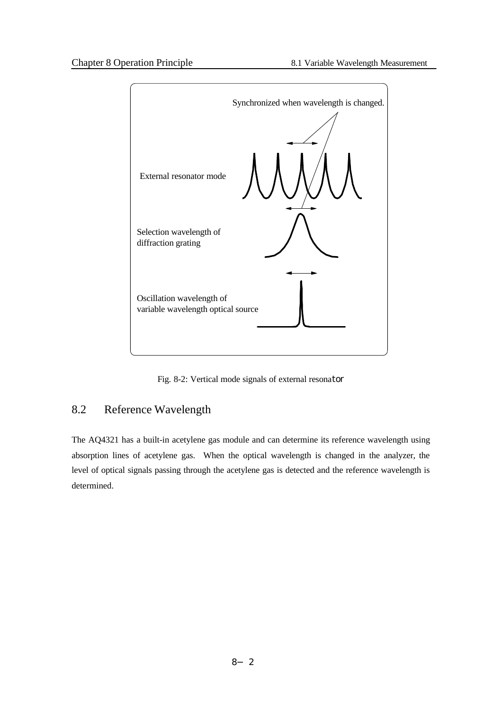

Fig. 8-2: Vertical mode signals of external resonator

## 8.2 Reference Wavelength

The AQ4321 has a built-in acetylene gas module and can determine its reference wavelength using absorption lines of acetylene gas. When the optical wavelength is changed in the analyzer, the level of optical signals passing through the acetylene gas is detected and the reference wavelength is determined.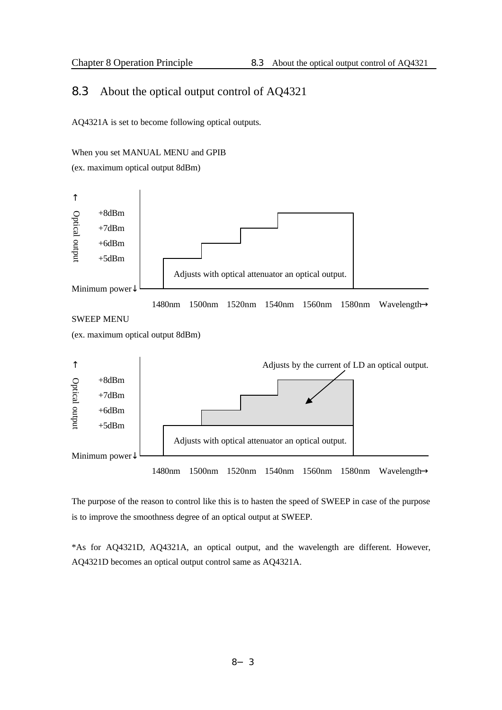#### 8.3 About the optical output control of AQ4321

AQ4321A is set to become following optical outputs.

When you set MANUAL MENU and GPIB

(ex. maximum optical output 8dBm)



SWEEP MENU

(ex. maximum optical output 8dBm)



The purpose of the reason to control like this is to hasten the speed of SWEEP in case of the purpose

is to improve the smoothness degree of an optical output at SWEEP.

\*As for AQ4321D, AQ4321A, an optical output, and the wavelength are different. However,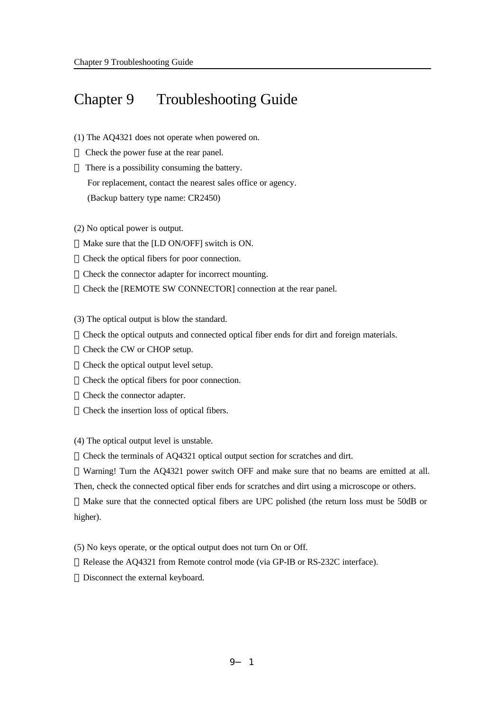# Chapter 9 Troubleshooting Guide

- (1) The AQ4321 does not operate when powered on. Check the power fuse at the rear panel. There is a possibility consuming the battery. For replacement, contact the nearest sales office or agency. (Backup battery type name: CR2450)
- (2) No optical power is output.

Make sure that the [LD ON/OFF] switch is ON. Check the optical fibers for poor connection. Check the connector adapter for incorrect mounting. Check the [REMOTE SW CONNECTOR] connection at the rear panel.

(3) The optical output is blow the standard.

Check the optical outputs and connected optical fiber ends for dirt and foreign materials. Check the CW or CHOP setup. Check the optical output level setup. Check the optical fibers for poor connection. Check the connector adapter. Check the insertion loss of optical fibers.

(4) The optical output level is unstable.

Check the terminals of AQ4321 optical output section for scratches and dirt.

Warning! Turn the AQ4321 power switch OFF and make sure that no beams are emitted at all. Then, check the connected optical fiber ends for scratches and dirt using a microscope or others.

Make sure that the connected optical fibers are UPC polished (the return loss must be 50dB or higher).

(5) No keys operate, or the optical output does not turn On or Off.

Release the AQ4321 from Remote control mode (via GP-IB or RS-232C interface). Disconnect the external keyboard.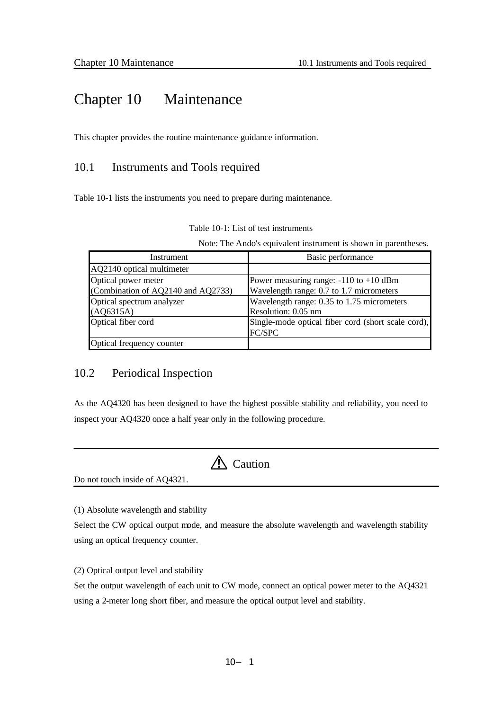# Chapter 10 Maintenance

This chapter provides the routine maintenance guidance information.

## 10.1 Instruments and Tools required

Table 10-1 lists the instruments you need to prepare during maintenance.

Note: The Ando's equivalent instrument is shown in parentheses.

| Instrument                                                | Basic performance                                                                      |
|-----------------------------------------------------------|----------------------------------------------------------------------------------------|
| AQ2140 optical multimeter                                 |                                                                                        |
| Optical power meter<br>(Combination of AQ2140 and AQ2733) | Power measuring range: $-110$ to $+10$ dBm<br>Wavelength range: 0.7 to 1.7 micrometers |
| Optical spectrum analyzer<br>(AQ6315A)                    | Wavelength range: 0.35 to 1.75 micrometers<br>Resolution: 0.05 nm                      |
| Optical fiber cord                                        | Single-mode optical fiber cord (short scale cord),<br>FC/SPC                           |
| Optical frequency counter                                 |                                                                                        |

### 10.2 Periodical Inspection

As the AQ4320 has been designed to have the highest possible stability and reliability, you need to inspect your AQ4320 once a half year only in the following procedure.



(1) Absolute wavelength and stability

Select the CW optical output mode, and measure the absolute wavelength and wavelength stability using an optical frequency counter.

(2) Optical output level and stability

Set the output wavelength of each unit to CW mode, connect an optical power meter to the AQ4321 using a 2-meter long short fiber, and measure the optical output level and stability.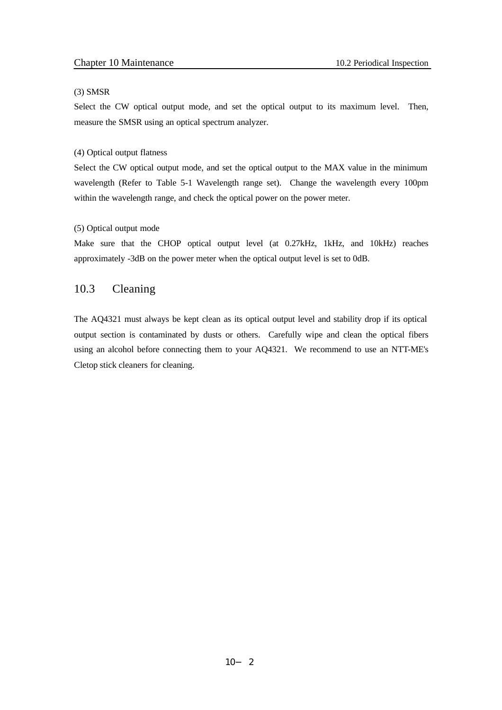#### (3) SMSR

Select the CW optical output mode, and set the optical output to its maximum level. Then, measure the SMSR using an optical spectrum analyzer.

#### (4) Optical output flatness

Select the CW optical output mode, and set the optical output to the MAX value in the minimum wavelength (Refer to Table 5-1 Wavelength range set). Change the wavelength every 100pm within the wavelength range, and check the optical power on the power meter.

#### (5) Optical output mode

Make sure that the CHOP optical output level (at 0.27kHz, 1kHz, and 10kHz) reaches approximately -3dB on the power meter when the optical output level is set to 0dB.

#### 10.3 Cleaning

The AQ4321 must always be kept clean as its optical output level and stability drop if its optical output section is contaminated by dusts or others. Carefully wipe and clean the optical fibers using an alcohol before connecting them to your AQ4321. We recommend to use an NTT-ME's Cletop stick cleaners for cleaning.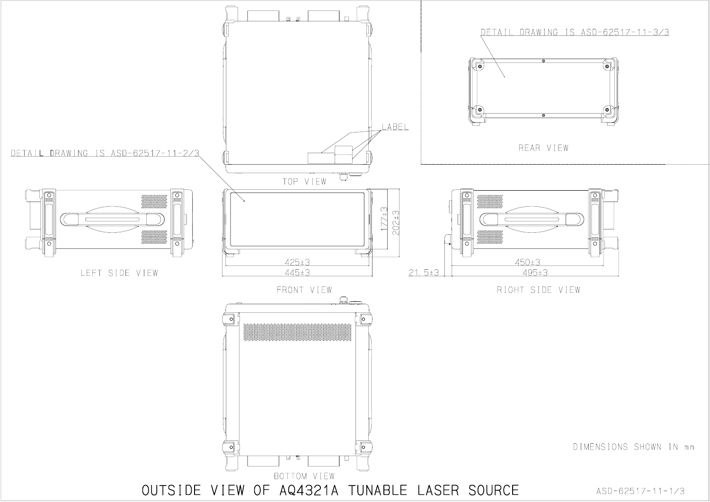

DIMENSIONS SHOWN IN mm

ASD-62517-11-1/3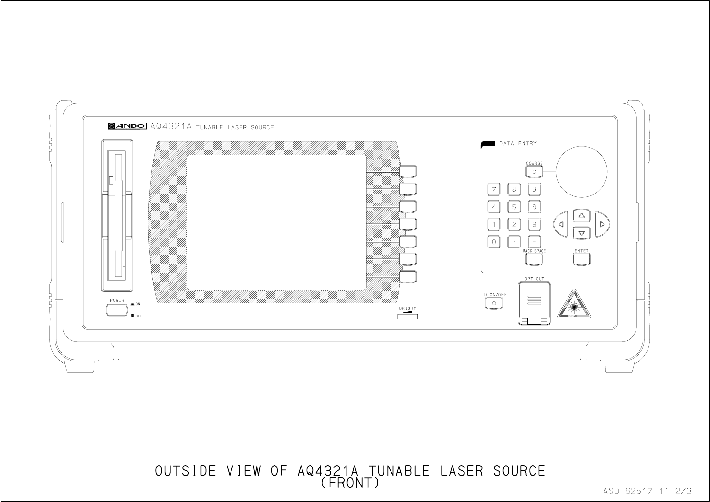

OUTSIDE VIEW OF AQ4321A TUNABLE LASER SOURCE<br>(FRONT)

ASD-62517-11-2/3